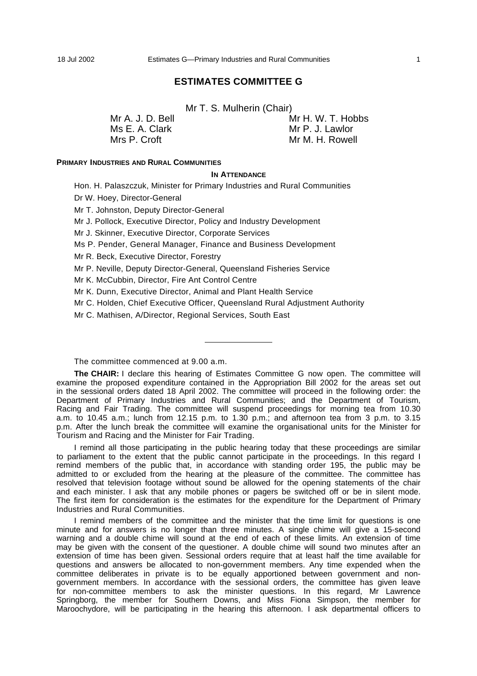# **ESTIMATES COMMITTEE G**

Mr T. S. Mulherin (Chair)

Ms E. A. Clark Mr P. J. Lawlor<br>Mr P. Croft Mr M H Rowel

Mr A. J. D. Bell Mr H. W. T. Hobbs Mr M. H. Rowell

# **PRIMARY INDUSTRIES AND RURAL COMMUNITIES**

# **IN ATTENDANCE**

Hon. H. Palaszczuk, Minister for Primary Industries and Rural Communities

Dr W. Hoey, Director-General

Mr T. Johnston, Deputy Director-General

Mr J. Pollock, Executive Director, Policy and Industry Development

Mr J. Skinner, Executive Director, Corporate Services

Ms P. Pender, General Manager, Finance and Business Development

Mr R. Beck, Executive Director, Forestry

Mr P. Neville, Deputy Director-General, Queensland Fisheries Service

Mr K. McCubbin, Director, Fire Ant Control Centre

Mr K. Dunn, Executive Director, Animal and Plant Health Service

Mr C. Holden, Chief Executive Officer, Queensland Rural Adjustment Authority

Mr C. Mathisen, A/Director, Regional Services, South East

The committee commenced at 9.00 a.m.

**The CHAIR:** I declare this hearing of Estimates Committee G now open. The committee will examine the proposed expenditure contained in the Appropriation Bill 2002 for the areas set out in the sessional orders dated 18 April 2002. The committee will proceed in the following order: the Department of Primary Industries and Rural Communities; and the Department of Tourism, Racing and Fair Trading. The committee will suspend proceedings for morning tea from 10.30 a.m. to 10.45 a.m.; lunch from 12.15 p.m. to 1.30 p.m.; and afternoon tea from 3 p.m. to 3.15 p.m. After the lunch break the committee will examine the organisational units for the Minister for Tourism and Racing and the Minister for Fair Trading.

I remind all those participating in the public hearing today that these proceedings are similar to parliament to the extent that the public cannot participate in the proceedings. In this regard I remind members of the public that, in accordance with standing order 195, the public may be admitted to or excluded from the hearing at the pleasure of the committee. The committee has resolved that television footage without sound be allowed for the opening statements of the chair and each minister. I ask that any mobile phones or pagers be switched off or be in silent mode. The first item for consideration is the estimates for the expenditure for the Department of Primary Industries and Rural Communities.

I remind members of the committee and the minister that the time limit for questions is one minute and for answers is no longer than three minutes. A single chime will give a 15-second warning and a double chime will sound at the end of each of these limits. An extension of time may be given with the consent of the questioner. A double chime will sound two minutes after an extension of time has been given. Sessional orders require that at least half the time available for questions and answers be allocated to non-government members. Any time expended when the committee deliberates in private is to be equally apportioned between government and nongovernment members. In accordance with the sessional orders, the committee has given leave for non-committee members to ask the minister questions. In this regard, Mr Lawrence Springborg, the member for Southern Downs, and Miss Fiona Simpson, the member for Maroochydore, will be participating in the hearing this afternoon. I ask departmental officers to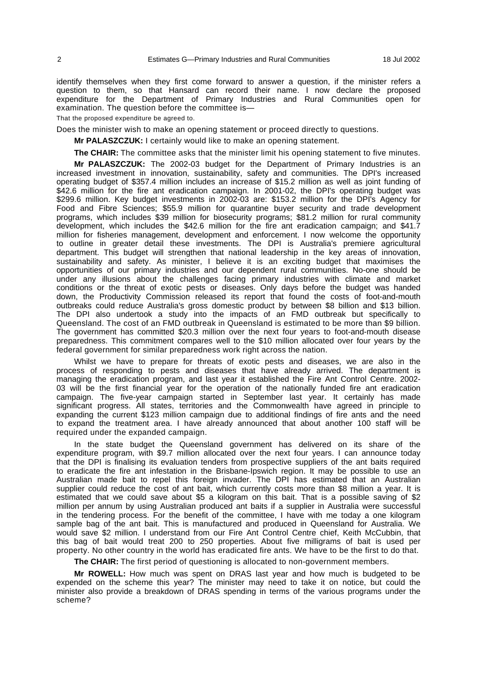identify themselves when they first come forward to answer a question, if the minister refers a question to them, so that Hansard can record their name. I now declare the proposed expenditure for the Department of Primary Industries and Rural Communities open for examination. The question before the committee is—

That the proposed expenditure be agreed to.

Does the minister wish to make an opening statement or proceed directly to questions.

**Mr PALASZCZUK:** I certainly would like to make an opening statement.

**The CHAIR:** The committee asks that the minister limit his opening statement to five minutes.

**Mr PALASZCZUK:** The 2002-03 budget for the Department of Primary Industries is an increased investment in innovation, sustainability, safety and communities. The DPI's increased operating budget of \$357.4 million includes an increase of \$15.2 million as well as joint funding of \$42.6 million for the fire ant eradication campaign. In 2001-02, the DPI's operating budget was \$299.6 million. Key budget investments in 2002-03 are: \$153.2 million for the DPI's Agency for Food and Fibre Sciences; \$55.9 million for quarantine buyer security and trade development programs, which includes \$39 million for biosecurity programs; \$81.2 million for rural community development, which includes the \$42.6 million for the fire ant eradication campaign; and \$41.7 million for fisheries management, development and enforcement. I now welcome the opportunity to outline in greater detail these investments. The DPI is Australia's premiere agricultural department. This budget will strengthen that national leadership in the key areas of innovation, sustainability and safety. As minister, I believe it is an exciting budget that maximises the opportunities of our primary industries and our dependent rural communities. No-one should be under any illusions about the challenges facing primary industries with climate and market conditions or the threat of exotic pests or diseases. Only days before the budget was handed down, the Productivity Commission released its report that found the costs of foot-and-mouth outbreaks could reduce Australia's gross domestic product by between \$8 billion and \$13 billion. The DPI also undertook a study into the impacts of an FMD outbreak but specifically to Queensland. The cost of an FMD outbreak in Queensland is estimated to be more than \$9 billion. The government has committed \$20.3 million over the next four years to foot-and-mouth disease preparedness. This commitment compares well to the \$10 million allocated over four years by the federal government for similar preparedness work right across the nation.

Whilst we have to prepare for threats of exotic pests and diseases, we are also in the process of responding to pests and diseases that have already arrived. The department is managing the eradication program, and last year it established the Fire Ant Control Centre. 2002- 03 will be the first financial year for the operation of the nationally funded fire ant eradication campaign. The five-year campaign started in September last year. It certainly has made significant progress. All states, territories and the Commonwealth have agreed in principle to expanding the current \$123 million campaign due to additional findings of fire ants and the need to expand the treatment area. I have already announced that about another 100 staff will be required under the expanded campaign.

In the state budget the Queensland government has delivered on its share of the expenditure program, with \$9.7 million allocated over the next four years. I can announce today that the DPI is finalising its evaluation tenders from prospective suppliers of the ant baits required to eradicate the fire ant infestation in the Brisbane-Ipswich region. It may be possible to use an Australian made bait to repel this foreign invader. The DPI has estimated that an Australian supplier could reduce the cost of ant bait, which currently costs more than \$8 million a year. It is estimated that we could save about \$5 a kilogram on this bait. That is a possible saving of \$2 million per annum by using Australian produced ant baits if a supplier in Australia were successful in the tendering process. For the benefit of the committee, I have with me today a one kilogram sample bag of the ant bait. This is manufactured and produced in Queensland for Australia. We would save \$2 million. I understand from our Fire Ant Control Centre chief, Keith McCubbin, that this bag of bait would treat 200 to 250 properties. About five milligrams of bait is used per property. No other country in the world has eradicated fire ants. We have to be the first to do that.

**The CHAIR:** The first period of questioning is allocated to non-government members.

**Mr ROWELL:** How much was spent on DRAS last year and how much is budgeted to be expended on the scheme this year? The minister may need to take it on notice, but could the minister also provide a breakdown of DRAS spending in terms of the various programs under the scheme?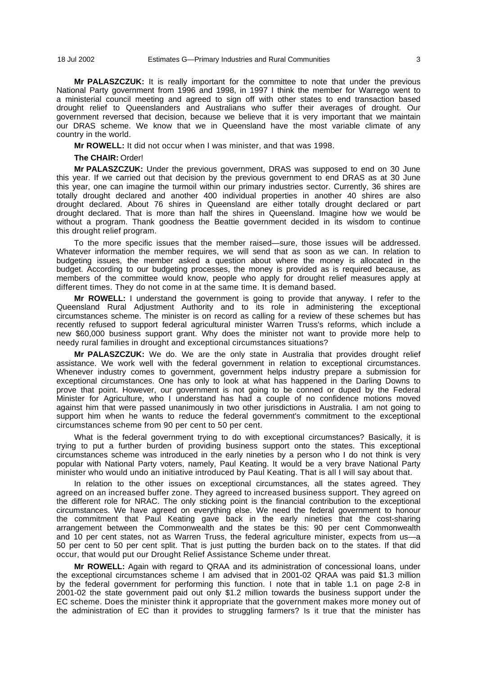**Mr PALASZCZUK:** It is really important for the committee to note that under the previous National Party government from 1996 and 1998, in 1997 I think the member for Warrego went to a ministerial council meeting and agreed to sign off with other states to end transaction based drought relief to Queenslanders and Australians who suffer their averages of drought. Our government reversed that decision, because we believe that it is very important that we maintain our DRAS scheme. We know that we in Queensland have the most variable climate of any country in the world.

**Mr ROWELL:** It did not occur when I was minister, and that was 1998.

**The CHAIR:** Order!

**Mr PALASZCZUK:** Under the previous government, DRAS was supposed to end on 30 June this year. If we carried out that decision by the previous government to end DRAS as at 30 June this year, one can imagine the turmoil within our primary industries sector. Currently, 36 shires are totally drought declared and another 400 individual properties in another 40 shires are also drought declared. About 76 shires in Queensland are either totally drought declared or part drought declared. That is more than half the shires in Queensland. Imagine how we would be without a program. Thank goodness the Beattie government decided in its wisdom to continue this drought relief program.

To the more specific issues that the member raised—sure, those issues will be addressed. Whatever information the member requires, we will send that as soon as we can. In relation to budgeting issues, the member asked a question about where the money is allocated in the budget. According to our budgeting processes, the money is provided as is required because, as members of the committee would know, people who apply for drought relief measures apply at different times. They do not come in at the same time. It is demand based.

**Mr ROWELL:** I understand the government is going to provide that anyway. I refer to the Queensland Rural Adjustment Authority and to its role in administering the exceptional circumstances scheme. The minister is on record as calling for a review of these schemes but has recently refused to support federal agricultural minister Warren Truss's reforms, which include a new \$60,000 business support grant. Why does the minister not want to provide more help to needy rural families in drought and exceptional circumstances situations?

**Mr PALASZCZUK:** We do. We are the only state in Australia that provides drought relief assistance. We work well with the federal government in relation to exceptional circumstances. Whenever industry comes to government, government helps industry prepare a submission for exceptional circumstances. One has only to look at what has happened in the Darling Downs to prove that point. However, our government is not going to be conned or duped by the Federal Minister for Agriculture, who I understand has had a couple of no confidence motions moved against him that were passed unanimously in two other jurisdictions in Australia. I am not going to support him when he wants to reduce the federal government's commitment to the exceptional circumstances scheme from 90 per cent to 50 per cent.

What is the federal government trying to do with exceptional circumstances? Basically, it is trying to put a further burden of providing business support onto the states. This exceptional circumstances scheme was introduced in the early nineties by a person who I do not think is very popular with National Party voters, namely, Paul Keating. It would be a very brave National Party minister who would undo an initiative introduced by Paul Keating. That is all I will say about that.

In relation to the other issues on exceptional circumstances, all the states agreed. They agreed on an increased buffer zone. They agreed to increased business support. They agreed on the different role for NRAC. The only sticking point is the financial contribution to the exceptional circumstances. We have agreed on everything else. We need the federal government to honour the commitment that Paul Keating gave back in the early nineties that the cost-sharing arrangement between the Commonwealth and the states be this: 90 per cent Commonwealth and 10 per cent states, not as Warren Truss, the federal agriculture minister, expects from us—a 50 per cent to 50 per cent split. That is just putting the burden back on to the states. If that did occur, that would put our Drought Relief Assistance Scheme under threat.

**Mr ROWELL:** Again with regard to QRAA and its administration of concessional loans, under the exceptional circumstances scheme I am advised that in 2001-02 QRAA was paid \$1.3 million by the federal government for performing this function. I note that in table 1.1 on page 2-8 in 2001-02 the state government paid out only \$1.2 million towards the business support under the EC scheme. Does the minister think it appropriate that the government makes more money out of the administration of EC than it provides to struggling farmers? Is it true that the minister has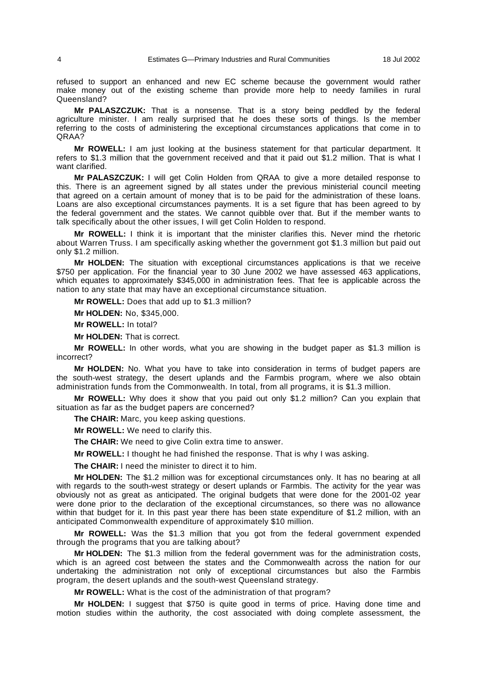refused to support an enhanced and new EC scheme because the government would rather make money out of the existing scheme than provide more help to needy families in rural Queensland?

**Mr PALASZCZUK:** That is a nonsense. That is a story being peddled by the federal agriculture minister. I am really surprised that he does these sorts of things. Is the member referring to the costs of administering the exceptional circumstances applications that come in to QRAA?

**Mr ROWELL:** I am just looking at the business statement for that particular department. It refers to \$1.3 million that the government received and that it paid out \$1.2 million. That is what I want clarified.

**Mr PALASZCZUK:** I will get Colin Holden from QRAA to give a more detailed response to this. There is an agreement signed by all states under the previous ministerial council meeting that agreed on a certain amount of money that is to be paid for the administration of these loans. Loans are also exceptional circumstances payments. It is a set figure that has been agreed to by the federal government and the states. We cannot quibble over that. But if the member wants to talk specifically about the other issues, I will get Colin Holden to respond.

**Mr ROWELL:** I think it is important that the minister clarifies this. Never mind the rhetoric about Warren Truss. I am specifically asking whether the government got \$1.3 million but paid out only \$1.2 million.

**Mr HOLDEN:** The situation with exceptional circumstances applications is that we receive \$750 per application. For the financial year to 30 June 2002 we have assessed 463 applications, which equates to approximately \$345,000 in administration fees. That fee is applicable across the nation to any state that may have an exceptional circumstance situation.

**Mr ROWELL:** Does that add up to \$1.3 million?

**Mr HOLDEN:** No, \$345,000.

**Mr ROWELL:** In total?

**Mr HOLDEN:** That is correct.

**Mr ROWELL:** In other words, what you are showing in the budget paper as \$1.3 million is incorrect?

**Mr HOLDEN:** No. What you have to take into consideration in terms of budget papers are the south-west strategy, the desert uplands and the Farmbis program, where we also obtain administration funds from the Commonwealth. In total, from all programs, it is \$1.3 million.

**Mr ROWELL:** Why does it show that you paid out only \$1.2 million? Can you explain that situation as far as the budget papers are concerned?

**The CHAIR:** Marc, you keep asking questions.

**Mr ROWELL:** We need to clarify this.

**The CHAIR:** We need to give Colin extra time to answer.

**Mr ROWELL:** I thought he had finished the response. That is why I was asking.

**The CHAIR:** I need the minister to direct it to him.

**Mr HOLDEN:** The \$1.2 million was for exceptional circumstances only. It has no bearing at all with regards to the south-west strategy or desert uplands or Farmbis. The activity for the year was obviously not as great as anticipated. The original budgets that were done for the 2001-02 year were done prior to the declaration of the exceptional circumstances, so there was no allowance within that budget for it. In this past year there has been state expenditure of \$1.2 million, with an anticipated Commonwealth expenditure of approximately \$10 million.

**Mr ROWELL:** Was the \$1.3 million that you got from the federal government expended through the programs that you are talking about?

**Mr HOLDEN:** The \$1.3 million from the federal government was for the administration costs, which is an agreed cost between the states and the Commonwealth across the nation for our undertaking the administration not only of exceptional circumstances but also the Farmbis program, the desert uplands and the south-west Queensland strategy.

**Mr ROWELL:** What is the cost of the administration of that program?

**Mr HOLDEN:** I suggest that \$750 is quite good in terms of price. Having done time and motion studies within the authority, the cost associated with doing complete assessment, the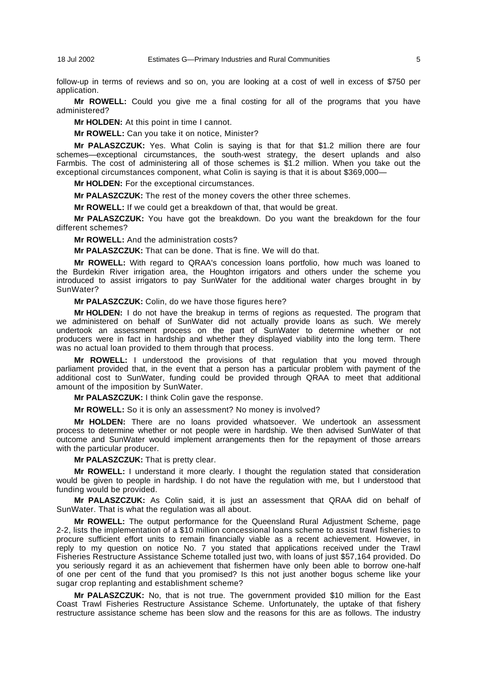follow-up in terms of reviews and so on, you are looking at a cost of well in excess of \$750 per application.

**Mr ROWELL:** Could you give me a final costing for all of the programs that you have administered?

**Mr HOLDEN:** At this point in time I cannot.

**Mr ROWELL:** Can you take it on notice, Minister?

**Mr PALASZCZUK:** Yes. What Colin is saying is that for that \$1.2 million there are four schemes—exceptional circumstances, the south-west strategy, the desert uplands and also Farmbis. The cost of administering all of those schemes is \$1.2 million. When you take out the exceptional circumstances component, what Colin is saying is that it is about \$369,000—

**Mr HOLDEN:** For the exceptional circumstances.

**Mr PALASZCZUK:** The rest of the money covers the other three schemes.

**Mr ROWELL:** If we could get a breakdown of that, that would be great.

**Mr PALASZCZUK:** You have got the breakdown. Do you want the breakdown for the four different schemes?

**Mr ROWELL:** And the administration costs?

**Mr PALASZCZUK:** That can be done. That is fine. We will do that.

**Mr ROWELL:** With regard to QRAA's concession loans portfolio, how much was loaned to the Burdekin River irrigation area, the Houghton irrigators and others under the scheme you introduced to assist irrigators to pay SunWater for the additional water charges brought in by SunWater?

**Mr PALASZCZUK:** Colin, do we have those figures here?

**Mr HOLDEN:** I do not have the breakup in terms of regions as requested. The program that we administered on behalf of SunWater did not actually provide loans as such. We merely undertook an assessment process on the part of SunWater to determine whether or not producers were in fact in hardship and whether they displayed viability into the long term. There was no actual loan provided to them through that process.

**Mr ROWELL:** I understood the provisions of that regulation that you moved through parliament provided that, in the event that a person has a particular problem with payment of the additional cost to SunWater, funding could be provided through QRAA to meet that additional amount of the imposition by SunWater.

**Mr PALASZCZUK:** I think Colin gave the response.

**Mr ROWELL:** So it is only an assessment? No money is involved?

**Mr HOLDEN:** There are no loans provided whatsoever. We undertook an assessment process to determine whether or not people were in hardship. We then advised SunWater of that outcome and SunWater would implement arrangements then for the repayment of those arrears with the particular producer.

**Mr PALASZCZUK:** That is pretty clear.

**Mr ROWELL:** I understand it more clearly. I thought the regulation stated that consideration would be given to people in hardship. I do not have the regulation with me, but I understood that funding would be provided.

**Mr PALASZCZUK:** As Colin said, it is just an assessment that QRAA did on behalf of SunWater. That is what the regulation was all about.

**Mr ROWELL:** The output performance for the Queensland Rural Adjustment Scheme, page 2-2, lists the implementation of a \$10 million concessional loans scheme to assist trawl fisheries to procure sufficient effort units to remain financially viable as a recent achievement. However, in reply to my question on notice No. 7 you stated that applications received under the Trawl Fisheries Restructure Assistance Scheme totalled just two, with loans of just \$57,164 provided. Do you seriously regard it as an achievement that fishermen have only been able to borrow one-half of one per cent of the fund that you promised? Is this not just another bogus scheme like your sugar crop replanting and establishment scheme?

**Mr PALASZCZUK:** No, that is not true. The government provided \$10 million for the East Coast Trawl Fisheries Restructure Assistance Scheme. Unfortunately, the uptake of that fishery restructure assistance scheme has been slow and the reasons for this are as follows. The industry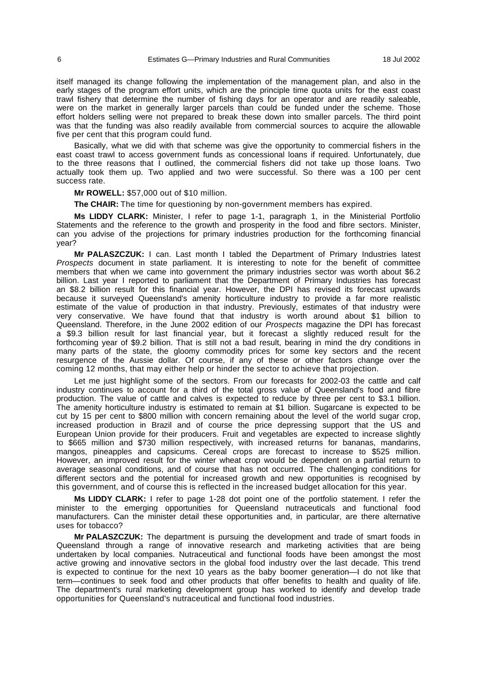itself managed its change following the implementation of the management plan, and also in the early stages of the program effort units, which are the principle time quota units for the east coast trawl fishery that determine the number of fishing days for an operator and are readily saleable, were on the market in generally larger parcels than could be funded under the scheme. Those effort holders selling were not prepared to break these down into smaller parcels. The third point was that the funding was also readily available from commercial sources to acquire the allowable five per cent that this program could fund.

Basically, what we did with that scheme was give the opportunity to commercial fishers in the east coast trawl to access government funds as concessional loans if required. Unfortunately, due to the three reasons that I outlined, the commercial fishers did not take up those loans. Two actually took them up. Two applied and two were successful. So there was a 100 per cent success rate.

**Mr ROWELL:** \$57,000 out of \$10 million.

**The CHAIR:** The time for questioning by non-government members has expired.

**Ms LIDDY CLARK:** Minister, I refer to page 1-1, paragraph 1, in the Ministerial Portfolio Statements and the reference to the growth and prosperity in the food and fibre sectors. Minister, can you advise of the projections for primary industries production for the forthcoming financial year?

**Mr PALASZCZUK:** I can. Last month I tabled the Department of Primary Industries latest Prospects document in state parliament. It is interesting to note for the benefit of committee members that when we came into government the primary industries sector was worth about \$6.2 billion. Last year I reported to parliament that the Department of Primary Industries has forecast an \$8.2 billion result for this financial year. However, the DPI has revised its forecast upwards because it surveyed Queensland's amenity horticulture industry to provide a far more realistic estimate of the value of production in that industry. Previously, estimates of that industry were very conservative. We have found that that industry is worth around about \$1 billion to Queensland. Therefore, in the June 2002 edition of our Prospects magazine the DPI has forecast a \$9.3 billion result for last financial year, but it forecast a slightly reduced result for the forthcoming year of \$9.2 billion. That is still not a bad result, bearing in mind the dry conditions in many parts of the state, the gloomy commodity prices for some key sectors and the recent resurgence of the Aussie dollar. Of course, if any of these or other factors change over the coming 12 months, that may either help or hinder the sector to achieve that projection.

Let me just highlight some of the sectors. From our forecasts for 2002-03 the cattle and calf industry continues to account for a third of the total gross value of Queensland's food and fibre production. The value of cattle and calves is expected to reduce by three per cent to \$3.1 billion. The amenity horticulture industry is estimated to remain at \$1 billion. Sugarcane is expected to be cut by 15 per cent to \$800 million with concern remaining about the level of the world sugar crop, increased production in Brazil and of course the price depressing support that the US and European Union provide for their producers. Fruit and vegetables are expected to increase slightly to \$665 million and \$730 million respectively, with increased returns for bananas, mandarins, mangos, pineapples and capsicums. Cereal crops are forecast to increase to \$525 million. However, an improved result for the winter wheat crop would be dependent on a partial return to average seasonal conditions, and of course that has not occurred. The challenging conditions for different sectors and the potential for increased growth and new opportunities is recognised by this government, and of course this is reflected in the increased budget allocation for this year.

**Ms LIDDY CLARK:** I refer to page 1-28 dot point one of the portfolio statement. I refer the minister to the emerging opportunities for Queensland nutraceuticals and functional food manufacturers. Can the minister detail these opportunities and, in particular, are there alternative uses for tobacco?

**Mr PALASZCZUK:** The department is pursuing the development and trade of smart foods in Queensland through a range of innovative research and marketing activities that are being undertaken by local companies. Nutraceutical and functional foods have been amongst the most active growing and innovative sectors in the global food industry over the last decade. This trend is expected to continue for the next 10 years as the baby boomer generation—I do not like that term—continues to seek food and other products that offer benefits to health and quality of life. The department's rural marketing development group has worked to identify and develop trade opportunities for Queensland's nutraceutical and functional food industries.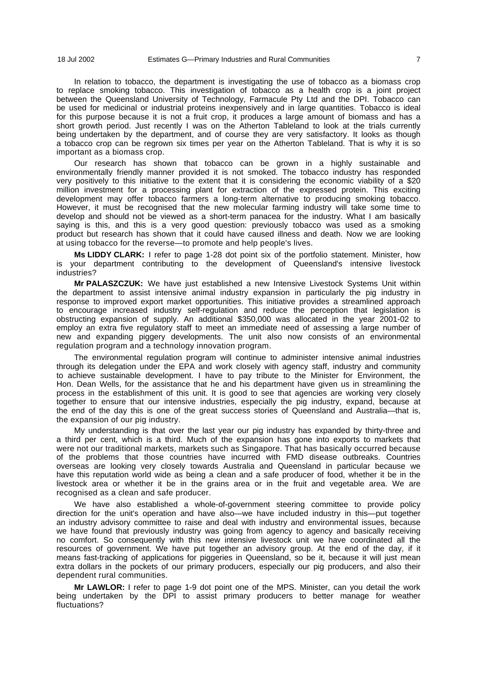In relation to tobacco, the department is investigating the use of tobacco as a biomass crop to replace smoking tobacco. This investigation of tobacco as a health crop is a joint project between the Queensland University of Technology, Farmacule Pty Ltd and the DPI. Tobacco can be used for medicinal or industrial proteins inexpensively and in large quantities. Tobacco is ideal for this purpose because it is not a fruit crop, it produces a large amount of biomass and has a short growth period. Just recently I was on the Atherton Tableland to look at the trials currently being undertaken by the department, and of course they are very satisfactory. It looks as though a tobacco crop can be regrown six times per year on the Atherton Tableland. That is why it is so important as a biomass crop.

Our research has shown that tobacco can be grown in a highly sustainable and environmentally friendly manner provided it is not smoked. The tobacco industry has responded very positively to this initiative to the extent that it is considering the economic viability of a \$20 million investment for a processing plant for extraction of the expressed protein. This exciting development may offer tobacco farmers a long-term alternative to producing smoking tobacco. However, it must be recognised that the new molecular farming industry will take some time to develop and should not be viewed as a short-term panacea for the industry. What I am basically saying is this, and this is a very good question: previously tobacco was used as a smoking product but research has shown that it could have caused illness and death. Now we are looking at using tobacco for the reverse—to promote and help people's lives.

**Ms LIDDY CLARK:** I refer to page 1-28 dot point six of the portfolio statement. Minister, how is your department contributing to the development of Queensland's intensive livestock industries?

**Mr PALASZCZUK:** We have just established a new Intensive Livestock Systems Unit within the department to assist intensive animal industry expansion in particularly the pig industry in response to improved export market opportunities. This initiative provides a streamlined approach to encourage increased industry self-regulation and reduce the perception that legislation is obstructing expansion of supply. An additional \$350,000 was allocated in the year 2001-02 to employ an extra five regulatory staff to meet an immediate need of assessing a large number of new and expanding piggery developments. The unit also now consists of an environmental regulation program and a technology innovation program.

The environmental regulation program will continue to administer intensive animal industries through its delegation under the EPA and work closely with agency staff, industry and community to achieve sustainable development. I have to pay tribute to the Minister for Environment, the Hon. Dean Wells, for the assistance that he and his department have given us in streamlining the process in the establishment of this unit. It is good to see that agencies are working very closely together to ensure that our intensive industries, especially the pig industry, expand, because at the end of the day this is one of the great success stories of Queensland and Australia—that is, the expansion of our pig industry.

My understanding is that over the last year our pig industry has expanded by thirty-three and a third per cent, which is a third. Much of the expansion has gone into exports to markets that were not our traditional markets, markets such as Singapore. That has basically occurred because of the problems that those countries have incurred with FMD disease outbreaks. Countries overseas are looking very closely towards Australia and Queensland in particular because we have this reputation world wide as being a clean and a safe producer of food, whether it be in the livestock area or whether it be in the grains area or in the fruit and vegetable area. We are recognised as a clean and safe producer.

We have also established a whole-of-government steering committee to provide policy direction for the unit's operation and have also—we have included industry in this—put together an industry advisory committee to raise and deal with industry and environmental issues, because we have found that previously industry was going from agency to agency and basically receiving no comfort. So consequently with this new intensive livestock unit we have coordinated all the resources of government. We have put together an advisory group. At the end of the day, if it means fast-tracking of applications for piggeries in Queensland, so be it, because it will just mean extra dollars in the pockets of our primary producers, especially our pig producers, and also their dependent rural communities.

**Mr LAWLOR:** I refer to page 1-9 dot point one of the MPS. Minister, can you detail the work being undertaken by the DPI to assist primary producers to better manage for weather fluctuations?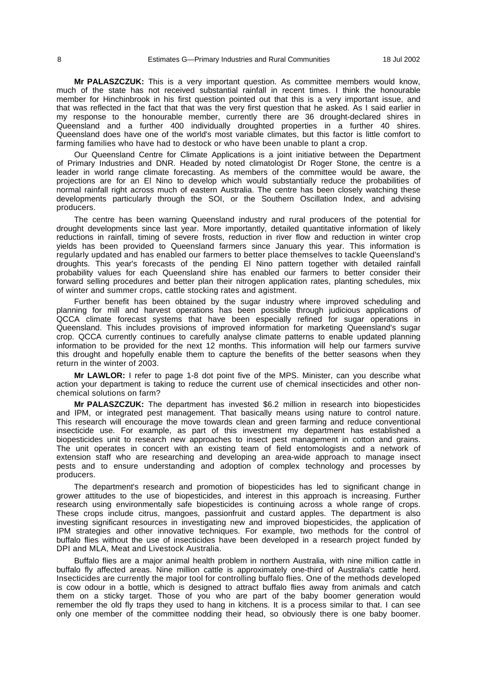**Mr PALASZCZUK:** This is a very important question. As committee members would know, much of the state has not received substantial rainfall in recent times. I think the honourable member for Hinchinbrook in his first question pointed out that this is a very important issue, and that was reflected in the fact that that was the very first question that he asked. As I said earlier in my response to the honourable member, currently there are 36 drought-declared shires in Queensland and a further 400 individually droughted properties in a further 40 shires. Queensland does have one of the world's most variable climates, but this factor is little comfort to farming families who have had to destock or who have been unable to plant a crop.

Our Queensland Centre for Climate Applications is a joint initiative between the Department of Primary Industries and DNR. Headed by noted climatologist Dr Roger Stone, the centre is a leader in world range climate forecasting. As members of the committee would be aware, the projections are for an El Nino to develop which would substantially reduce the probabilities of normal rainfall right across much of eastern Australia. The centre has been closely watching these developments particularly through the SOI, or the Southern Oscillation Index, and advising producers.

The centre has been warning Queensland industry and rural producers of the potential for drought developments since last year. More importantly, detailed quantitative information of likely reductions in rainfall, timing of severe frosts, reduction in river flow and reduction in winter crop yields has been provided to Queensland farmers since January this year. This information is regularly updated and has enabled our farmers to better place themselves to tackle Queensland's droughts. This year's forecasts of the pending El Nino pattern together with detailed rainfall probability values for each Queensland shire has enabled our farmers to better consider their forward selling procedures and better plan their nitrogen application rates, planting schedules, mix of winter and summer crops, cattle stocking rates and agistment.

Further benefit has been obtained by the sugar industry where improved scheduling and planning for mill and harvest operations has been possible through judicious applications of QCCA climate forecast systems that have been especially refined for sugar operations in Queensland. This includes provisions of improved information for marketing Queensland's sugar crop. QCCA currently continues to carefully analyse climate patterns to enable updated planning information to be provided for the next 12 months. This information will help our farmers survive this drought and hopefully enable them to capture the benefits of the better seasons when they return in the winter of 2003.

**Mr LAWLOR:** I refer to page 1-8 dot point five of the MPS. Minister, can you describe what action your department is taking to reduce the current use of chemical insecticides and other nonchemical solutions on farm?

**Mr PALASZCZUK:** The department has invested \$6.2 million in research into biopesticides and IPM, or integrated pest management. That basically means using nature to control nature. This research will encourage the move towards clean and green farming and reduce conventional insecticide use. For example, as part of this investment my department has established a biopesticides unit to research new approaches to insect pest management in cotton and grains. The unit operates in concert with an existing team of field entomologists and a network of extension staff who are researching and developing an area-wide approach to manage insect pests and to ensure understanding and adoption of complex technology and processes by producers.

The department's research and promotion of biopesticides has led to significant change in grower attitudes to the use of biopesticides, and interest in this approach is increasing. Further research using environmentally safe biopesticides is continuing across a whole range of crops. These crops include citrus, mangoes, passionfruit and custard apples. The department is also investing significant resources in investigating new and improved biopesticides, the application of IPM strategies and other innovative techniques. For example, two methods for the control of buffalo flies without the use of insecticides have been developed in a research project funded by DPI and MLA, Meat and Livestock Australia.

Buffalo flies are a major animal health problem in northern Australia, with nine million cattle in buffalo fly affected areas. Nine million cattle is approximately one-third of Australia's cattle herd. Insecticides are currently the major tool for controlling buffalo flies. One of the methods developed is cow odour in a bottle, which is designed to attract buffalo flies away from animals and catch them on a sticky target. Those of you who are part of the baby boomer generation would remember the old fly traps they used to hang in kitchens. It is a process similar to that. I can see only one member of the committee nodding their head, so obviously there is one baby boomer.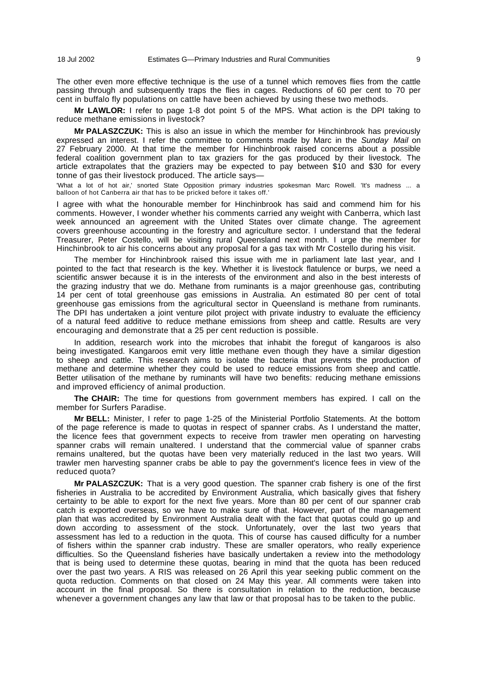The other even more effective technique is the use of a tunnel which removes flies from the cattle passing through and subsequently traps the flies in cages. Reductions of 60 per cent to 70 per cent in buffalo fly populations on cattle have been achieved by using these two methods.

**Mr LAWLOR:** I refer to page 1-8 dot point 5 of the MPS. What action is the DPI taking to reduce methane emissions in livestock?

**Mr PALASZCZUK:** This is also an issue in which the member for Hinchinbrook has previously expressed an interest. I refer the committee to comments made by Marc in the Sunday Mail on 27 February 2000. At that time the member for Hinchinbrook raised concerns about a possible federal coalition government plan to tax graziers for the gas produced by their livestock. The article extrapolates that the graziers may be expected to pay between \$10 and \$30 for every tonne of gas their livestock produced. The article says—

'What a lot of hot air,' snorted State Opposition primary industries spokesman Marc Rowell. 'It's madness ... a balloon of hot Canberra air that has to be pricked before it takes off.'

I agree with what the honourable member for Hinchinbrook has said and commend him for his comments. However, I wonder whether his comments carried any weight with Canberra, which last week announced an agreement with the United States over climate change. The agreement covers greenhouse accounting in the forestry and agriculture sector. I understand that the federal Treasurer, Peter Costello, will be visiting rural Queensland next month. I urge the member for Hinchinbrook to air his concerns about any proposal for a gas tax with Mr Costello during his visit.

The member for Hinchinbrook raised this issue with me in parliament late last year, and I pointed to the fact that research is the key. Whether it is livestock flatulence or burps, we need a scientific answer because it is in the interests of the environment and also in the best interests of the grazing industry that we do. Methane from ruminants is a major greenhouse gas, contributing 14 per cent of total greenhouse gas emissions in Australia. An estimated 80 per cent of total greenhouse gas emissions from the agricultural sector in Queensland is methane from ruminants. The DPI has undertaken a joint venture pilot project with private industry to evaluate the efficiency of a natural feed additive to reduce methane emissions from sheep and cattle. Results are very encouraging and demonstrate that a 25 per cent reduction is possible.

In addition, research work into the microbes that inhabit the foregut of kangaroos is also being investigated. Kangaroos emit very little methane even though they have a similar digestion to sheep and cattle. This research aims to isolate the bacteria that prevents the production of methane and determine whether they could be used to reduce emissions from sheep and cattle. Better utilisation of the methane by ruminants will have two benefits: reducing methane emissions and improved efficiency of animal production.

**The CHAIR:** The time for questions from government members has expired. I call on the member for Surfers Paradise.

**Mr BELL:** Minister, I refer to page 1-25 of the Ministerial Portfolio Statements. At the bottom of the page reference is made to quotas in respect of spanner crabs. As I understand the matter, the licence fees that government expects to receive from trawler men operating on harvesting spanner crabs will remain unaltered. I understand that the commercial value of spanner crabs remains unaltered, but the quotas have been very materially reduced in the last two years. Will trawler men harvesting spanner crabs be able to pay the government's licence fees in view of the reduced quota?

**Mr PALASZCZUK:** That is a very good question. The spanner crab fishery is one of the first fisheries in Australia to be accredited by Environment Australia, which basically gives that fishery certainty to be able to export for the next five years. More than 80 per cent of our spanner crab catch is exported overseas, so we have to make sure of that. However, part of the management plan that was accredited by Environment Australia dealt with the fact that quotas could go up and down according to assessment of the stock. Unfortunately, over the last two years that assessment has led to a reduction in the quota. This of course has caused difficulty for a number of fishers within the spanner crab industry. These are smaller operators, who really experience difficulties. So the Queensland fisheries have basically undertaken a review into the methodology that is being used to determine these quotas, bearing in mind that the quota has been reduced over the past two years. A RIS was released on 26 April this year seeking public comment on the quota reduction. Comments on that closed on 24 May this year. All comments were taken into account in the final proposal. So there is consultation in relation to the reduction, because whenever a government changes any law that law or that proposal has to be taken to the public.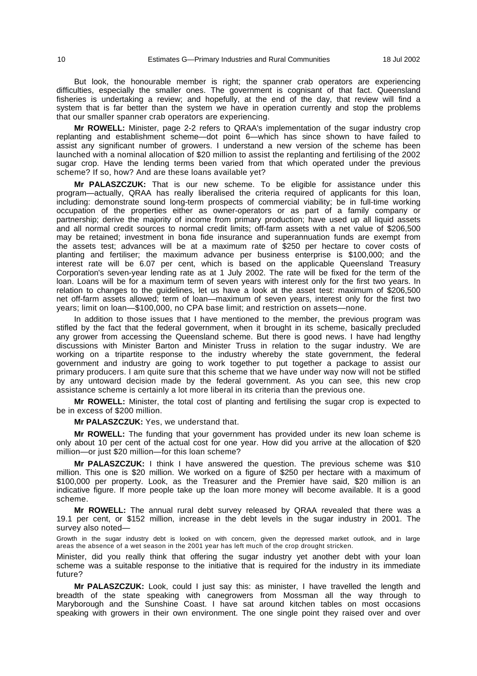But look, the honourable member is right; the spanner crab operators are experiencing difficulties, especially the smaller ones. The government is cognisant of that fact. Queensland fisheries is undertaking a review; and hopefully, at the end of the day, that review will find a system that is far better than the system we have in operation currently and stop the problems that our smaller spanner crab operators are experiencing.

**Mr ROWELL:** Minister, page 2-2 refers to QRAA's implementation of the sugar industry crop replanting and establishment scheme—dot point 6—which has since shown to have failed to assist any significant number of growers. I understand a new version of the scheme has been launched with a nominal allocation of \$20 million to assist the replanting and fertilising of the 2002 sugar crop. Have the lending terms been varied from that which operated under the previous scheme? If so, how? And are these loans available yet?

**Mr PALASZCZUK:** That is our new scheme. To be eligible for assistance under this program—actually, QRAA has really liberalised the criteria required of applicants for this loan, including: demonstrate sound long-term prospects of commercial viability; be in full-time working occupation of the properties either as owner-operators or as part of a family company or partnership; derive the majority of income from primary production; have used up all liquid assets and all normal credit sources to normal credit limits; off-farm assets with a net value of \$206,500 may be retained; investment in bona fide insurance and superannuation funds are exempt from the assets test; advances will be at a maximum rate of \$250 per hectare to cover costs of planting and fertiliser; the maximum advance per business enterprise is \$100,000; and the interest rate will be 6.07 per cent, which is based on the applicable Queensland Treasury Corporation's seven-year lending rate as at 1 July 2002. The rate will be fixed for the term of the loan. Loans will be for a maximum term of seven years with interest only for the first two years. In relation to changes to the guidelines, let us have a look at the asset test: maximum of \$206,500 net off-farm assets allowed; term of loan—maximum of seven years, interest only for the first two years; limit on loan—\$100,000, no CPA base limit; and restriction on assets—none.

In addition to those issues that I have mentioned to the member, the previous program was stifled by the fact that the federal government, when it brought in its scheme, basically precluded any grower from accessing the Queensland scheme. But there is good news. I have had lengthy discussions with Minister Barton and Minister Truss in relation to the sugar industry. We are working on a tripartite response to the industry whereby the state government, the federal government and industry are going to work together to put together a package to assist our primary producers. I am quite sure that this scheme that we have under way now will not be stifled by any untoward decision made by the federal government. As you can see, this new crop assistance scheme is certainly a lot more liberal in its criteria than the previous one.

**Mr ROWELL:** Minister, the total cost of planting and fertilising the sugar crop is expected to be in excess of \$200 million.

**Mr PALASZCZUK:** Yes, we understand that.

**Mr ROWELL:** The funding that your government has provided under its new loan scheme is only about 10 per cent of the actual cost for one year. How did you arrive at the allocation of \$20 million—or just \$20 million—for this loan scheme?

**Mr PALASZCZUK:** I think I have answered the question. The previous scheme was \$10 million. This one is \$20 million. We worked on a figure of \$250 per hectare with a maximum of \$100,000 per property. Look, as the Treasurer and the Premier have said, \$20 million is an indicative figure. If more people take up the loan more money will become available. It is a good scheme.

**Mr ROWELL:** The annual rural debt survey released by QRAA revealed that there was a 19.1 per cent, or \$152 million, increase in the debt levels in the sugar industry in 2001. The survey also noted—

Growth in the sugar industry debt is looked on with concern, given the depressed market outlook, and in large areas the absence of a wet season in the 2001 year has left much of the crop drought stricken.

Minister, did you really think that offering the sugar industry yet another debt with your loan scheme was a suitable response to the initiative that is required for the industry in its immediate future?

**Mr PALASZCZUK:** Look, could I just say this: as minister, I have travelled the length and breadth of the state speaking with canegrowers from Mossman all the way through to Maryborough and the Sunshine Coast. I have sat around kitchen tables on most occasions speaking with growers in their own environment. The one single point they raised over and over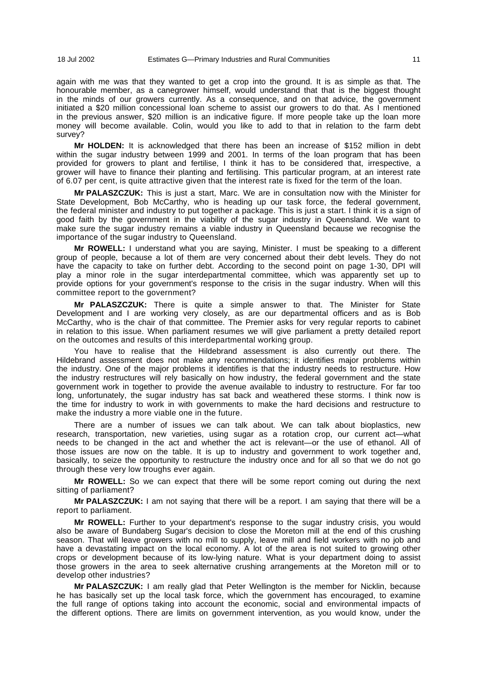again with me was that they wanted to get a crop into the ground. It is as simple as that. The honourable member, as a canegrower himself, would understand that that is the biggest thought in the minds of our growers currently. As a consequence, and on that advice, the government initiated a \$20 million concessional loan scheme to assist our growers to do that. As I mentioned in the previous answer, \$20 million is an indicative figure. If more people take up the loan more money will become available. Colin, would you like to add to that in relation to the farm debt survey?

**Mr HOLDEN:** It is acknowledged that there has been an increase of \$152 million in debt within the sugar industry between 1999 and 2001. In terms of the loan program that has been provided for growers to plant and fertilise, I think it has to be considered that, irrespective, a grower will have to finance their planting and fertilising. This particular program, at an interest rate of 6.07 per cent, is quite attractive given that the interest rate is fixed for the term of the loan.

**Mr PALASZCZUK:** This is just a start, Marc. We are in consultation now with the Minister for State Development, Bob McCarthy, who is heading up our task force, the federal government, the federal minister and industry to put together a package. This is just a start. I think it is a sign of good faith by the government in the viability of the sugar industry in Queensland. We want to make sure the sugar industry remains a viable industry in Queensland because we recognise the importance of the sugar industry to Queensland.

**Mr ROWELL:** I understand what you are saying, Minister. I must be speaking to a different group of people, because a lot of them are very concerned about their debt levels. They do not have the capacity to take on further debt. According to the second point on page 1-30, DPI will play a minor role in the sugar interdepartmental committee, which was apparently set up to provide options for your government's response to the crisis in the sugar industry. When will this committee report to the government?

**Mr PALASZCZUK:** There is quite a simple answer to that. The Minister for State Development and I are working very closely, as are our departmental officers and as is Bob McCarthy, who is the chair of that committee. The Premier asks for very regular reports to cabinet in relation to this issue. When parliament resumes we will give parliament a pretty detailed report on the outcomes and results of this interdepartmental working group.

You have to realise that the Hildebrand assessment is also currently out there. The Hildebrand assessment does not make any recommendations; it identifies major problems within the industry. One of the major problems it identifies is that the industry needs to restructure. How the industry restructures will rely basically on how industry, the federal government and the state government work in together to provide the avenue available to industry to restructure. For far too long, unfortunately, the sugar industry has sat back and weathered these storms. I think now is the time for industry to work in with governments to make the hard decisions and restructure to make the industry a more viable one in the future.

There are a number of issues we can talk about. We can talk about bioplastics, new research, transportation, new varieties, using sugar as a rotation crop, our current act—what needs to be changed in the act and whether the act is relevant—or the use of ethanol. All of those issues are now on the table. It is up to industry and government to work together and, basically, to seize the opportunity to restructure the industry once and for all so that we do not go through these very low troughs ever again.

**Mr ROWELL:** So we can expect that there will be some report coming out during the next sitting of parliament?

**Mr PALASZCZUK:** I am not saying that there will be a report. I am saying that there will be a report to parliament.

**Mr ROWELL:** Further to your department's response to the sugar industry crisis, you would also be aware of Bundaberg Sugar's decision to close the Moreton mill at the end of this crushing season. That will leave growers with no mill to supply, leave mill and field workers with no job and have a devastating impact on the local economy. A lot of the area is not suited to growing other crops or development because of its low-lying nature. What is your department doing to assist those growers in the area to seek alternative crushing arrangements at the Moreton mill or to develop other industries?

**Mr PALASZCZUK:** I am really glad that Peter Wellington is the member for Nicklin, because he has basically set up the local task force, which the government has encouraged, to examine the full range of options taking into account the economic, social and environmental impacts of the different options. There are limits on government intervention, as you would know, under the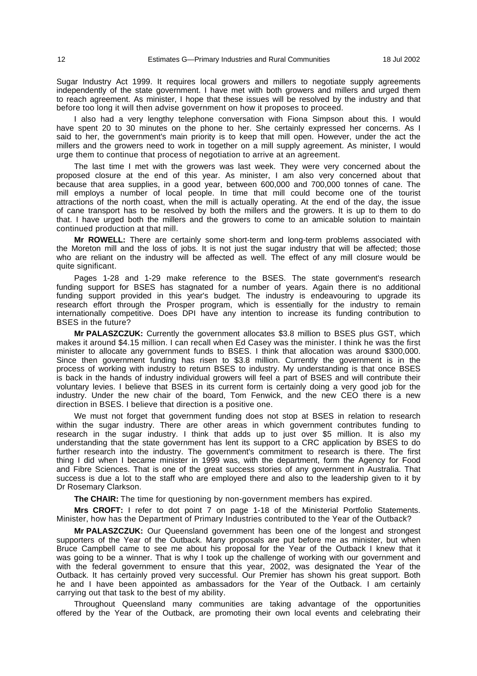Sugar Industry Act 1999. It requires local growers and millers to negotiate supply agreements independently of the state government. I have met with both growers and millers and urged them to reach agreement. As minister, I hope that these issues will be resolved by the industry and that before too long it will then advise government on how it proposes to proceed.

I also had a very lengthy telephone conversation with Fiona Simpson about this. I would have spent 20 to 30 minutes on the phone to her. She certainly expressed her concerns. As I said to her, the government's main priority is to keep that mill open. However, under the act the millers and the growers need to work in together on a mill supply agreement. As minister, I would urge them to continue that process of negotiation to arrive at an agreement.

The last time I met with the growers was last week. They were very concerned about the proposed closure at the end of this year. As minister, I am also very concerned about that because that area supplies, in a good year, between 600,000 and 700,000 tonnes of cane. The mill employs a number of local people. In time that mill could become one of the tourist attractions of the north coast, when the mill is actually operating. At the end of the day, the issue of cane transport has to be resolved by both the millers and the growers. It is up to them to do that. I have urged both the millers and the growers to come to an amicable solution to maintain continued production at that mill.

**Mr ROWELL:** There are certainly some short-term and long-term problems associated with the Moreton mill and the loss of jobs. It is not just the sugar industry that will be affected; those who are reliant on the industry will be affected as well. The effect of any mill closure would be quite significant.

Pages 1-28 and 1-29 make reference to the BSES. The state government's research funding support for BSES has stagnated for a number of years. Again there is no additional funding support provided in this year's budget. The industry is endeavouring to upgrade its research effort through the Prosper program, which is essentially for the industry to remain internationally competitive. Does DPI have any intention to increase its funding contribution to BSES in the future?

**Mr PALASZCZUK:** Currently the government allocates \$3.8 million to BSES plus GST, which makes it around \$4.15 million. I can recall when Ed Casey was the minister. I think he was the first minister to allocate any government funds to BSES. I think that allocation was around \$300,000. Since then government funding has risen to \$3.8 million. Currently the government is in the process of working with industry to return BSES to industry. My understanding is that once BSES is back in the hands of industry individual growers will feel a part of BSES and will contribute their voluntary levies. I believe that BSES in its current form is certainly doing a very good job for the industry. Under the new chair of the board, Tom Fenwick, and the new CEO there is a new direction in BSES. I believe that direction is a positive one.

We must not forget that government funding does not stop at BSES in relation to research within the sugar industry. There are other areas in which government contributes funding to research in the sugar industry. I think that adds up to just over \$5 million. It is also my understanding that the state government has lent its support to a CRC application by BSES to do further research into the industry. The government's commitment to research is there. The first thing I did when I became minister in 1999 was, with the department, form the Agency for Food and Fibre Sciences. That is one of the great success stories of any government in Australia. That success is due a lot to the staff who are employed there and also to the leadership given to it by Dr Rosemary Clarkson.

**The CHAIR:** The time for questioning by non-government members has expired.

**Mrs CROFT:** I refer to dot point 7 on page 1-18 of the Ministerial Portfolio Statements. Minister, how has the Department of Primary Industries contributed to the Year of the Outback?

**Mr PALASZCZUK:** Our Queensland government has been one of the longest and strongest supporters of the Year of the Outback. Many proposals are put before me as minister, but when Bruce Campbell came to see me about his proposal for the Year of the Outback I knew that it was going to be a winner. That is why I took up the challenge of working with our government and with the federal government to ensure that this year, 2002, was designated the Year of the Outback. It has certainly proved very successful. Our Premier has shown his great support. Both he and I have been appointed as ambassadors for the Year of the Outback. I am certainly carrying out that task to the best of my ability.

Throughout Queensland many communities are taking advantage of the opportunities offered by the Year of the Outback, are promoting their own local events and celebrating their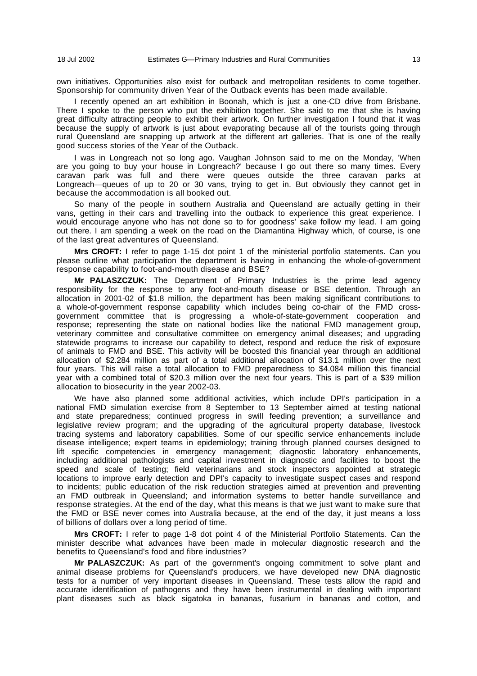own initiatives. Opportunities also exist for outback and metropolitan residents to come together. Sponsorship for community driven Year of the Outback events has been made available.

I recently opened an art exhibition in Boonah, which is just a one-CD drive from Brisbane. There I spoke to the person who put the exhibition together. She said to me that she is having great difficulty attracting people to exhibit their artwork. On further investigation I found that it was because the supply of artwork is just about evaporating because all of the tourists going through rural Queensland are snapping up artwork at the different art galleries. That is one of the really good success stories of the Year of the Outback.

I was in Longreach not so long ago. Vaughan Johnson said to me on the Monday, 'When are you going to buy your house in Longreach?' because I go out there so many times. Every caravan park was full and there were queues outside the three caravan parks at Longreach—queues of up to 20 or 30 vans, trying to get in. But obviously they cannot get in because the accommodation is all booked out.

So many of the people in southern Australia and Queensland are actually getting in their vans, getting in their cars and travelling into the outback to experience this great experience. I would encourage anyone who has not done so to for goodness' sake follow my lead. I am going out there. I am spending a week on the road on the Diamantina Highway which, of course, is one of the last great adventures of Queensland.

**Mrs CROFT:** I refer to page 1-15 dot point 1 of the ministerial portfolio statements. Can you please outline what participation the department is having in enhancing the whole-of-government response capability to foot-and-mouth disease and BSE?

**Mr PALASZCZUK:** The Department of Primary Industries is the prime lead agency responsibility for the response to any foot-and-mouth disease or BSE detention. Through an allocation in 2001-02 of \$1.8 million, the department has been making significant contributions to a whole-of-government response capability which includes being co-chair of the FMD crossgovernment committee that is progressing a whole-of-state-government cooperation and response; representing the state on national bodies like the national FMD management group, veterinary committee and consultative committee on emergency animal diseases; and upgrading statewide programs to increase our capability to detect, respond and reduce the risk of exposure of animals to FMD and BSE. This activity will be boosted this financial year through an additional allocation of \$2.284 million as part of a total additional allocation of \$13.1 million over the next four years. This will raise a total allocation to FMD preparedness to \$4.084 million this financial year with a combined total of \$20.3 million over the next four years. This is part of a \$39 million allocation to biosecurity in the year 2002-03.

We have also planned some additional activities, which include DPI's participation in a national FMD simulation exercise from 8 September to 13 September aimed at testing national and state preparedness; continued progress in swill feeding prevention; a surveillance and legislative review program; and the upgrading of the agricultural property database, livestock tracing systems and laboratory capabilities. Some of our specific service enhancements include disease intelligence; expert teams in epidemiology; training through planned courses designed to lift specific competencies in emergency management; diagnostic laboratory enhancements, including additional pathologists and capital investment in diagnostic and facilities to boost the speed and scale of testing; field veterinarians and stock inspectors appointed at strategic locations to improve early detection and DPI's capacity to investigate suspect cases and respond to incidents; public education of the risk reduction strategies aimed at prevention and preventing an FMD outbreak in Queensland; and information systems to better handle surveillance and response strategies. At the end of the day, what this means is that we just want to make sure that the FMD or BSE never comes into Australia because, at the end of the day, it just means a loss of billions of dollars over a long period of time.

**Mrs CROFT:** I refer to page 1-8 dot point 4 of the Ministerial Portfolio Statements. Can the minister describe what advances have been made in molecular diagnostic research and the benefits to Queensland's food and fibre industries?

**Mr PALASZCZUK:** As part of the government's ongoing commitment to solve plant and animal disease problems for Queensland's producers, we have developed new DNA diagnostic tests for a number of very important diseases in Queensland. These tests allow the rapid and accurate identification of pathogens and they have been instrumental in dealing with important plant diseases such as black sigatoka in bananas, fusarium in bananas and cotton, and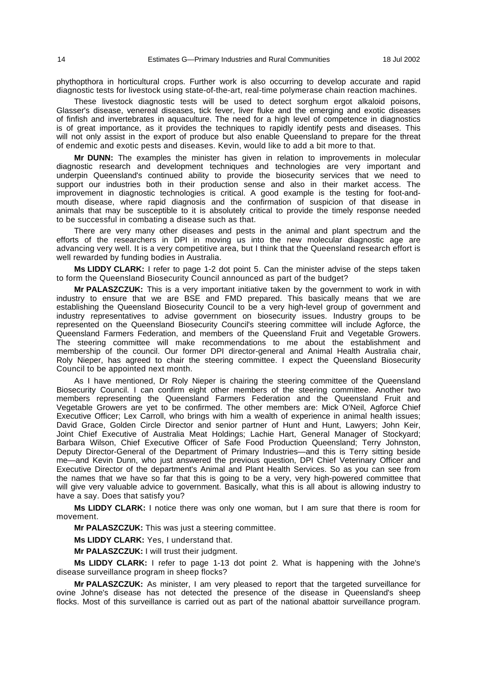phythopthora in horticultural crops. Further work is also occurring to develop accurate and rapid diagnostic tests for livestock using state-of-the-art, real-time polymerase chain reaction machines.

These livestock diagnostic tests will be used to detect sorghum ergot alkaloid poisons, Glasser's disease, venereal diseases, tick fever, liver fluke and the emerging and exotic diseases of finfish and invertebrates in aquaculture. The need for a high level of competence in diagnostics is of great importance, as it provides the techniques to rapidly identify pests and diseases. This will not only assist in the export of produce but also enable Queensland to prepare for the threat of endemic and exotic pests and diseases. Kevin, would like to add a bit more to that.

**Mr DUNN:** The examples the minister has given in relation to improvements in molecular diagnostic research and development techniques and technologies are very important and underpin Queensland's continued ability to provide the biosecurity services that we need to support our industries both in their production sense and also in their market access. The improvement in diagnostic technologies is critical. A good example is the testing for foot-andmouth disease, where rapid diagnosis and the confirmation of suspicion of that disease in animals that may be susceptible to it is absolutely critical to provide the timely response needed to be successful in combating a disease such as that.

There are very many other diseases and pests in the animal and plant spectrum and the efforts of the researchers in DPI in moving us into the new molecular diagnostic age are advancing very well. It is a very competitive area, but I think that the Queensland research effort is well rewarded by funding bodies in Australia.

**Ms LIDDY CLARK:** I refer to page 1-2 dot point 5. Can the minister advise of the steps taken to form the Queensland Biosecurity Council announced as part of the budget?

**Mr PALASZCZUK:** This is a very important initiative taken by the government to work in with industry to ensure that we are BSE and FMD prepared. This basically means that we are establishing the Queensland Biosecurity Council to be a very high-level group of government and industry representatives to advise government on biosecurity issues. Industry groups to be represented on the Queensland Biosecurity Council's steering committee will include Agforce, the Queensland Farmers Federation, and members of the Queensland Fruit and Vegetable Growers. The steering committee will make recommendations to me about the establishment and membership of the council. Our former DPI director-general and Animal Health Australia chair, Roly Nieper, has agreed to chair the steering committee. I expect the Queensland Biosecurity Council to be appointed next month.

As I have mentioned, Dr Roly Nieper is chairing the steering committee of the Queensland Biosecurity Council. I can confirm eight other members of the steering committee. Another two members representing the Queensland Farmers Federation and the Queensland Fruit and Vegetable Growers are yet to be confirmed. The other members are: Mick O'Neil, Agforce Chief Executive Officer; Lex Carroll, who brings with him a wealth of experience in animal health issues; David Grace, Golden Circle Director and senior partner of Hunt and Hunt, Lawyers; John Keir, Joint Chief Executive of Australia Meat Holdings; Lachie Hart, General Manager of Stockyard; Barbara Wilson, Chief Executive Officer of Safe Food Production Queensland; Terry Johnston, Deputy Director-General of the Department of Primary Industries—and this is Terry sitting beside me—and Kevin Dunn, who just answered the previous question, DPI Chief Veterinary Officer and Executive Director of the department's Animal and Plant Health Services. So as you can see from the names that we have so far that this is going to be a very, very high-powered committee that will give very valuable advice to government. Basically, what this is all about is allowing industry to have a say. Does that satisfy you?

**Ms LIDDY CLARK:** I notice there was only one woman, but I am sure that there is room for movement.

**Mr PALASZCZUK:** This was just a steering committee.

**Ms LIDDY CLARK:** Yes, I understand that.

**Mr PALASZCZUK:** I will trust their judgment.

**Ms LIDDY CLARK:** I refer to page 1-13 dot point 2. What is happening with the Johne's disease surveillance program in sheep flocks?

**Mr PALASZCZUK:** As minister, I am very pleased to report that the targeted surveillance for ovine Johne's disease has not detected the presence of the disease in Queensland's sheep flocks. Most of this surveillance is carried out as part of the national abattoir surveillance program.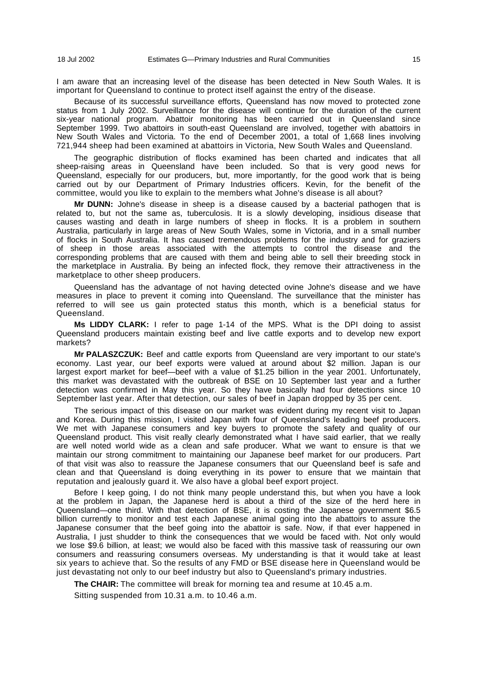I am aware that an increasing level of the disease has been detected in New South Wales. It is important for Queensland to continue to protect itself against the entry of the disease.

Because of its successful surveillance efforts, Queensland has now moved to protected zone status from 1 July 2002. Surveillance for the disease will continue for the duration of the current six-year national program. Abattoir monitoring has been carried out in Queensland since September 1999. Two abattoirs in south-east Queensland are involved, together with abattoirs in New South Wales and Victoria. To the end of December 2001, a total of 1,668 lines involving 721,944 sheep had been examined at abattoirs in Victoria, New South Wales and Queensland.

The geographic distribution of flocks examined has been charted and indicates that all sheep-raising areas in Queensland have been included. So that is very good news for Queensland, especially for our producers, but, more importantly, for the good work that is being carried out by our Department of Primary Industries officers. Kevin, for the benefit of the committee, would you like to explain to the members what Johne's disease is all about?

**Mr DUNN:** Johne's disease in sheep is a disease caused by a bacterial pathogen that is related to, but not the same as, tuberculosis. It is a slowly developing, insidious disease that causes wasting and death in large numbers of sheep in flocks. It is a problem in southern Australia, particularly in large areas of New South Wales, some in Victoria, and in a small number of flocks in South Australia. It has caused tremendous problems for the industry and for graziers of sheep in those areas associated with the attempts to control the disease and the corresponding problems that are caused with them and being able to sell their breeding stock in the marketplace in Australia. By being an infected flock, they remove their attractiveness in the marketplace to other sheep producers.

Queensland has the advantage of not having detected ovine Johne's disease and we have measures in place to prevent it coming into Queensland. The surveillance that the minister has referred to will see us gain protected status this month, which is a beneficial status for Queensland.

**Ms LIDDY CLARK:** I refer to page 1-14 of the MPS. What is the DPI doing to assist Queensland producers maintain existing beef and live cattle exports and to develop new export markets?

**Mr PALASZCZUK:** Beef and cattle exports from Queensland are very important to our state's economy. Last year, our beef exports were valued at around about \$2 million. Japan is our largest export market for beef—beef with a value of \$1.25 billion in the year 2001. Unfortunately, this market was devastated with the outbreak of BSE on 10 September last year and a further detection was confirmed in May this year. So they have basically had four detections since 10 September last year. After that detection, our sales of beef in Japan dropped by 35 per cent.

The serious impact of this disease on our market was evident during my recent visit to Japan and Korea. During this mission, I visited Japan with four of Queensland's leading beef producers. We met with Japanese consumers and key buyers to promote the safety and quality of our Queensland product. This visit really clearly demonstrated what I have said earlier, that we really are well noted world wide as a clean and safe producer. What we want to ensure is that we maintain our strong commitment to maintaining our Japanese beef market for our producers. Part of that visit was also to reassure the Japanese consumers that our Queensland beef is safe and clean and that Queensland is doing everything in its power to ensure that we maintain that reputation and jealously guard it. We also have a global beef export project.

Before I keep going, I do not think many people understand this, but when you have a look at the problem in Japan, the Japanese herd is about a third of the size of the herd here in Queensland—one third. With that detection of BSE, it is costing the Japanese government \$6.5 billion currently to monitor and test each Japanese animal going into the abattoirs to assure the Japanese consumer that the beef going into the abattoir is safe. Now, if that ever happened in Australia, I just shudder to think the consequences that we would be faced with. Not only would we lose \$9.6 billion, at least; we would also be faced with this massive task of reassuring our own consumers and reassuring consumers overseas. My understanding is that it would take at least six years to achieve that. So the results of any FMD or BSE disease here in Queensland would be just devastating not only to our beef industry but also to Queensland's primary industries.

**The CHAIR:** The committee will break for morning tea and resume at 10.45 a.m.

Sitting suspended from 10.31 a.m. to 10.46 a.m.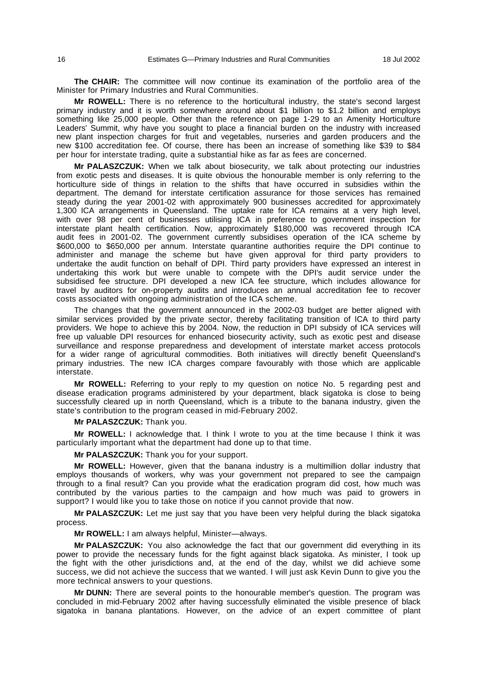**The CHAIR:** The committee will now continue its examination of the portfolio area of the Minister for Primary Industries and Rural Communities.

**Mr ROWELL:** There is no reference to the horticultural industry, the state's second largest primary industry and it is worth somewhere around about \$1 billion to \$1.2 billion and employs something like 25,000 people. Other than the reference on page 1-29 to an Amenity Horticulture Leaders' Summit, why have you sought to place a financial burden on the industry with increased new plant inspection charges for fruit and vegetables, nurseries and garden producers and the new \$100 accreditation fee. Of course, there has been an increase of something like \$39 to \$84 per hour for interstate trading, quite a substantial hike as far as fees are concerned.

**Mr PALASZCZUK:** When we talk about biosecurity, we talk about protecting our industries from exotic pests and diseases. It is quite obvious the honourable member is only referring to the horticulture side of things in relation to the shifts that have occurred in subsidies within the department. The demand for interstate certification assurance for those services has remained steady during the year 2001-02 with approximately 900 businesses accredited for approximately 1,300 ICA arrangements in Queensland. The uptake rate for ICA remains at a very high level, with over 98 per cent of businesses utilising ICA in preference to government inspection for interstate plant health certification. Now, approximately \$180,000 was recovered through ICA audit fees in 2001-02. The government currently subsidises operation of the ICA scheme by \$600,000 to \$650,000 per annum. Interstate quarantine authorities require the DPI continue to administer and manage the scheme but have given approval for third party providers to undertake the audit function on behalf of DPI. Third party providers have expressed an interest in undertaking this work but were unable to compete with the DPI's audit service under the subsidised fee structure. DPI developed a new ICA fee structure, which includes allowance for travel by auditors for on-property audits and introduces an annual accreditation fee to recover costs associated with ongoing administration of the ICA scheme.

The changes that the government announced in the 2002-03 budget are better aligned with similar services provided by the private sector, thereby facilitating transition of ICA to third party providers. We hope to achieve this by 2004. Now, the reduction in DPI subsidy of ICA services will free up valuable DPI resources for enhanced biosecurity activity, such as exotic pest and disease surveillance and response preparedness and development of interstate market access protocols for a wider range of agricultural commodities. Both initiatives will directly benefit Queensland's primary industries. The new ICA charges compare favourably with those which are applicable interstate.

**Mr ROWELL:** Referring to your reply to my question on notice No. 5 regarding pest and disease eradication programs administered by your department, black sigatoka is close to being successfully cleared up in north Queensland, which is a tribute to the banana industry, given the state's contribution to the program ceased in mid-February 2002.

**Mr PALASZCZUK:** Thank you.

**Mr ROWELL:** I acknowledge that. I think I wrote to you at the time because I think it was particularly important what the department had done up to that time.

**Mr PALASZCZUK:** Thank you for your support.

**Mr ROWELL:** However, given that the banana industry is a multimillion dollar industry that employs thousands of workers, why was your government not prepared to see the campaign through to a final result? Can you provide what the eradication program did cost, how much was contributed by the various parties to the campaign and how much was paid to growers in support? I would like you to take those on notice if you cannot provide that now.

**Mr PALASZCZUK:** Let me just say that you have been very helpful during the black sigatoka process.

**Mr ROWELL:** I am always helpful, Minister—always.

**Mr PALASZCZUK:** You also acknowledge the fact that our government did everything in its power to provide the necessary funds for the fight against black sigatoka. As minister, I took up the fight with the other jurisdictions and, at the end of the day, whilst we did achieve some success, we did not achieve the success that we wanted. I will just ask Kevin Dunn to give you the more technical answers to your questions.

**Mr DUNN:** There are several points to the honourable member's question. The program was concluded in mid-February 2002 after having successfully eliminated the visible presence of black sigatoka in banana plantations. However, on the advice of an expert committee of plant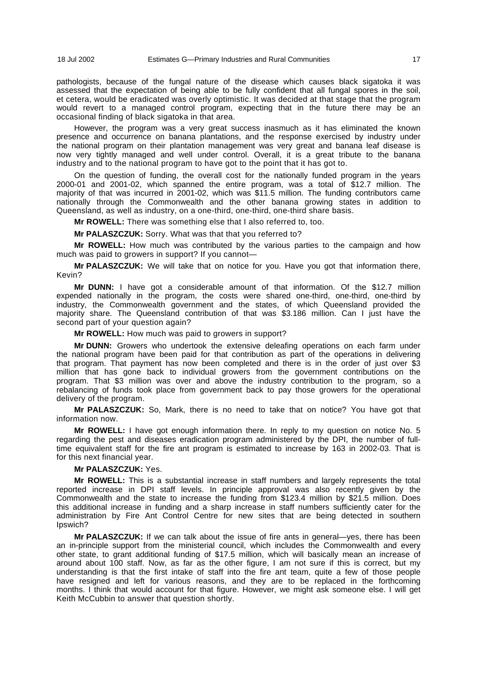pathologists, because of the fungal nature of the disease which causes black sigatoka it was assessed that the expectation of being able to be fully confident that all fungal spores in the soil, et cetera, would be eradicated was overly optimistic. It was decided at that stage that the program would revert to a managed control program, expecting that in the future there may be an occasional finding of black sigatoka in that area.

However, the program was a very great success inasmuch as it has eliminated the known presence and occurrence on banana plantations, and the response exercised by industry under the national program on their plantation management was very great and banana leaf disease is now very tightly managed and well under control. Overall, it is a great tribute to the banana industry and to the national program to have got to the point that it has got to.

On the question of funding, the overall cost for the nationally funded program in the years 2000-01 and 2001-02, which spanned the entire program, was a total of \$12.7 million. The majority of that was incurred in 2001-02, which was \$11.5 million. The funding contributors came nationally through the Commonwealth and the other banana growing states in addition to Queensland, as well as industry, on a one-third, one-third, one-third share basis.

**Mr ROWELL:** There was something else that I also referred to, too.

**Mr PALASZCZUK:** Sorry. What was that that you referred to?

**Mr ROWELL:** How much was contributed by the various parties to the campaign and how much was paid to growers in support? If you cannot—

**Mr PALASZCZUK:** We will take that on notice for you. Have you got that information there, Kevin?

**Mr DUNN:** I have got a considerable amount of that information. Of the \$12.7 million expended nationally in the program, the costs were shared one-third, one-third, one-third by industry, the Commonwealth government and the states, of which Queensland provided the majority share. The Queensland contribution of that was \$3.186 million. Can I just have the second part of your question again?

**Mr ROWELL:** How much was paid to growers in support?

**Mr DUNN:** Growers who undertook the extensive deleafing operations on each farm under the national program have been paid for that contribution as part of the operations in delivering that program. That payment has now been completed and there is in the order of just over \$3 million that has gone back to individual growers from the government contributions on the program. That \$3 million was over and above the industry contribution to the program, so a rebalancing of funds took place from government back to pay those growers for the operational delivery of the program.

**Mr PALASZCZUK:** So, Mark, there is no need to take that on notice? You have got that information now.

**Mr ROWELL:** I have got enough information there. In reply to my question on notice No. 5 regarding the pest and diseases eradication program administered by the DPI, the number of fulltime equivalent staff for the fire ant program is estimated to increase by 163 in 2002-03. That is for this next financial year.

#### **Mr PALASZCZUK:** Yes.

**Mr ROWELL:** This is a substantial increase in staff numbers and largely represents the total reported increase in DPI staff levels. In principle approval was also recently given by the Commonwealth and the state to increase the funding from \$123.4 million by \$21.5 million. Does this additional increase in funding and a sharp increase in staff numbers sufficiently cater for the administration by Fire Ant Control Centre for new sites that are being detected in southern Ipswich?

**Mr PALASZCZUK:** If we can talk about the issue of fire ants in general—yes, there has been an in-principle support from the ministerial council, which includes the Commonwealth and every other state, to grant additional funding of \$17.5 million, which will basically mean an increase of around about 100 staff. Now, as far as the other figure, I am not sure if this is correct, but my understanding is that the first intake of staff into the fire ant team, quite a few of those people have resigned and left for various reasons, and they are to be replaced in the forthcoming months. I think that would account for that figure. However, we might ask someone else. I will get Keith McCubbin to answer that question shortly.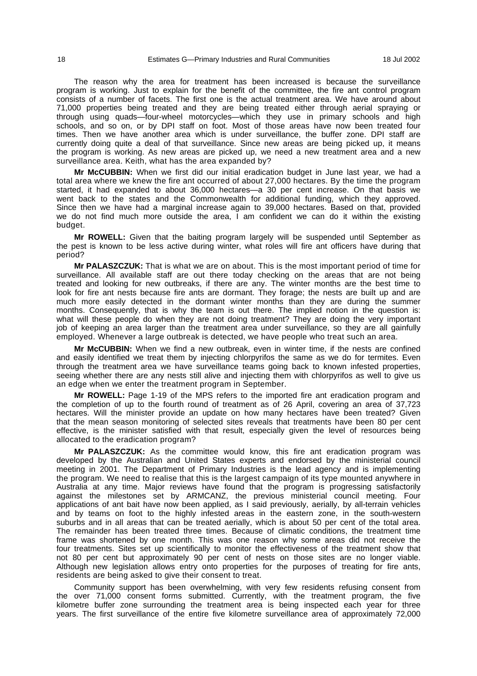The reason why the area for treatment has been increased is because the surveillance program is working. Just to explain for the benefit of the committee, the fire ant control program consists of a number of facets. The first one is the actual treatment area. We have around about 71,000 properties being treated and they are being treated either through aerial spraying or through using quads—four-wheel motorcycles—which they use in primary schools and high schools, and so on, or by DPI staff on foot. Most of those areas have now been treated four times. Then we have another area which is under surveillance, the buffer zone. DPI staff are currently doing quite a deal of that surveillance. Since new areas are being picked up, it means the program is working. As new areas are picked up, we need a new treatment area and a new surveillance area. Keith, what has the area expanded by?

**Mr McCUBBIN:** When we first did our initial eradication budget in June last year, we had a total area where we knew the fire ant occurred of about 27,000 hectares. By the time the program started, it had expanded to about 36,000 hectares—a 30 per cent increase. On that basis we went back to the states and the Commonwealth for additional funding, which they approved. Since then we have had a marginal increase again to 39,000 hectares. Based on that, provided we do not find much more outside the area, I am confident we can do it within the existing budget.

**Mr ROWELL:** Given that the baiting program largely will be suspended until September as the pest is known to be less active during winter, what roles will fire ant officers have during that period?

**Mr PALASZCZUK:** That is what we are on about. This is the most important period of time for surveillance. All available staff are out there today checking on the areas that are not being treated and looking for new outbreaks, if there are any. The winter months are the best time to look for fire ant nests because fire ants are dormant. They forage; the nests are built up and are much more easily detected in the dormant winter months than they are during the summer months. Consequently, that is why the team is out there. The implied notion in the question is: what will these people do when they are not doing treatment? They are doing the very important job of keeping an area larger than the treatment area under surveillance, so they are all gainfully employed. Whenever a large outbreak is detected, we have people who treat such an area.

**Mr McCUBBIN:** When we find a new outbreak, even in winter time, if the nests are confined and easily identified we treat them by injecting chlorpyrifos the same as we do for termites. Even through the treatment area we have surveillance teams going back to known infested properties, seeing whether there are any nests still alive and injecting them with chlorpyrifos as well to give us an edge when we enter the treatment program in September.

**Mr ROWELL:** Page 1-19 of the MPS refers to the imported fire ant eradication program and the completion of up to the fourth round of treatment as of 26 April, covering an area of 37,723 hectares. Will the minister provide an update on how many hectares have been treated? Given that the mean season monitoring of selected sites reveals that treatments have been 80 per cent effective, is the minister satisfied with that result, especially given the level of resources being allocated to the eradication program?

**Mr PALASZCZUK:** As the committee would know, this fire ant eradication program was developed by the Australian and United States experts and endorsed by the ministerial council meeting in 2001. The Department of Primary Industries is the lead agency and is implementing the program. We need to realise that this is the largest campaign of its type mounted anywhere in Australia at any time. Major reviews have found that the program is progressing satisfactorily against the milestones set by ARMCANZ, the previous ministerial council meeting. Four applications of ant bait have now been applied, as I said previously, aerially, by all-terrain vehicles and by teams on foot to the highly infested areas in the eastern zone, in the south-western suburbs and in all areas that can be treated aerially, which is about 50 per cent of the total area. The remainder has been treated three times. Because of climatic conditions, the treatment time frame was shortened by one month. This was one reason why some areas did not receive the four treatments. Sites set up scientifically to monitor the effectiveness of the treatment show that not 80 per cent but approximately 90 per cent of nests on those sites are no longer viable. Although new legislation allows entry onto properties for the purposes of treating for fire ants, residents are being asked to give their consent to treat.

Community support has been overwhelming, with very few residents refusing consent from the over 71,000 consent forms submitted. Currently, with the treatment program, the five kilometre buffer zone surrounding the treatment area is being inspected each year for three years. The first surveillance of the entire five kilometre surveillance area of approximately 72,000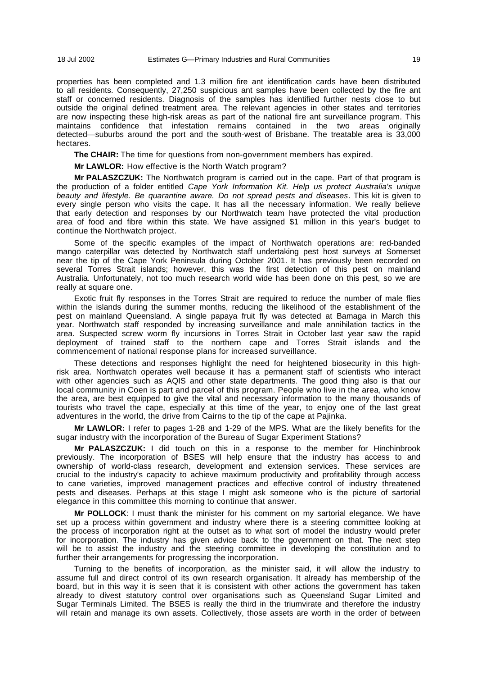properties has been completed and 1.3 million fire ant identification cards have been distributed to all residents. Consequently, 27,250 suspicious ant samples have been collected by the fire ant staff or concerned residents. Diagnosis of the samples has identified further nests close to but outside the original defined treatment area. The relevant agencies in other states and territories are now inspecting these high-risk areas as part of the national fire ant surveillance program. This maintains confidence that infestation remains contained in the two areas originally detected—suburbs around the port and the south-west of Brisbane. The treatable area is 33,000 hectares.

**The CHAIR:** The time for questions from non-government members has expired.

**Mr LAWLOR:** How effective is the North Watch program?

**Mr PALASZCZUK:** The Northwatch program is carried out in the cape. Part of that program is the production of a folder entitled Cape York Information Kit. Help us protect Australia's unique beauty and lifestyle. Be quarantine aware. Do not spread pests and diseases. This kit is given to every single person who visits the cape. It has all the necessary information. We really believe that early detection and responses by our Northwatch team have protected the vital production area of food and fibre within this state. We have assigned \$1 million in this year's budget to continue the Northwatch project.

Some of the specific examples of the impact of Northwatch operations are: red-banded mango caterpillar was detected by Northwatch staff undertaking pest host surveys at Somerset near the tip of the Cape York Peninsula during October 2001. It has previously been recorded on several Torres Strait islands; however, this was the first detection of this pest on mainland Australia. Unfortunately, not too much research world wide has been done on this pest, so we are really at square one.

Exotic fruit fly responses in the Torres Strait are required to reduce the number of male flies within the islands during the summer months, reducing the likelihood of the establishment of the pest on mainland Queensland. A single papaya fruit fly was detected at Bamaga in March this year. Northwatch staff responded by increasing surveillance and male annihilation tactics in the area. Suspected screw worm fly incursions in Torres Strait in October last year saw the rapid deployment of trained staff to the northern cape and Torres Strait islands and the commencement of national response plans for increased surveillance.

These detections and responses highlight the need for heightened biosecurity in this highrisk area. Northwatch operates well because it has a permanent staff of scientists who interact with other agencies such as AQIS and other state departments. The good thing also is that our local community in Coen is part and parcel of this program. People who live in the area, who know the area, are best equipped to give the vital and necessary information to the many thousands of tourists who travel the cape, especially at this time of the year, to enjoy one of the last great adventures in the world, the drive from Cairns to the tip of the cape at Pajinka.

**Mr LAWLOR:** I refer to pages 1-28 and 1-29 of the MPS. What are the likely benefits for the sugar industry with the incorporation of the Bureau of Sugar Experiment Stations?

**Mr PALASZCZUK:** I did touch on this in a response to the member for Hinchinbrook previously. The incorporation of BSES will help ensure that the industry has access to and ownership of world-class research, development and extension services. These services are crucial to the industry's capacity to achieve maximum productivity and profitability through access to cane varieties, improved management practices and effective control of industry threatened pests and diseases. Perhaps at this stage I might ask someone who is the picture of sartorial elegance in this committee this morning to continue that answer.

**Mr POLLOCK**: I must thank the minister for his comment on my sartorial elegance. We have set up a process within government and industry where there is a steering committee looking at the process of incorporation right at the outset as to what sort of model the industry would prefer for incorporation. The industry has given advice back to the government on that. The next step will be to assist the industry and the steering committee in developing the constitution and to further their arrangements for progressing the incorporation.

Turning to the benefits of incorporation, as the minister said, it will allow the industry to assume full and direct control of its own research organisation. It already has membership of the board, but in this way it is seen that it is consistent with other actions the government has taken already to divest statutory control over organisations such as Queensland Sugar Limited and Sugar Terminals Limited. The BSES is really the third in the triumvirate and therefore the industry will retain and manage its own assets. Collectively, those assets are worth in the order of between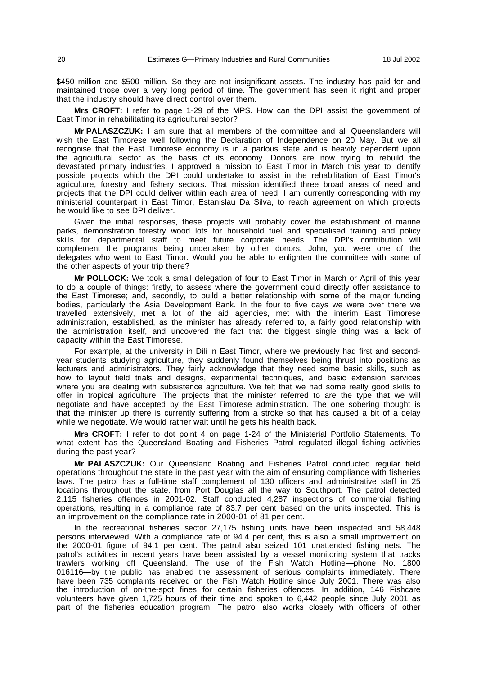\$450 million and \$500 million. So they are not insignificant assets. The industry has paid for and maintained those over a very long period of time. The government has seen it right and proper that the industry should have direct control over them.

**Mrs CROFT:** I refer to page 1-29 of the MPS. How can the DPI assist the government of East Timor in rehabilitating its agricultural sector?

**Mr PALASZCZUK:** I am sure that all members of the committee and all Queenslanders will wish the East Timorese well following the Declaration of Independence on 20 May. But we all recognise that the East Timorese economy is in a parlous state and is heavily dependent upon the agricultural sector as the basis of its economy. Donors are now trying to rebuild the devastated primary industries. I approved a mission to East Timor in March this year to identify possible projects which the DPI could undertake to assist in the rehabilitation of East Timor's agriculture, forestry and fishery sectors. That mission identified three broad areas of need and projects that the DPI could deliver within each area of need. I am currently corresponding with my ministerial counterpart in East Timor, Estanislau Da Silva, to reach agreement on which projects he would like to see DPI deliver.

Given the initial responses, these projects will probably cover the establishment of marine parks, demonstration forestry wood lots for household fuel and specialised training and policy skills for departmental staff to meet future corporate needs. The DPI's contribution will complement the programs being undertaken by other donors. John, you were one of the delegates who went to East Timor. Would you be able to enlighten the committee with some of the other aspects of your trip there?

**Mr POLLOCK:** We took a small delegation of four to East Timor in March or April of this year to do a couple of things: firstly, to assess where the government could directly offer assistance to the East Timorese; and, secondly, to build a better relationship with some of the major funding bodies, particularly the Asia Development Bank. In the four to five days we were over there we travelled extensively, met a lot of the aid agencies, met with the interim East Timorese administration, established, as the minister has already referred to, a fairly good relationship with the administration itself, and uncovered the fact that the biggest single thing was a lack of capacity within the East Timorese.

For example, at the university in Dili in East Timor, where we previously had first and secondyear students studying agriculture, they suddenly found themselves being thrust into positions as lecturers and administrators. They fairly acknowledge that they need some basic skills, such as how to layout field trials and designs, experimental techniques, and basic extension services where you are dealing with subsistence agriculture. We felt that we had some really good skills to offer in tropical agriculture. The projects that the minister referred to are the type that we will negotiate and have accepted by the East Timorese administration. The one sobering thought is that the minister up there is currently suffering from a stroke so that has caused a bit of a delay while we negotiate. We would rather wait until he gets his health back.

**Mrs CROFT:** I refer to dot point 4 on page 1-24 of the Ministerial Portfolio Statements. To what extent has the Queensland Boating and Fisheries Patrol regulated illegal fishing activities during the past year?

**Mr PALASZCZUK:** Our Queensland Boating and Fisheries Patrol conducted regular field operations throughout the state in the past year with the aim of ensuring compliance with fisheries laws. The patrol has a full-time staff complement of 130 officers and administrative staff in 25 locations throughout the state, from Port Douglas all the way to Southport. The patrol detected 2,115 fisheries offences in 2001-02. Staff conducted 4,287 inspections of commercial fishing operations, resulting in a compliance rate of 83.7 per cent based on the units inspected. This is an improvement on the compliance rate in 2000-01 of 81 per cent.

In the recreational fisheries sector 27,175 fishing units have been inspected and 58,448 persons interviewed. With a compliance rate of 94.4 per cent, this is also a small improvement on the 2000-01 figure of 94.1 per cent. The patrol also seized 101 unattended fishing nets. The patrol's activities in recent years have been assisted by a vessel monitoring system that tracks trawlers working off Queensland. The use of the Fish Watch Hotline—phone No. 1800 016116—by the public has enabled the assessment of serious complaints immediately. There have been 735 complaints received on the Fish Watch Hotline since July 2001. There was also the introduction of on-the-spot fines for certain fisheries offences. In addition, 146 Fishcare volunteers have given 1,725 hours of their time and spoken to 6,442 people since July 2001 as part of the fisheries education program. The patrol also works closely with officers of other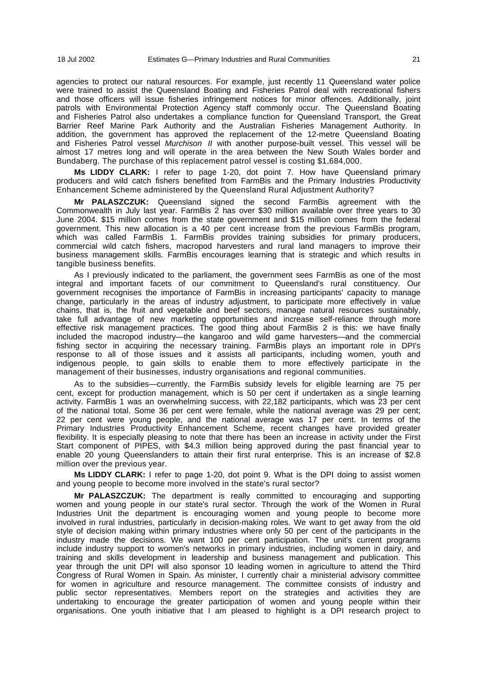agencies to protect our natural resources. For example, just recently 11 Queensland water police were trained to assist the Queensland Boating and Fisheries Patrol deal with recreational fishers and those officers will issue fisheries infringement notices for minor offences. Additionally, joint patrols with Environmental Protection Agency staff commonly occur. The Queensland Boating and Fisheries Patrol also undertakes a compliance function for Queensland Transport, the Great Barrier Reef Marine Park Authority and the Australian Fisheries Management Authority. In addition, the government has approved the replacement of the 12-metre Queensland Boating and Fisheries Patrol vessel Murchison II with another purpose-built vessel. This vessel will be almost 17 metres long and will operate in the area between the New South Wales border and Bundaberg. The purchase of this replacement patrol vessel is costing \$1,684,000.

**Ms LIDDY CLARK:** I refer to page 1-20, dot point 7. How have Queensland primary producers and wild catch fishers benefited from FarmBis and the Primary Industries Productivity Enhancement Scheme administered by the Queensland Rural Adjustment Authority?

**Mr PALASZCZUK:** Queensland signed the second FarmBis agreement with the Commonwealth in July last year. FarmBis 2 has over \$30 million available over three years to 30 June 2004. \$15 million comes from the state government and \$15 million comes from the federal government. This new allocation is a 40 per cent increase from the previous FarmBis program, which was called FarmBis 1. FarmBis provides training subsidies for primary producers, commercial wild catch fishers, macropod harvesters and rural land managers to improve their business management skills. FarmBis encourages learning that is strategic and which results in tangible business benefits.

As I previously indicated to the parliament, the government sees FarmBis as one of the most integral and important facets of our commitment to Queensland's rural constituency. Our government recognises the importance of FarmBis in increasing participants' capacity to manage change, particularly in the areas of industry adjustment, to participate more effectively in value chains, that is, the fruit and vegetable and beef sectors, manage natural resources sustainably, take full advantage of new marketing opportunities and increase self-reliance through more effective risk management practices. The good thing about FarmBis 2 is this: we have finally included the macropod industry—the kangaroo and wild game harvesters—and the commercial fishing sector in acquiring the necessary training. FarmBis plays an important role in DPI's response to all of those issues and it assists all participants, including women, youth and indigenous people, to gain skills to enable them to more effectively participate in the management of their businesses, industry organisations and regional communities.

As to the subsidies—currently, the FarmBis subsidy levels for eligible learning are 75 per cent, except for production management, which is 50 per cent if undertaken as a single learning activity. FarmBis 1 was an overwhelming success, with 22,182 participants, which was 23 per cent of the national total. Some 36 per cent were female, while the national average was 29 per cent; 22 per cent were young people, and the national average was 17 per cent. In terms of the Primary Industries Productivity Enhancement Scheme, recent changes have provided greater flexibility. It is especially pleasing to note that there has been an increase in activity under the First Start component of PIPES, with \$4.3 million being approved during the past financial year to enable 20 young Queenslanders to attain their first rural enterprise. This is an increase of \$2.8 million over the previous year.

**Ms LIDDY CLARK:** I refer to page 1-20, dot point 9. What is the DPI doing to assist women and young people to become more involved in the state's rural sector?

**Mr PALASZCZUK:** The department is really committed to encouraging and supporting women and young people in our state's rural sector. Through the work of the Women in Rural Industries Unit the department is encouraging women and young people to become more involved in rural industries, particularly in decision-making roles. We want to get away from the old style of decision making within primary industries where only 50 per cent of the participants in the industry made the decisions. We want 100 per cent participation. The unit's current programs include industry support to women's networks in primary industries, including women in dairy, and training and skills development in leadership and business management and publication. This year through the unit DPI will also sponsor 10 leading women in agriculture to attend the Third Congress of Rural Women in Spain. As minister, I currently chair a ministerial advisory committee for women in agriculture and resource management. The committee consists of industry and public sector representatives. Members report on the strategies and activities they are undertaking to encourage the greater participation of women and young people within their organisations. One youth initiative that I am pleased to highlight is a DPI research project to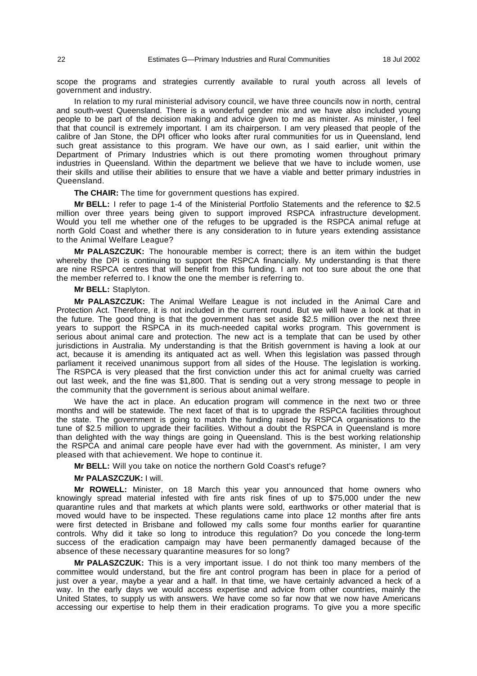scope the programs and strategies currently available to rural youth across all levels of government and industry.

In relation to my rural ministerial advisory council, we have three councils now in north, central and south-west Queensland. There is a wonderful gender mix and we have also included young people to be part of the decision making and advice given to me as minister. As minister, I feel that that council is extremely important. I am its chairperson. I am very pleased that people of the calibre of Jan Stone, the DPI officer who looks after rural communities for us in Queensland, lend such great assistance to this program. We have our own, as I said earlier, unit within the Department of Primary Industries which is out there promoting women throughout primary industries in Queensland. Within the department we believe that we have to include women, use their skills and utilise their abilities to ensure that we have a viable and better primary industries in Queensland.

**The CHAIR:** The time for government questions has expired.

**Mr BELL:** I refer to page 1-4 of the Ministerial Portfolio Statements and the reference to \$2.5 million over three years being given to support improved RSPCA infrastructure development. Would you tell me whether one of the refuges to be upgraded is the RSPCA animal refuge at north Gold Coast and whether there is any consideration to in future years extending assistance to the Animal Welfare League?

**Mr PALASZCZUK:** The honourable member is correct; there is an item within the budget whereby the DPI is continuing to support the RSPCA financially. My understanding is that there are nine RSPCA centres that will benefit from this funding. I am not too sure about the one that the member referred to. I know the one the member is referring to.

## **Mr BELL:** Staplyton.

**Mr PALASZCZUK:** The Animal Welfare League is not included in the Animal Care and Protection Act. Therefore, it is not included in the current round. But we will have a look at that in the future. The good thing is that the government has set aside \$2.5 million over the next three years to support the RSPCA in its much-needed capital works program. This government is serious about animal care and protection. The new act is a template that can be used by other jurisdictions in Australia. My understanding is that the British government is having a look at our act, because it is amending its antiquated act as well. When this legislation was passed through parliament it received unanimous support from all sides of the House. The legislation is working. The RSPCA is very pleased that the first conviction under this act for animal cruelty was carried out last week, and the fine was \$1,800. That is sending out a very strong message to people in the community that the government is serious about animal welfare.

We have the act in place. An education program will commence in the next two or three months and will be statewide. The next facet of that is to upgrade the RSPCA facilities throughout the state. The government is going to match the funding raised by RSPCA organisations to the tune of \$2.5 million to upgrade their facilities. Without a doubt the RSPCA in Queensland is more than delighted with the way things are going in Queensland. This is the best working relationship the RSPCA and animal care people have ever had with the government. As minister, I am very pleased with that achievement. We hope to continue it.

**Mr BELL:** Will you take on notice the northern Gold Coast's refuge?

# **Mr PALASZCZUK:** I will.

**Mr ROWELL:** Minister, on 18 March this year you announced that home owners who knowingly spread material infested with fire ants risk fines of up to \$75,000 under the new quarantine rules and that markets at which plants were sold, earthworks or other material that is moved would have to be inspected. These regulations came into place 12 months after fire ants were first detected in Brisbane and followed my calls some four months earlier for quarantine controls. Why did it take so long to introduce this regulation? Do you concede the long-term success of the eradication campaign may have been permanently damaged because of the absence of these necessary quarantine measures for so long?

**Mr PALASZCZUK:** This is a very important issue. I do not think too many members of the committee would understand, but the fire ant control program has been in place for a period of just over a year, maybe a year and a half. In that time, we have certainly advanced a heck of a way. In the early days we would access expertise and advice from other countries, mainly the United States, to supply us with answers. We have come so far now that we now have Americans accessing our expertise to help them in their eradication programs. To give you a more specific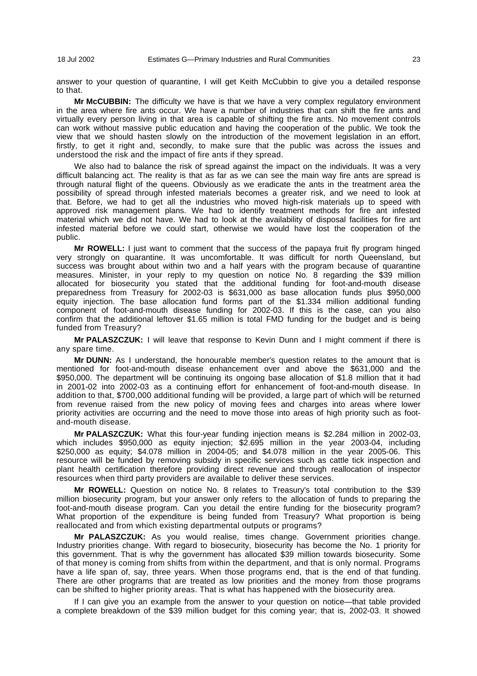answer to your question of quarantine, I will get Keith McCubbin to give you a detailed response to that.

**Mr McCUBBIN:** The difficulty we have is that we have a very complex regulatory environment in the area where fire ants occur. We have a number of industries that can shift the fire ants and virtually every person living in that area is capable of shifting the fire ants. No movement controls can work without massive public education and having the cooperation of the public. We took the view that we should hasten slowly on the introduction of the movement legislation in an effort, firstly, to get it right and, secondly, to make sure that the public was across the issues and understood the risk and the impact of fire ants if they spread.

We also had to balance the risk of spread against the impact on the individuals. It was a very difficult balancing act. The reality is that as far as we can see the main way fire ants are spread is through natural flight of the queens. Obviously as we eradicate the ants in the treatment area the possibility of spread through infested materials becomes a greater risk, and we need to look at that. Before, we had to get all the industries who moved high-risk materials up to speed with approved risk management plans. We had to identify treatment methods for fire ant infested material which we did not have. We had to look at the availability of disposal facilities for fire ant infested material before we could start, otherwise we would have lost the cooperation of the public.

**Mr ROWELL:** I just want to comment that the success of the papaya fruit fly program hinged very strongly on quarantine. It was uncomfortable. It was difficult for north Queensland, but success was brought about within two and a half years with the program because of quarantine measures. Minister, in your reply to my question on notice No. 8 regarding the \$39 million allocated for biosecurity you stated that the additional funding for foot-and-mouth disease preparedness from Treasury for 2002-03 is \$631,000 as base allocation funds plus \$950,000 equity injection. The base allocation fund forms part of the \$1.334 million additional funding component of foot-and-mouth disease funding for 2002-03. If this is the case, can you also confirm that the additional leftover \$1.65 million is total FMD funding for the budget and is being funded from Treasury?

**Mr PALASZCZUK:** I will leave that response to Kevin Dunn and I might comment if there is any spare time.

**Mr DUNN:** As I understand, the honourable member's question relates to the amount that is mentioned for foot-and-mouth disease enhancement over and above the \$631,000 and the \$950,000. The department will be continuing its ongoing base allocation of \$1.8 million that it had in 2001-02 into 2002-03 as a continuing effort for enhancement of foot-and-mouth disease. In addition to that, \$700,000 additional funding will be provided, a large part of which will be returned from revenue raised from the new policy of moving fees and charges into areas where lower priority activities are occurring and the need to move those into areas of high priority such as footand-mouth disease.

**Mr PALASZCZUK:** What this four-year funding injection means is \$2.284 million in 2002-03, which includes \$950,000 as equity injection; \$2.695 million in the year 2003-04, including \$250,000 as equity; \$4.078 million in 2004-05; and \$4.078 million in the year 2005-06. This resource will be funded by removing subsidy in specific services such as cattle tick inspection and plant health certification therefore providing direct revenue and through reallocation of inspector resources when third party providers are available to deliver these services.

**Mr ROWELL:** Question on notice No. 8 relates to Treasury's total contribution to the \$39 million biosecurity program, but your answer only refers to the allocation of funds to preparing the foot-and-mouth disease program. Can you detail the entire funding for the biosecurity program? What proportion of the expenditure is being funded from Treasury? What proportion is being reallocated and from which existing departmental outputs or programs?

**Mr PALASZCZUK:** As you would realise, times change. Government priorities change. Industry priorities change. With regard to biosecurity, biosecurity has become the No. 1 priority for this government. That is why the government has allocated \$39 million towards biosecurity. Some of that money is coming from shifts from within the department, and that is only normal. Programs have a life span of, say, three years. When those programs end, that is the end of that funding. There are other programs that are treated as low priorities and the money from those programs can be shifted to higher priority areas. That is what has happened with the biosecurity area.

If I can give you an example from the answer to your question on notice—that table provided a complete breakdown of the \$39 million budget for this coming year; that is, 2002-03. It showed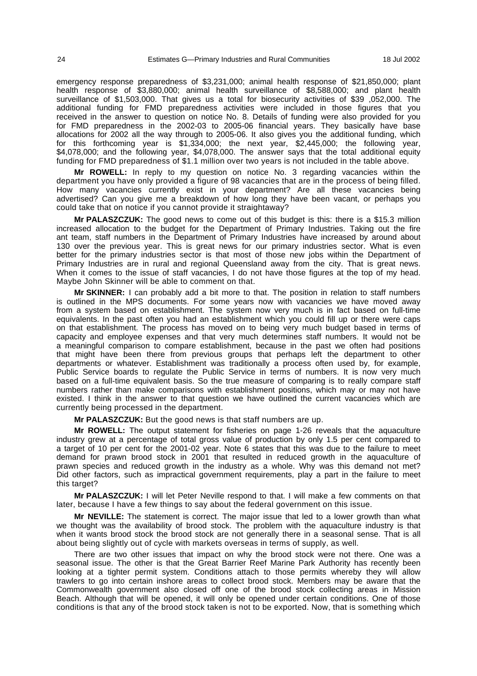emergency response preparedness of \$3,231,000; animal health response of \$21,850,000; plant health response of \$3,880,000; animal health surveillance of \$8,588,000; and plant health surveillance of \$1,503,000. That gives us a total for biosecurity activities of \$39 ,052,000. The additional funding for FMD preparedness activities were included in those figures that you received in the answer to question on notice No. 8. Details of funding were also provided for you for FMD preparedness in the 2002-03 to 2005-06 financial years. They basically have base allocations for 2002 all the way through to 2005-06. It also gives you the additional funding, which for this forthcoming year is \$1,334,000; the next year, \$2,445,000; the following year, \$4,078,000; and the following year, \$4,078,000. The answer says that the total additional equity funding for FMD preparedness of \$1.1 million over two years is not included in the table above.

**Mr ROWELL:** In reply to my question on notice No. 3 regarding vacancies within the department you have only provided a figure of 98 vacancies that are in the process of being filled. How many vacancies currently exist in your department? Are all these vacancies being advertised? Can you give me a breakdown of how long they have been vacant, or perhaps you could take that on notice if you cannot provide it straightaway?

**Mr PALASZCZUK:** The good news to come out of this budget is this: there is a \$15.3 million increased allocation to the budget for the Department of Primary Industries. Taking out the fire ant team, staff numbers in the Department of Primary Industries have increased by around about 130 over the previous year. This is great news for our primary industries sector. What is even better for the primary industries sector is that most of those new jobs within the Department of Primary Industries are in rural and regional Queensland away from the city. That is great news. When it comes to the issue of staff vacancies, I do not have those figures at the top of my head. Maybe John Skinner will be able to comment on that.

**Mr SKINNER:** I can probably add a bit more to that. The position in relation to staff numbers is outlined in the MPS documents. For some years now with vacancies we have moved away from a system based on establishment. The system now very much is in fact based on full-time equivalents. In the past often you had an establishment which you could fill up or there were caps on that establishment. The process has moved on to being very much budget based in terms of capacity and employee expenses and that very much determines staff numbers. It would not be a meaningful comparison to compare establishment, because in the past we often had positions that might have been there from previous groups that perhaps left the department to other departments or whatever. Establishment was traditionally a process often used by, for example, Public Service boards to regulate the Public Service in terms of numbers. It is now very much based on a full-time equivalent basis. So the true measure of comparing is to really compare staff numbers rather than make comparisons with establishment positions, which may or may not have existed. I think in the answer to that question we have outlined the current vacancies which are currently being processed in the department.

**Mr PALASZCZUK:** But the good news is that staff numbers are up.

**Mr ROWELL:** The output statement for fisheries on page 1-26 reveals that the aquaculture industry grew at a percentage of total gross value of production by only 1.5 per cent compared to a target of 10 per cent for the 2001-02 year. Note 6 states that this was due to the failure to meet demand for prawn brood stock in 2001 that resulted in reduced growth in the aquaculture of prawn species and reduced growth in the industry as a whole. Why was this demand not met? Did other factors, such as impractical government requirements, play a part in the failure to meet this target?

**Mr PALASZCZUK:** I will let Peter Neville respond to that. I will make a few comments on that later, because I have a few things to say about the federal government on this issue.

**Mr NEVILLE:** The statement is correct. The major issue that led to a lower growth than what we thought was the availability of brood stock. The problem with the aquaculture industry is that when it wants brood stock the brood stock are not generally there in a seasonal sense. That is all about being slightly out of cycle with markets overseas in terms of supply, as well.

There are two other issues that impact on why the brood stock were not there. One was a seasonal issue. The other is that the Great Barrier Reef Marine Park Authority has recently been looking at a tighter permit system. Conditions attach to those permits whereby they will allow trawlers to go into certain inshore areas to collect brood stock. Members may be aware that the Commonwealth government also closed off one of the brood stock collecting areas in Mission Beach. Although that will be opened, it will only be opened under certain conditions. One of those conditions is that any of the brood stock taken is not to be exported. Now, that is something which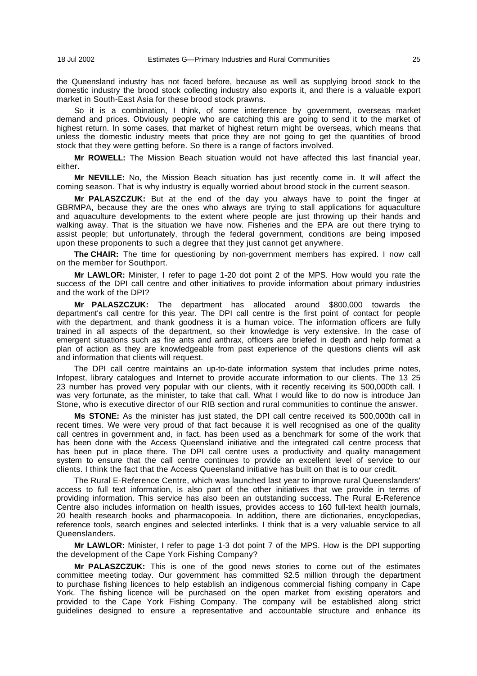the Queensland industry has not faced before, because as well as supplying brood stock to the domestic industry the brood stock collecting industry also exports it, and there is a valuable export market in South-East Asia for these brood stock prawns.

So it is a combination, I think, of some interference by government, overseas market demand and prices. Obviously people who are catching this are going to send it to the market of highest return. In some cases, that market of highest return might be overseas, which means that unless the domestic industry meets that price they are not going to get the quantities of brood stock that they were getting before. So there is a range of factors involved.

**Mr ROWELL:** The Mission Beach situation would not have affected this last financial year, either.

**Mr NEVILLE:** No, the Mission Beach situation has just recently come in. It will affect the coming season. That is why industry is equally worried about brood stock in the current season.

**Mr PALASZCZUK:** But at the end of the day you always have to point the finger at GBRMPA, because they are the ones who always are trying to stall applications for aquaculture and aquaculture developments to the extent where people are just throwing up their hands and walking away. That is the situation we have now. Fisheries and the EPA are out there trying to assist people; but unfortunately, through the federal government, conditions are being imposed upon these proponents to such a degree that they just cannot get anywhere.

**The CHAIR:** The time for questioning by non-government members has expired. I now call on the member for Southport.

**Mr LAWLOR:** Minister, I refer to page 1-20 dot point 2 of the MPS. How would you rate the success of the DPI call centre and other initiatives to provide information about primary industries and the work of the DPI?

**Mr PALASZCZUK:** The department has allocated around \$800,000 towards the department's call centre for this year. The DPI call centre is the first point of contact for people with the department, and thank goodness it is a human voice. The information officers are fully trained in all aspects of the department, so their knowledge is very extensive. In the case of emergent situations such as fire ants and anthrax, officers are briefed in depth and help format a plan of action as they are knowledgeable from past experience of the questions clients will ask and information that clients will request.

The DPI call centre maintains an up-to-date information system that includes prime notes, Infopest, library catalogues and Internet to provide accurate information to our clients. The 13 25 23 number has proved very popular with our clients, with it recently receiving its 500,000th call. I was very fortunate, as the minister, to take that call. What I would like to do now is introduce Jan Stone, who is executive director of our RIB section and rural communities to continue the answer.

**Ms STONE:** As the minister has just stated, the DPI call centre received its 500,000th call in recent times. We were very proud of that fact because it is well recognised as one of the quality call centres in government and, in fact, has been used as a benchmark for some of the work that has been done with the Access Queensland initiative and the integrated call centre process that has been put in place there. The DPI call centre uses a productivity and quality management system to ensure that the call centre continues to provide an excellent level of service to our clients. I think the fact that the Access Queensland initiative has built on that is to our credit.

The Rural E-Reference Centre, which was launched last year to improve rural Queenslanders' access to full text information, is also part of the other initiatives that we provide in terms of providing information. This service has also been an outstanding success. The Rural E-Reference Centre also includes information on health issues, provides access to 160 full-text health journals, 20 health research books and pharmacopoeia. In addition, there are dictionaries, encyclopedias, reference tools, search engines and selected interlinks. I think that is a very valuable service to all Queenslanders.

**Mr LAWLOR:** Minister, I refer to page 1-3 dot point 7 of the MPS. How is the DPI supporting the development of the Cape York Fishing Company?

**Mr PALASZCZUK:** This is one of the good news stories to come out of the estimates committee meeting today. Our government has committed \$2.5 million through the department to purchase fishing licences to help establish an indigenous commercial fishing company in Cape York. The fishing licence will be purchased on the open market from existing operators and provided to the Cape York Fishing Company. The company will be established along strict guidelines designed to ensure a representative and accountable structure and enhance its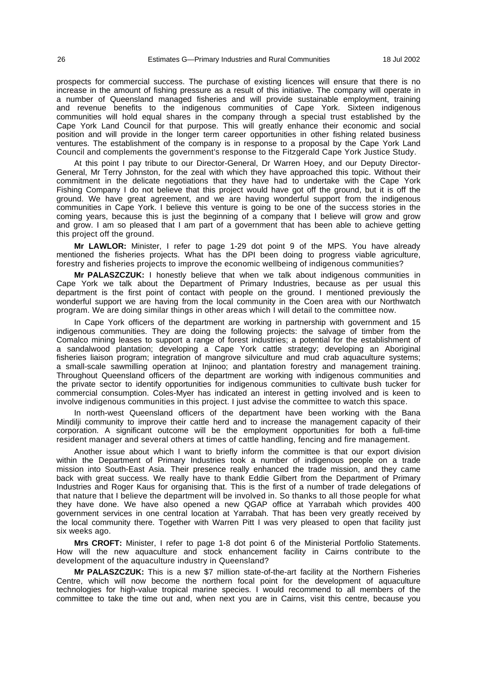prospects for commercial success. The purchase of existing licences will ensure that there is no increase in the amount of fishing pressure as a result of this initiative. The company will operate in a number of Queensland managed fisheries and will provide sustainable employment, training and revenue benefits to the indigenous communities of Cape York. Sixteen indigenous communities will hold equal shares in the company through a special trust established by the Cape York Land Council for that purpose. This will greatly enhance their economic and social position and will provide in the longer term career opportunities in other fishing related business ventures. The establishment of the company is in response to a proposal by the Cape York Land Council and complements the government's response to the Fitzgerald Cape York Justice Study.

At this point I pay tribute to our Director-General, Dr Warren Hoey, and our Deputy Director-General, Mr Terry Johnston, for the zeal with which they have approached this topic. Without their commitment in the delicate negotiations that they have had to undertake with the Cape York Fishing Company I do not believe that this project would have got off the ground, but it is off the ground. We have great agreement, and we are having wonderful support from the indigenous communities in Cape York. I believe this venture is going to be one of the success stories in the coming years, because this is just the beginning of a company that I believe will grow and grow and grow. I am so pleased that I am part of a government that has been able to achieve getting this project off the ground.

**Mr LAWLOR:** Minister, I refer to page 1-29 dot point 9 of the MPS. You have already mentioned the fisheries projects. What has the DPI been doing to progress viable agriculture, forestry and fisheries projects to improve the economic wellbeing of indigenous communities?

**Mr PALASZCZUK:** I honestly believe that when we talk about indigenous communities in Cape York we talk about the Department of Primary Industries, because as per usual this department is the first point of contact with people on the ground. I mentioned previously the wonderful support we are having from the local community in the Coen area with our Northwatch program. We are doing similar things in other areas which I will detail to the committee now.

In Cape York officers of the department are working in partnership with government and 15 indigenous communities. They are doing the following projects: the salvage of timber from the Comalco mining leases to support a range of forest industries; a potential for the establishment of a sandalwood plantation; developing a Cape York cattle strategy; developing an Aboriginal fisheries liaison program; integration of mangrove silviculture and mud crab aquaculture systems; a small-scale sawmilling operation at Injinoo; and plantation forestry and management training. Throughout Queensland officers of the department are working with indigenous communities and the private sector to identify opportunities for indigenous communities to cultivate bush tucker for commercial consumption. Coles-Myer has indicated an interest in getting involved and is keen to involve indigenous communities in this project. I just advise the committee to watch this space.

In north-west Queensland officers of the department have been working with the Bana Mindilji community to improve their cattle herd and to increase the management capacity of their corporation. A significant outcome will be the employment opportunities for both a full-time resident manager and several others at times of cattle handling, fencing and fire management.

Another issue about which I want to briefly inform the committee is that our export division within the Department of Primary Industries took a number of indigenous people on a trade mission into South-East Asia. Their presence really enhanced the trade mission, and they came back with great success. We really have to thank Eddie Gilbert from the Department of Primary Industries and Roger Kaus for organising that. This is the first of a number of trade delegations of that nature that I believe the department will be involved in. So thanks to all those people for what they have done. We have also opened a new QGAP office at Yarrabah which provides 400 government services in one central location at Yarrabah. That has been very greatly received by the local community there. Together with Warren Pitt I was very pleased to open that facility just six weeks ago.

**Mrs CROFT:** Minister, I refer to page 1-8 dot point 6 of the Ministerial Portfolio Statements. How will the new aquaculture and stock enhancement facility in Cairns contribute to the development of the aquaculture industry in Queensland?

**Mr PALASZCZUK:** This is a new \$7 million state-of-the-art facility at the Northern Fisheries Centre, which will now become the northern focal point for the development of aquaculture technologies for high-value tropical marine species. I would recommend to all members of the committee to take the time out and, when next you are in Cairns, visit this centre, because you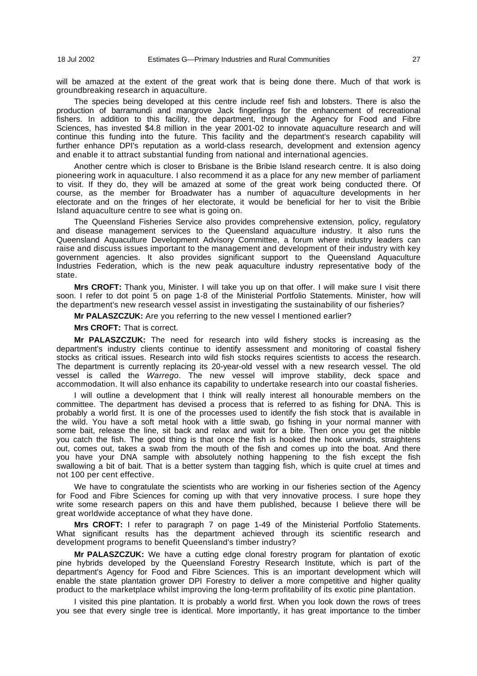will be amazed at the extent of the great work that is being done there. Much of that work is groundbreaking research in aquaculture.

The species being developed at this centre include reef fish and lobsters. There is also the production of barramundi and mangrove Jack fingerlings for the enhancement of recreational fishers. In addition to this facility, the department, through the Agency for Food and Fibre Sciences, has invested \$4.8 million in the year 2001-02 to innovate aquaculture research and will continue this funding into the future. This facility and the department's research capability will further enhance DPI's reputation as a world-class research, development and extension agency and enable it to attract substantial funding from national and international agencies.

Another centre which is closer to Brisbane is the Bribie Island research centre. It is also doing pioneering work in aquaculture. I also recommend it as a place for any new member of parliament to visit. If they do, they will be amazed at some of the great work being conducted there. Of course, as the member for Broadwater has a number of aquaculture developments in her electorate and on the fringes of her electorate, it would be beneficial for her to visit the Bribie Island aquaculture centre to see what is going on.

The Queensland Fisheries Service also provides comprehensive extension, policy, regulatory and disease management services to the Queensland aquaculture industry. It also runs the Queensland Aquaculture Development Advisory Committee, a forum where industry leaders can raise and discuss issues important to the management and development of their industry with key government agencies. It also provides significant support to the Queensland Aquaculture Industries Federation, which is the new peak aquaculture industry representative body of the state.

**Mrs CROFT:** Thank you, Minister. I will take you up on that offer. I will make sure I visit there soon. I refer to dot point 5 on page 1-8 of the Ministerial Portfolio Statements. Minister, how will the department's new research vessel assist in investigating the sustainability of our fisheries?

**Mr PALASZCZUK:** Are you referring to the new vessel I mentioned earlier?

**Mrs CROFT:** That is correct.

**Mr PALASZCZUK:** The need for research into wild fishery stocks is increasing as the department's industry clients continue to identify assessment and monitoring of coastal fishery stocks as critical issues. Research into wild fish stocks requires scientists to access the research. The department is currently replacing its 20-year-old vessel with a new research vessel. The old vessel is called the Warrego. The new vessel will improve stability, deck space and accommodation. It will also enhance its capability to undertake research into our coastal fisheries.

I will outline a development that I think will really interest all honourable members on the committee. The department has devised a process that is referred to as fishing for DNA. This is probably a world first. It is one of the processes used to identify the fish stock that is available in the wild. You have a soft metal hook with a little swab, go fishing in your normal manner with some bait, release the line, sit back and relax and wait for a bite. Then once you get the nibble you catch the fish. The good thing is that once the fish is hooked the hook unwinds, straightens out, comes out, takes a swab from the mouth of the fish and comes up into the boat. And there you have your DNA sample with absolutely nothing happening to the fish except the fish swallowing a bit of bait. That is a better system than tagging fish, which is quite cruel at times and not 100 per cent effective.

We have to congratulate the scientists who are working in our fisheries section of the Agency for Food and Fibre Sciences for coming up with that very innovative process. I sure hope they write some research papers on this and have them published, because I believe there will be great worldwide acceptance of what they have done.

**Mrs CROFT:** I refer to paragraph 7 on page 1-49 of the Ministerial Portfolio Statements. What significant results has the department achieved through its scientific research and development programs to benefit Queensland's timber industry?

**Mr PALASZCZUK:** We have a cutting edge clonal forestry program for plantation of exotic pine hybrids developed by the Queensland Forestry Research Institute, which is part of the department's Agency for Food and Fibre Sciences. This is an important development which will enable the state plantation grower DPI Forestry to deliver a more competitive and higher quality product to the marketplace whilst improving the long-term profitability of its exotic pine plantation.

I visited this pine plantation. It is probably a world first. When you look down the rows of trees you see that every single tree is identical. More importantly, it has great importance to the timber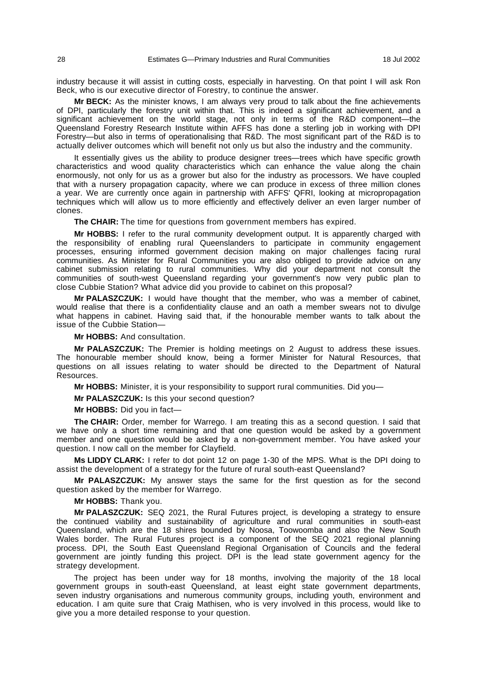industry because it will assist in cutting costs, especially in harvesting. On that point I will ask Ron Beck, who is our executive director of Forestry, to continue the answer.

**Mr BECK:** As the minister knows, I am always very proud to talk about the fine achievements of DPI, particularly the forestry unit within that. This is indeed a significant achievement, and a significant achievement on the world stage, not only in terms of the R&D component—the Queensland Forestry Research Institute within AFFS has done a sterling job in working with DPI Forestry—but also in terms of operationalising that R&D. The most significant part of the R&D is to actually deliver outcomes which will benefit not only us but also the industry and the community.

It essentially gives us the ability to produce designer trees—trees which have specific growth characteristics and wood quality characteristics which can enhance the value along the chain enormously, not only for us as a grower but also for the industry as processors. We have coupled that with a nursery propagation capacity, where we can produce in excess of three million clones a year. We are currently once again in partnership with AFFS' QFRI, looking at micropropagation techniques which will allow us to more efficiently and effectively deliver an even larger number of clones.

**The CHAIR:** The time for questions from government members has expired.

**Mr HOBBS:** I refer to the rural community development output. It is apparently charged with the responsibility of enabling rural Queenslanders to participate in community engagement processes, ensuring informed government decision making on major challenges facing rural communities. As Minister for Rural Communities you are also obliged to provide advice on any cabinet submission relating to rural communities. Why did your department not consult the communities of south-west Queensland regarding your government's now very public plan to close Cubbie Station? What advice did you provide to cabinet on this proposal?

**Mr PALASZCZUK:** I would have thought that the member, who was a member of cabinet, would realise that there is a confidentiality clause and an oath a member swears not to divulge what happens in cabinet. Having said that, if the honourable member wants to talk about the issue of the Cubbie Station—

**Mr HOBBS:** And consultation.

**Mr PALASZCZUK:** The Premier is holding meetings on 2 August to address these issues. The honourable member should know, being a former Minister for Natural Resources, that questions on all issues relating to water should be directed to the Department of Natural Resources.

**Mr HOBBS:** Minister, it is your responsibility to support rural communities. Did you—

**Mr PALASZCZUK:** Is this your second question?

**Mr HOBBS:** Did you in fact—

**The CHAIR:** Order, member for Warrego. I am treating this as a second question. I said that we have only a short time remaining and that one question would be asked by a government member and one question would be asked by a non-government member. You have asked your question. I now call on the member for Clayfield.

**Ms LIDDY CLARK:** I refer to dot point 12 on page 1-30 of the MPS. What is the DPI doing to assist the development of a strategy for the future of rural south-east Queensland?

**Mr PALASZCZUK:** My answer stays the same for the first question as for the second question asked by the member for Warrego.

**Mr HOBBS:** Thank you.

**Mr PALASZCZUK:** SEQ 2021, the Rural Futures project, is developing a strategy to ensure the continued viability and sustainability of agriculture and rural communities in south-east Queensland, which are the 18 shires bounded by Noosa, Toowoomba and also the New South Wales border. The Rural Futures project is a component of the SEQ 2021 regional planning process. DPI, the South East Queensland Regional Organisation of Councils and the federal government are jointly funding this project. DPI is the lead state government agency for the strategy development.

The project has been under way for 18 months, involving the majority of the 18 local government groups in south-east Queensland, at least eight state government departments, seven industry organisations and numerous community groups, including youth, environment and education. I am quite sure that Craig Mathisen, who is very involved in this process, would like to give you a more detailed response to your question.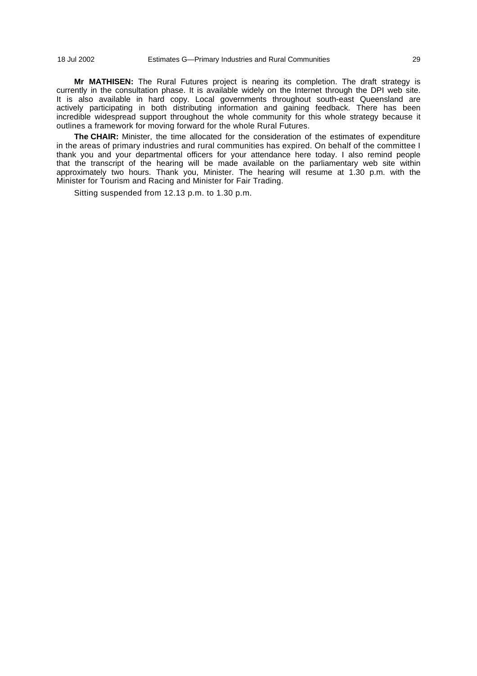**Mr MATHISEN:** The Rural Futures project is nearing its completion. The draft strategy is currently in the consultation phase. It is available widely on the Internet through the DPI web site. It is also available in hard copy. Local governments throughout south-east Queensland are actively participating in both distributing information and gaining feedback. There has been incredible widespread support throughout the whole community for this whole strategy because it outlines a framework for moving forward for the whole Rural Futures.

**The CHAIR:** Minister, the time allocated for the consideration of the estimates of expenditure in the areas of primary industries and rural communities has expired. On behalf of the committee I thank you and your departmental officers for your attendance here today. I also remind people that the transcript of the hearing will be made available on the parliamentary web site within approximately two hours. Thank you, Minister. The hearing will resume at 1.30 p.m. with the Minister for Tourism and Racing and Minister for Fair Trading.

Sitting suspended from 12.13 p.m. to 1.30 p.m.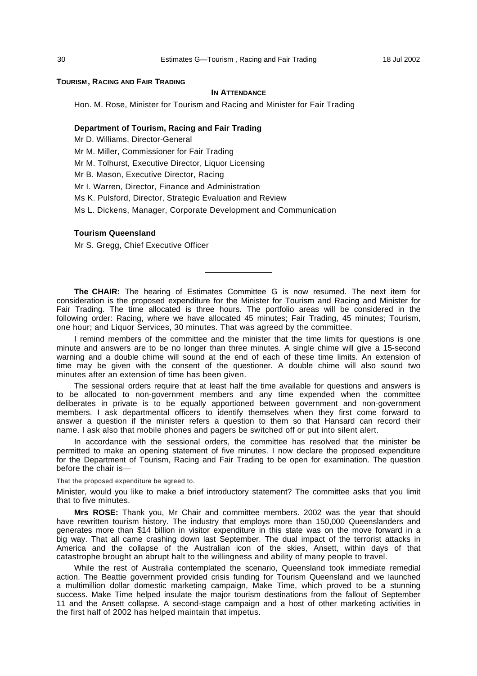## **IN ATTENDANCE**

Hon. M. Rose, Minister for Tourism and Racing and Minister for Fair Trading

## **Department of Tourism, Racing and Fair Trading**

Mr D. Williams, Director-General Mr M. Miller, Commissioner for Fair Trading Mr M. Tolhurst, Executive Director, Liquor Licensing Mr B. Mason, Executive Director, Racing Mr I. Warren, Director, Finance and Administration Ms K. Pulsford, Director, Strategic Evaluation and Review Ms L. Dickens, Manager, Corporate Development and Communication

 $\overline{a}$ 

## **Tourism Queensland**

Mr S. Gregg, Chief Executive Officer

**The CHAIR:** The hearing of Estimates Committee G is now resumed. The next item for consideration is the proposed expenditure for the Minister for Tourism and Racing and Minister for Fair Trading. The time allocated is three hours. The portfolio areas will be considered in the following order: Racing, where we have allocated 45 minutes; Fair Trading, 45 minutes; Tourism, one hour; and Liquor Services, 30 minutes. That was agreed by the committee.

I remind members of the committee and the minister that the time limits for questions is one minute and answers are to be no longer than three minutes. A single chime will give a 15-second warning and a double chime will sound at the end of each of these time limits. An extension of time may be given with the consent of the questioner. A double chime will also sound two minutes after an extension of time has been given.

The sessional orders require that at least half the time available for questions and answers is to be allocated to non-government members and any time expended when the committee deliberates in private is to be equally apportioned between government and non-government members. I ask departmental officers to identify themselves when they first come forward to answer a question if the minister refers a question to them so that Hansard can record their name. I ask also that mobile phones and pagers be switched off or put into silent alert.

In accordance with the sessional orders, the committee has resolved that the minister be permitted to make an opening statement of five minutes. I now declare the proposed expenditure for the Department of Tourism, Racing and Fair Trading to be open for examination. The question before the chair is—

That the proposed expenditure be agreed to.

Minister, would you like to make a brief introductory statement? The committee asks that you limit that to five minutes.

**Mrs ROSE:** Thank you, Mr Chair and committee members. 2002 was the year that should have rewritten tourism history. The industry that employs more than 150,000 Queenslanders and generates more than \$14 billion in visitor expenditure in this state was on the move forward in a big way. That all came crashing down last September. The dual impact of the terrorist attacks in America and the collapse of the Australian icon of the skies, Ansett, within days of that catastrophe brought an abrupt halt to the willingness and ability of many people to travel.

While the rest of Australia contemplated the scenario, Queensland took immediate remedial action. The Beattie government provided crisis funding for Tourism Queensland and we launched a multimillion dollar domestic marketing campaign, Make Time, which proved to be a stunning success. Make Time helped insulate the major tourism destinations from the fallout of September 11 and the Ansett collapse. A second-stage campaign and a host of other marketing activities in the first half of 2002 has helped maintain that impetus.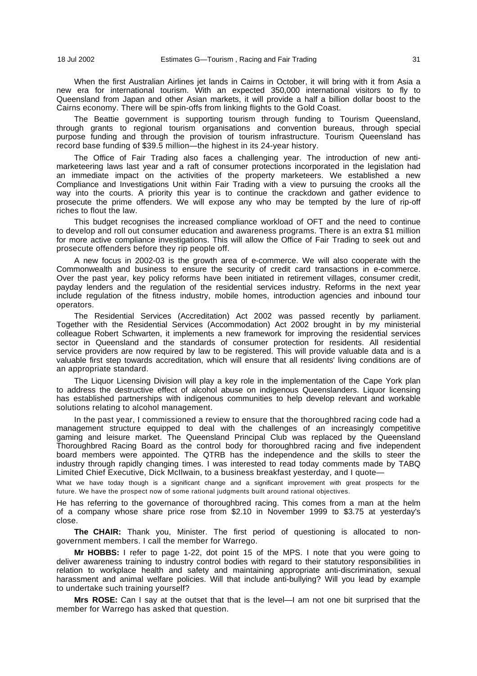When the first Australian Airlines jet lands in Cairns in October, it will bring with it from Asia a new era for international tourism. With an expected 350,000 international visitors to fly to Queensland from Japan and other Asian markets, it will provide a half a billion dollar boost to the Cairns economy. There will be spin-offs from linking flights to the Gold Coast.

The Beattie government is supporting tourism through funding to Tourism Queensland, through grants to regional tourism organisations and convention bureaus, through special purpose funding and through the provision of tourism infrastructure. Tourism Queensland has record base funding of \$39.5 million—the highest in its 24-year history.

The Office of Fair Trading also faces a challenging year. The introduction of new antimarketeering laws last year and a raft of consumer protections incorporated in the legislation had an immediate impact on the activities of the property marketeers. We established a new Compliance and Investigations Unit within Fair Trading with a view to pursuing the crooks all the way into the courts. A priority this year is to continue the crackdown and gather evidence to prosecute the prime offenders. We will expose any who may be tempted by the lure of rip-off riches to flout the law.

This budget recognises the increased compliance workload of OFT and the need to continue to develop and roll out consumer education and awareness programs. There is an extra \$1 million for more active compliance investigations. This will allow the Office of Fair Trading to seek out and prosecute offenders before they rip people off.

A new focus in 2002-03 is the growth area of e-commerce. We will also cooperate with the Commonwealth and business to ensure the security of credit card transactions in e-commerce. Over the past year, key policy reforms have been initiated in retirement villages, consumer credit, payday lenders and the regulation of the residential services industry. Reforms in the next year include regulation of the fitness industry, mobile homes, introduction agencies and inbound tour operators.

The Residential Services (Accreditation) Act 2002 was passed recently by parliament. Together with the Residential Services (Accommodation) Act 2002 brought in by my ministerial colleague Robert Schwarten, it implements a new framework for improving the residential services sector in Queensland and the standards of consumer protection for residents. All residential service providers are now required by law to be registered. This will provide valuable data and is a valuable first step towards accreditation, which will ensure that all residents' living conditions are of an appropriate standard.

The Liquor Licensing Division will play a key role in the implementation of the Cape York plan to address the destructive effect of alcohol abuse on indigenous Queenslanders. Liquor licensing has established partnerships with indigenous communities to help develop relevant and workable solutions relating to alcohol management.

In the past year, I commissioned a review to ensure that the thoroughbred racing code had a management structure equipped to deal with the challenges of an increasingly competitive gaming and leisure market. The Queensland Principal Club was replaced by the Queensland Thoroughbred Racing Board as the control body for thoroughbred racing and five independent board members were appointed. The QTRB has the independence and the skills to steer the industry through rapidly changing times. I was interested to read today comments made by TABQ Limited Chief Executive, Dick McIlwain, to a business breakfast yesterday, and I quote—

What we have today though is a significant change and a significant improvement with great prospects for the future. We have the prospect now of some rational judgments built around rational objectives.

He has referring to the governance of thoroughbred racing. This comes from a man at the helm of a company whose share price rose from \$2.10 in November 1999 to \$3.75 at yesterday's close.

**The CHAIR:** Thank you, Minister. The first period of questioning is allocated to nongovernment members. I call the member for Warrego.

**Mr HOBBS:** I refer to page 1-22, dot point 15 of the MPS. I note that you were going to deliver awareness training to industry control bodies with regard to their statutory responsibilities in relation to workplace health and safety and maintaining appropriate anti-discrimination, sexual harassment and animal welfare policies. Will that include anti-bullying? Will you lead by example to undertake such training yourself?

**Mrs ROSE:** Can I say at the outset that that is the level—I am not one bit surprised that the member for Warrego has asked that question.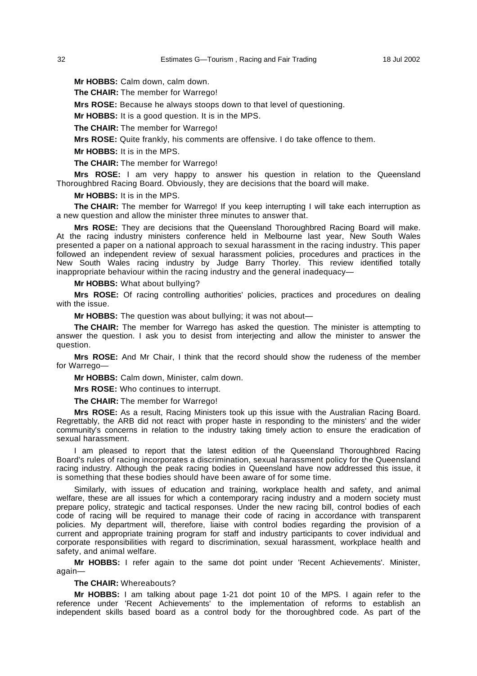**Mr HOBBS:** Calm down, calm down.

**The CHAIR:** The member for Warrego!

**Mrs ROSE:** Because he always stoops down to that level of questioning.

**Mr HOBBS:** It is a good question. It is in the MPS.

**The CHAIR:** The member for Warrego!

**Mrs ROSE:** Quite frankly, his comments are offensive. I do take offence to them.

**Mr HOBBS:** It is in the MPS.

**The CHAIR:** The member for Warrego!

**Mrs ROSE:** I am very happy to answer his question in relation to the Queensland Thoroughbred Racing Board. Obviously, they are decisions that the board will make.

#### **Mr HOBBS:** It is in the MPS.

**The CHAIR:** The member for Warrego! If you keep interrupting I will take each interruption as a new question and allow the minister three minutes to answer that.

**Mrs ROSE:** They are decisions that the Queensland Thoroughbred Racing Board will make. At the racing industry ministers conference held in Melbourne last year, New South Wales presented a paper on a national approach to sexual harassment in the racing industry. This paper followed an independent review of sexual harassment policies, procedures and practices in the New South Wales racing industry by Judge Barry Thorley. This review identified totally inappropriate behaviour within the racing industry and the general inadequacy—

**Mr HOBBS:** What about bullying?

**Mrs ROSE:** Of racing controlling authorities' policies, practices and procedures on dealing with the issue.

**Mr HOBBS:** The question was about bullying; it was not about—

**The CHAIR:** The member for Warrego has asked the question. The minister is attempting to answer the question. I ask you to desist from interjecting and allow the minister to answer the question.

**Mrs ROSE:** And Mr Chair, I think that the record should show the rudeness of the member for Warrego—

**Mr HOBBS:** Calm down, Minister, calm down.

**Mrs ROSE:** Who continues to interrupt.

**The CHAIR:** The member for Warrego!

**Mrs ROSE:** As a result, Racing Ministers took up this issue with the Australian Racing Board. Regrettably, the ARB did not react with proper haste in responding to the ministers' and the wider community's concerns in relation to the industry taking timely action to ensure the eradication of sexual harassment.

I am pleased to report that the latest edition of the Queensland Thoroughbred Racing Board's rules of racing incorporates a discrimination, sexual harassment policy for the Queensland racing industry. Although the peak racing bodies in Queensland have now addressed this issue, it is something that these bodies should have been aware of for some time.

Similarly, with issues of education and training, workplace health and safety, and animal welfare, these are all issues for which a contemporary racing industry and a modern society must prepare policy, strategic and tactical responses. Under the new racing bill, control bodies of each code of racing will be required to manage their code of racing in accordance with transparent policies. My department will, therefore, liaise with control bodies regarding the provision of a current and appropriate training program for staff and industry participants to cover individual and corporate responsibilities with regard to discrimination, sexual harassment, workplace health and safety, and animal welfare.

**Mr HOBBS:** I refer again to the same dot point under 'Recent Achievements'. Minister, again—

#### **The CHAIR:** Whereabouts?

**Mr HOBBS:** I am talking about page 1-21 dot point 10 of the MPS. I again refer to the reference under 'Recent Achievements' to the implementation of reforms to establish an independent skills based board as a control body for the thoroughbred code. As part of the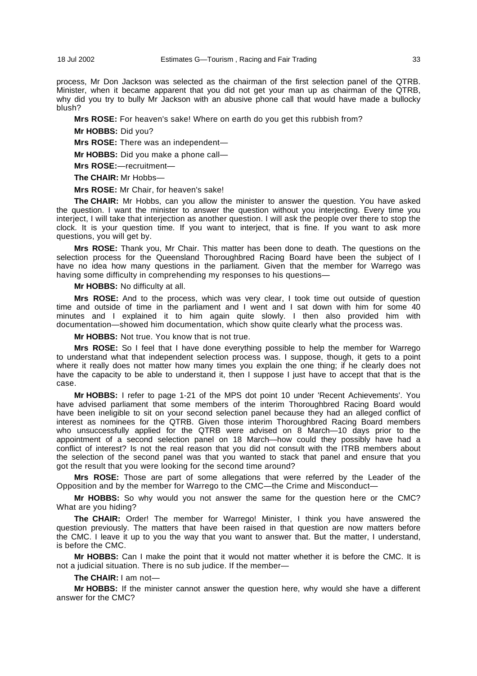process, Mr Don Jackson was selected as the chairman of the first selection panel of the QTRB. Minister, when it became apparent that you did not get your man up as chairman of the QTRB, why did you try to bully Mr Jackson with an abusive phone call that would have made a bullocky blush?

**Mrs ROSE:** For heaven's sake! Where on earth do you get this rubbish from?

**Mr HOBBS:** Did you?

**Mrs ROSE:** There was an independent—

**Mr HOBBS:** Did you make a phone call—

**Mrs ROSE:**—recruitment—

**The CHAIR:** Mr Hobbs—

**Mrs ROSE:** Mr Chair, for heaven's sake!

**The CHAIR:** Mr Hobbs, can you allow the minister to answer the question. You have asked the question. I want the minister to answer the question without you interjecting. Every time you interject, I will take that interjection as another question. I will ask the people over there to stop the clock. It is your question time. If you want to interject, that is fine. If you want to ask more questions, you will get by.

**Mrs ROSE:** Thank you, Mr Chair. This matter has been done to death. The questions on the selection process for the Queensland Thoroughbred Racing Board have been the subject of I have no idea how many questions in the parliament. Given that the member for Warrego was having some difficulty in comprehending my responses to his questions—

**Mr HOBBS:** No difficulty at all.

**Mrs ROSE:** And to the process, which was very clear, I took time out outside of question time and outside of time in the parliament and I went and I sat down with him for some 40 minutes and I explained it to him again quite slowly. I then also provided him with documentation—showed him documentation, which show quite clearly what the process was.

**Mr HOBBS:** Not true. You know that is not true.

**Mrs ROSE:** So I feel that I have done everything possible to help the member for Warrego to understand what that independent selection process was. I suppose, though, it gets to a point where it really does not matter how many times you explain the one thing; if he clearly does not have the capacity to be able to understand it, then I suppose I just have to accept that that is the case.

**Mr HOBBS:** I refer to page 1-21 of the MPS dot point 10 under 'Recent Achievements'. You have advised parliament that some members of the interim Thoroughbred Racing Board would have been ineligible to sit on your second selection panel because they had an alleged conflict of interest as nominees for the QTRB. Given those interim Thoroughbred Racing Board members who unsuccessfully applied for the QTRB were advised on 8 March-10 days prior to the appointment of a second selection panel on 18 March—how could they possibly have had a conflict of interest? Is not the real reason that you did not consult with the ITRB members about the selection of the second panel was that you wanted to stack that panel and ensure that you got the result that you were looking for the second time around?

**Mrs ROSE:** Those are part of some allegations that were referred by the Leader of the Opposition and by the member for Warrego to the CMC—the Crime and Misconduct—

**Mr HOBBS:** So why would you not answer the same for the question here or the CMC? What are you hiding?

**The CHAIR:** Order! The member for Warrego! Minister, I think you have answered the question previously. The matters that have been raised in that question are now matters before the CMC. I leave it up to you the way that you want to answer that. But the matter, I understand, is before the CMC.

**Mr HOBBS:** Can I make the point that it would not matter whether it is before the CMC. It is not a judicial situation. There is no sub judice. If the member—

**The CHAIR:** I am not—

**Mr HOBBS:** If the minister cannot answer the question here, why would she have a different answer for the CMC?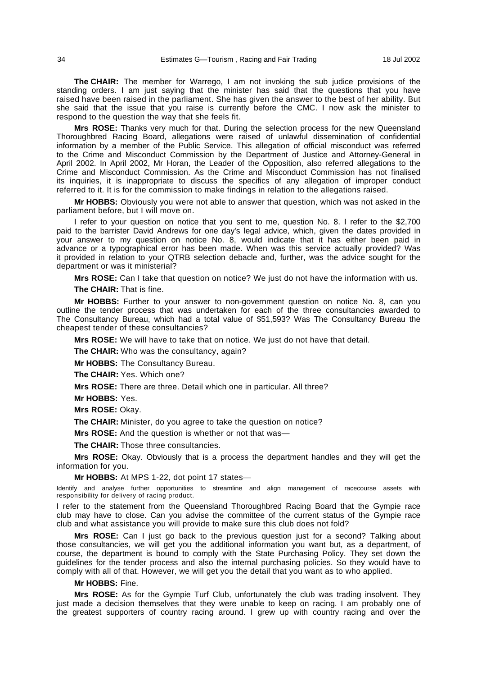**The CHAIR:** The member for Warrego, I am not invoking the sub judice provisions of the standing orders. I am just saying that the minister has said that the questions that you have raised have been raised in the parliament. She has given the answer to the best of her ability. But she said that the issue that you raise is currently before the CMC. I now ask the minister to respond to the question the way that she feels fit.

**Mrs ROSE:** Thanks very much for that. During the selection process for the new Queensland Thoroughbred Racing Board, allegations were raised of unlawful dissemination of confidential information by a member of the Public Service. This allegation of official misconduct was referred to the Crime and Misconduct Commission by the Department of Justice and Attorney-General in April 2002. In April 2002, Mr Horan, the Leader of the Opposition, also referred allegations to the Crime and Misconduct Commission. As the Crime and Misconduct Commission has not finalised its inquiries, it is inappropriate to discuss the specifics of any allegation of improper conduct referred to it. It is for the commission to make findings in relation to the allegations raised.

**Mr HOBBS:** Obviously you were not able to answer that question, which was not asked in the parliament before, but I will move on.

I refer to your question on notice that you sent to me, question No. 8. I refer to the \$2,700 paid to the barrister David Andrews for one day's legal advice, which, given the dates provided in your answer to my question on notice No. 8, would indicate that it has either been paid in advance or a typographical error has been made. When was this service actually provided? Was it provided in relation to your QTRB selection debacle and, further, was the advice sought for the department or was it ministerial?

**Mrs ROSE:** Can I take that question on notice? We just do not have the information with us.

**The CHAIR:** That is fine.

**Mr HOBBS:** Further to your answer to non-government question on notice No. 8, can you outline the tender process that was undertaken for each of the three consultancies awarded to The Consultancy Bureau, which had a total value of \$51,593? Was The Consultancy Bureau the cheapest tender of these consultancies?

**Mrs ROSE:** We will have to take that on notice. We just do not have that detail.

**The CHAIR:** Who was the consultancy, again?

**Mr HOBBS:** The Consultancy Bureau.

**The CHAIR:** Yes. Which one?

**Mrs ROSE:** There are three. Detail which one in particular. All three?

**Mr HOBBS:** Yes.

**Mrs ROSE:** Okay.

**The CHAIR:** Minister, do you agree to take the question on notice?

**Mrs ROSE:** And the question is whether or not that was—

**The CHAIR:** Those three consultancies.

**Mrs ROSE:** Okay. Obviously that is a process the department handles and they will get the information for you.

**Mr HOBBS:** At MPS 1-22, dot point 17 states—

Identify and analyse further opportunities to streamline and align management of racecourse assets with responsibility for delivery of racing product.

I refer to the statement from the Queensland Thoroughbred Racing Board that the Gympie race club may have to close. Can you advise the committee of the current status of the Gympie race club and what assistance you will provide to make sure this club does not fold?

**Mrs ROSE:** Can I just go back to the previous question just for a second? Talking about those consultancies, we will get you the additional information you want but, as a department, of course, the department is bound to comply with the State Purchasing Policy. They set down the guidelines for the tender process and also the internal purchasing policies. So they would have to comply with all of that. However, we will get you the detail that you want as to who applied.

#### **Mr HOBBS:** Fine.

**Mrs ROSE:** As for the Gympie Turf Club, unfortunately the club was trading insolvent. They just made a decision themselves that they were unable to keep on racing. I am probably one of the greatest supporters of country racing around. I grew up with country racing and over the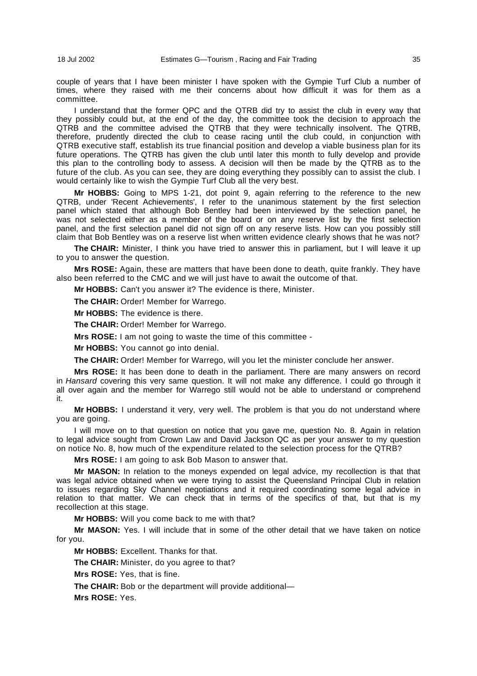couple of years that I have been minister I have spoken with the Gympie Turf Club a number of times, where they raised with me their concerns about how difficult it was for them as a committee.

I understand that the former QPC and the QTRB did try to assist the club in every way that they possibly could but, at the end of the day, the committee took the decision to approach the QTRB and the committee advised the QTRB that they were technically insolvent. The QTRB, therefore, prudently directed the club to cease racing until the club could, in conjunction with QTRB executive staff, establish its true financial position and develop a viable business plan for its future operations. The QTRB has given the club until later this month to fully develop and provide this plan to the controlling body to assess. A decision will then be made by the QTRB as to the future of the club. As you can see, they are doing everything they possibly can to assist the club. I would certainly like to wish the Gympie Turf Club all the very best.

**Mr HOBBS:** Going to MPS 1-21, dot point 9, again referring to the reference to the new QTRB, under 'Recent Achievements', I refer to the unanimous statement by the first selection panel which stated that although Bob Bentley had been interviewed by the selection panel, he was not selected either as a member of the board or on any reserve list by the first selection panel, and the first selection panel did not sign off on any reserve lists. How can you possibly still claim that Bob Bentley was on a reserve list when written evidence clearly shows that he was not?

**The CHAIR:** Minister, I think you have tried to answer this in parliament, but I will leave it up to you to answer the question.

**Mrs ROSE:** Again, these are matters that have been done to death, quite frankly. They have also been referred to the CMC and we will just have to await the outcome of that.

**Mr HOBBS:** Can't you answer it? The evidence is there, Minister.

**The CHAIR:** Order! Member for Warrego.

**Mr HOBBS:** The evidence is there.

**The CHAIR:** Order! Member for Warrego.

**Mrs ROSE:** I am not going to waste the time of this committee -

**Mr HOBBS:** You cannot go into denial.

**The CHAIR:** Order! Member for Warrego, will you let the minister conclude her answer.

**Mrs ROSE:** It has been done to death in the parliament. There are many answers on record in Hansard covering this very same question. It will not make any difference. I could go through it all over again and the member for Warrego still would not be able to understand or comprehend it.

**Mr HOBBS:** I understand it very, very well. The problem is that you do not understand where you are going.

I will move on to that question on notice that you gave me, question No. 8. Again in relation to legal advice sought from Crown Law and David Jackson QC as per your answer to my question on notice No. 8, how much of the expenditure related to the selection process for the QTRB?

**Mrs ROSE:** I am going to ask Bob Mason to answer that.

**Mr MASON:** In relation to the moneys expended on legal advice, my recollection is that that was legal advice obtained when we were trying to assist the Queensland Principal Club in relation to issues regarding Sky Channel negotiations and it required coordinating some legal advice in relation to that matter. We can check that in terms of the specifics of that, but that is my recollection at this stage.

**Mr HOBBS:** Will you come back to me with that?

**Mr MASON:** Yes. I will include that in some of the other detail that we have taken on notice for you.

**Mr HOBBS:** Excellent. Thanks for that.

**The CHAIR:** Minister, do you agree to that?

**Mrs ROSE:** Yes, that is fine.

**The CHAIR:** Bob or the department will provide additional—

**Mrs ROSE:** Yes.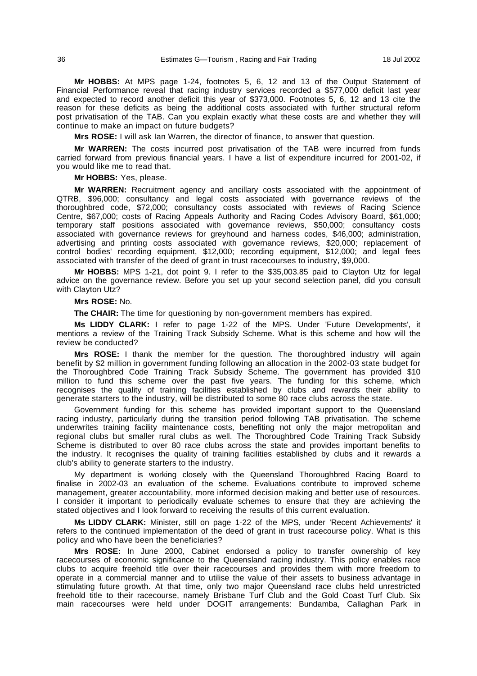**Mr HOBBS:** At MPS page 1-24, footnotes 5, 6, 12 and 13 of the Output Statement of Financial Performance reveal that racing industry services recorded a \$577,000 deficit last year and expected to record another deficit this year of \$373,000. Footnotes 5, 6, 12 and 13 cite the reason for these deficits as being the additional costs associated with further structural reform post privatisation of the TAB. Can you explain exactly what these costs are and whether they will continue to make an impact on future budgets?

**Mrs ROSE:** I will ask Ian Warren, the director of finance, to answer that question.

**Mr WARREN:** The costs incurred post privatisation of the TAB were incurred from funds carried forward from previous financial years. I have a list of expenditure incurred for 2001-02, if you would like me to read that.

**Mr HOBBS:** Yes, please.

**Mr WARREN:** Recruitment agency and ancillary costs associated with the appointment of QTRB, \$96,000; consultancy and legal costs associated with governance reviews of the thoroughbred code, \$72,000; consultancy costs associated with reviews of Racing Science Centre, \$67,000; costs of Racing Appeals Authority and Racing Codes Advisory Board, \$61,000; temporary staff positions associated with governance reviews, \$50,000; consultancy costs associated with governance reviews for greyhound and harness codes, \$46,000; administration, advertising and printing costs associated with governance reviews, \$20,000; replacement of control bodies' recording equipment, \$12,000; recording equipment, \$12,000; and legal fees associated with transfer of the deed of grant in trust racecourses to industry, \$9,000.

**Mr HOBBS:** MPS 1-21, dot point 9. I refer to the \$35,003.85 paid to Clayton Utz for legal advice on the governance review. Before you set up your second selection panel, did you consult with Clayton Utz?

#### **Mrs ROSE:** No.

**The CHAIR:** The time for questioning by non-government members has expired.

**Ms LIDDY CLARK:** I refer to page 1-22 of the MPS. Under 'Future Developments', it mentions a review of the Training Track Subsidy Scheme. What is this scheme and how will the review be conducted?

**Mrs ROSE:** I thank the member for the question. The thoroughbred industry will again benefit by \$2 million in government funding following an allocation in the 2002-03 state budget for the Thoroughbred Code Training Track Subsidy Scheme. The government has provided \$10 million to fund this scheme over the past five years. The funding for this scheme, which recognises the quality of training facilities established by clubs and rewards their ability to generate starters to the industry, will be distributed to some 80 race clubs across the state.

Government funding for this scheme has provided important support to the Queensland racing industry, particularly during the transition period following TAB privatisation. The scheme underwrites training facility maintenance costs, benefiting not only the major metropolitan and regional clubs but smaller rural clubs as well. The Thoroughbred Code Training Track Subsidy Scheme is distributed to over 80 race clubs across the state and provides important benefits to the industry. It recognises the quality of training facilities established by clubs and it rewards a club's ability to generate starters to the industry.

My department is working closely with the Queensland Thoroughbred Racing Board to finalise in 2002-03 an evaluation of the scheme. Evaluations contribute to improved scheme management, greater accountability, more informed decision making and better use of resources. I consider it important to periodically evaluate schemes to ensure that they are achieving the stated objectives and I look forward to receiving the results of this current evaluation.

**Ms LIDDY CLARK:** Minister, still on page 1-22 of the MPS, under 'Recent Achievements' it refers to the continued implementation of the deed of grant in trust racecourse policy. What is this policy and who have been the beneficiaries?

**Mrs ROSE:** In June 2000, Cabinet endorsed a policy to transfer ownership of key racecourses of economic significance to the Queensland racing industry. This policy enables race clubs to acquire freehold title over their racecourses and provides them with more freedom to operate in a commercial manner and to utilise the value of their assets to business advantage in stimulating future growth. At that time, only two major Queensland race clubs held unrestricted freehold title to their racecourse, namely Brisbane Turf Club and the Gold Coast Turf Club. Six main racecourses were held under DOGIT arrangements: Bundamba, Callaghan Park in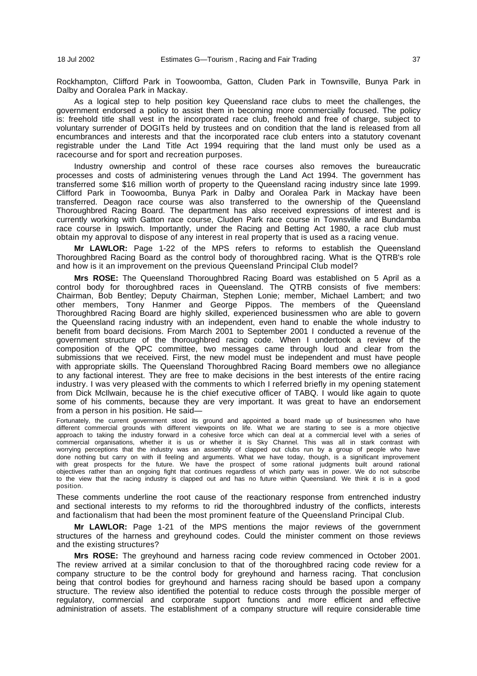Rockhampton, Clifford Park in Toowoomba, Gatton, Cluden Park in Townsville, Bunya Park in Dalby and Ooralea Park in Mackay.

As a logical step to help position key Queensland race clubs to meet the challenges, the government endorsed a policy to assist them in becoming more commercially focused. The policy is: freehold title shall vest in the incorporated race club, freehold and free of charge, subject to voluntary surrender of DOGITs held by trustees and on condition that the land is released from all encumbrances and interests and that the incorporated race club enters into a statutory covenant registrable under the Land Title Act 1994 requiring that the land must only be used as a racecourse and for sport and recreation purposes.

Industry ownership and control of these race courses also removes the bureaucratic processes and costs of administering venues through the Land Act 1994. The government has transferred some \$16 million worth of property to the Queensland racing industry since late 1999. Clifford Park in Toowoomba, Bunya Park in Dalby and Ooralea Park in Mackay have been transferred. Deagon race course was also transferred to the ownership of the Queensland Thoroughbred Racing Board. The department has also received expressions of interest and is currently working with Gatton race course, Cluden Park race course in Townsville and Bundamba race course in Ipswich. Importantly, under the Racing and Betting Act 1980, a race club must obtain my approval to dispose of any interest in real property that is used as a racing venue.

**Mr LAWLOR:** Page 1-22 of the MPS refers to reforms to establish the Queensland Thoroughbred Racing Board as the control body of thoroughbred racing. What is the QTRB's role and how is it an improvement on the previous Queensland Principal Club model?

**Mrs ROSE:** The Queensland Thoroughbred Racing Board was established on 5 April as a control body for thoroughbred races in Queensland. The QTRB consists of five members: Chairman, Bob Bentley; Deputy Chairman, Stephen Lonie; member, Michael Lambert; and two other members, Tony Hanmer and George Pippos. The members of the Queensland Thoroughbred Racing Board are highly skilled, experienced businessmen who are able to govern the Queensland racing industry with an independent, even hand to enable the whole industry to benefit from board decisions. From March 2001 to September 2001 I conducted a revenue of the government structure of the thoroughbred racing code. When I undertook a review of the composition of the QPC committee, two messages came through loud and clear from the submissions that we received. First, the new model must be independent and must have people with appropriate skills. The Queensland Thoroughbred Racing Board members owe no allegiance to any factional interest. They are free to make decisions in the best interests of the entire racing industry. I was very pleased with the comments to which I referred briefly in my opening statement from Dick McIlwain, because he is the chief executive officer of TABQ. I would like again to quote some of his comments, because they are very important. It was great to have an endorsement from a person in his position. He said—

Fortunately, the current government stood its ground and appointed a board made up of businessmen who have different commercial grounds with different viewpoints on life. What we are starting to see is a more objective approach to taking the industry forward in a cohesive force which can deal at a commercial level with a series of commercial organisations, whether it is us or whether it is Sky Channel. This was all in stark contrast with worrying perceptions that the industry was an assembly of clapped out clubs run by a group of people who have done nothing but carry on with ill feeling and arguments. What we have today, though, is a significant improvement with great prospects for the future. We have the prospect of some rational judgments built around rational objectives rather than an ongoing fight that continues regardless of which party was in power. We do not subscribe to the view that the racing industry is clapped out and has no future within Queensland. We think it is in a good position.

These comments underline the root cause of the reactionary response from entrenched industry and sectional interests to my reforms to rid the thoroughbred industry of the conflicts, interests and factionalism that had been the most prominent feature of the Queensland Principal Club.

**Mr LAWLOR:** Page 1-21 of the MPS mentions the major reviews of the government structures of the harness and greyhound codes. Could the minister comment on those reviews and the existing structures?

**Mrs ROSE:** The greyhound and harness racing code review commenced in October 2001. The review arrived at a similar conclusion to that of the thoroughbred racing code review for a company structure to be the control body for greyhound and harness racing. That conclusion being that control bodies for greyhound and harness racing should be based upon a company structure. The review also identified the potential to reduce costs through the possible merger of regulatory, commercial and corporate support functions and more efficient and effective administration of assets. The establishment of a company structure will require considerable time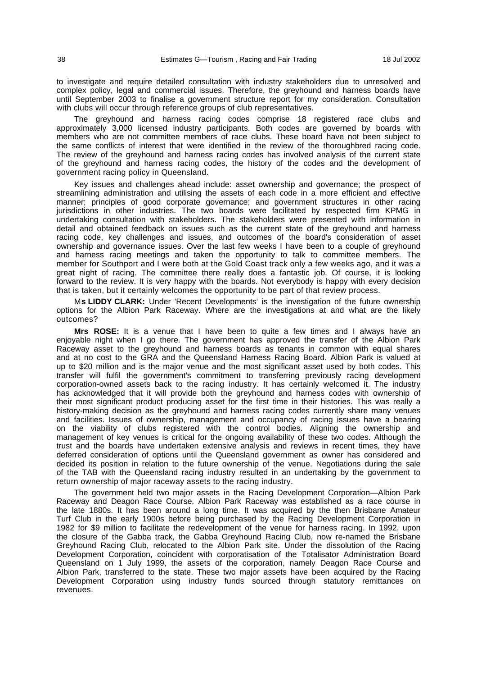to investigate and require detailed consultation with industry stakeholders due to unresolved and complex policy, legal and commercial issues. Therefore, the greyhound and harness boards have until September 2003 to finalise a government structure report for my consideration. Consultation with clubs will occur through reference groups of club representatives.

The greyhound and harness racing codes comprise 18 registered race clubs and approximately 3,000 licensed industry participants. Both codes are governed by boards with members who are not committee members of race clubs. These board have not been subject to the same conflicts of interest that were identified in the review of the thoroughbred racing code. The review of the greyhound and harness racing codes has involved analysis of the current state of the greyhound and harness racing codes, the history of the codes and the development of government racing policy in Queensland.

Key issues and challenges ahead include: asset ownership and governance; the prospect of streamlining administration and utilising the assets of each code in a more efficient and effective manner; principles of good corporate governance; and government structures in other racing jurisdictions in other industries. The two boards were facilitated by respected firm KPMG in undertaking consultation with stakeholders. The stakeholders were presented with information in detail and obtained feedback on issues such as the current state of the greyhound and harness racing code, key challenges and issues, and outcomes of the board's consideration of asset ownership and governance issues. Over the last few weeks I have been to a couple of greyhound and harness racing meetings and taken the opportunity to talk to committee members. The member for Southport and I were both at the Gold Coast track only a few weeks ago, and it was a great night of racing. The committee there really does a fantastic job. Of course, it is looking forward to the review. It is very happy with the boards. Not everybody is happy with every decision that is taken, but it certainly welcomes the opportunity to be part of that review process.

M**s LIDDY CLARK:** Under 'Recent Developments' is the investigation of the future ownership options for the Albion Park Raceway. Where are the investigations at and what are the likely outcomes?

**Mrs ROSE:** It is a venue that I have been to quite a few times and I always have an enjoyable night when I go there. The government has approved the transfer of the Albion Park Raceway asset to the greyhound and harness boards as tenants in common with equal shares and at no cost to the GRA and the Queensland Harness Racing Board. Albion Park is valued at up to \$20 million and is the major venue and the most significant asset used by both codes. This transfer will fulfil the government's commitment to transferring previously racing development corporation-owned assets back to the racing industry. It has certainly welcomed it. The industry has acknowledged that it will provide both the greyhound and harness codes with ownership of their most significant product producing asset for the first time in their histories. This was really a history-making decision as the greyhound and harness racing codes currently share many venues and facilities. Issues of ownership, management and occupancy of racing issues have a bearing on the viability of clubs registered with the control bodies. Aligning the ownership and management of key venues is critical for the ongoing availability of these two codes. Although the trust and the boards have undertaken extensive analysis and reviews in recent times, they have deferred consideration of options until the Queensland government as owner has considered and decided its position in relation to the future ownership of the venue. Negotiations during the sale of the TAB with the Queensland racing industry resulted in an undertaking by the government to return ownership of major raceway assets to the racing industry.

The government held two major assets in the Racing Development Corporation—Albion Park Raceway and Deagon Race Course. Albion Park Raceway was established as a race course in the late 1880s. It has been around a long time. It was acquired by the then Brisbane Amateur Turf Club in the early 1900s before being purchased by the Racing Development Corporation in 1982 for \$9 million to facilitate the redevelopment of the venue for harness racing. In 1992, upon the closure of the Gabba track, the Gabba Greyhound Racing Club, now re-named the Brisbane Greyhound Racing Club, relocated to the Albion Park site. Under the dissolution of the Racing Development Corporation, coincident with corporatisation of the Totalisator Administration Board Queensland on 1 July 1999, the assets of the corporation, namely Deagon Race Course and Albion Park, transferred to the state. These two major assets have been acquired by the Racing Development Corporation using industry funds sourced through statutory remittances on revenues.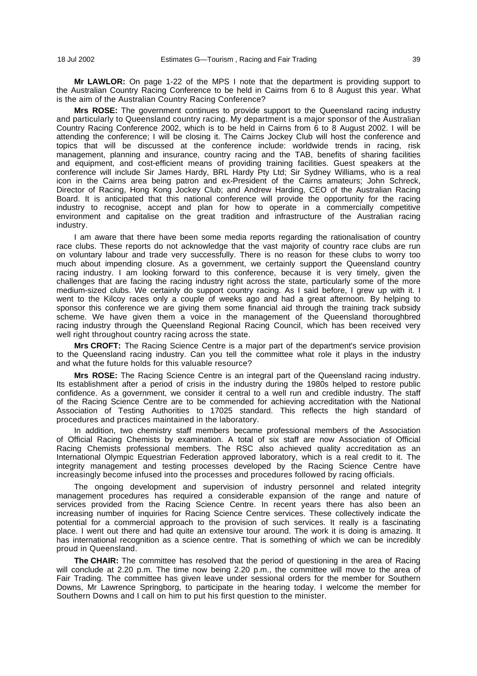**Mr LAWLOR:** On page 1-22 of the MPS I note that the department is providing support to the Australian Country Racing Conference to be held in Cairns from 6 to 8 August this year. What is the aim of the Australian Country Racing Conference?

**Mrs ROSE:** The government continues to provide support to the Queensland racing industry and particularly to Queensland country racing. My department is a major sponsor of the Australian Country Racing Conference 2002, which is to be held in Cairns from 6 to 8 August 2002. I will be attending the conference; I will be closing it. The Cairns Jockey Club will host the conference and topics that will be discussed at the conference include: worldwide trends in racing, risk management, planning and insurance, country racing and the TAB, benefits of sharing facilities and equipment, and cost-efficient means of providing training facilities. Guest speakers at the conference will include Sir James Hardy, BRL Hardy Pty Ltd; Sir Sydney Williams, who is a real icon in the Cairns area being patron and ex-President of the Cairns amateurs; John Schreck, Director of Racing, Hong Kong Jockey Club; and Andrew Harding, CEO of the Australian Racing Board. It is anticipated that this national conference will provide the opportunity for the racing industry to recognise, accept and plan for how to operate in a commercially competitive environment and capitalise on the great tradition and infrastructure of the Australian racing industry.

I am aware that there have been some media reports regarding the rationalisation of country race clubs. These reports do not acknowledge that the vast majority of country race clubs are run on voluntary labour and trade very successfully. There is no reason for these clubs to worry too much about impending closure. As a government, we certainly support the Queensland country racing industry. I am looking forward to this conference, because it is very timely, given the challenges that are facing the racing industry right across the state, particularly some of the more medium-sized clubs. We certainly do support country racing. As I said before, I grew up with it. I went to the Kilcoy races only a couple of weeks ago and had a great afternoon. By helping to sponsor this conference we are giving them some financial aid through the training track subsidy scheme. We have given them a voice in the management of the Queensland thoroughbred racing industry through the Queensland Regional Racing Council, which has been received very well right throughout country racing across the state.

**Mrs CROFT:** The Racing Science Centre is a major part of the department's service provision to the Queensland racing industry. Can you tell the committee what role it plays in the industry and what the future holds for this valuable resource?

**Mrs ROSE:** The Racing Science Centre is an integral part of the Queensland racing industry. Its establishment after a period of crisis in the industry during the 1980s helped to restore public confidence. As a government, we consider it central to a well run and credible industry. The staff of the Racing Science Centre are to be commended for achieving accreditation with the National Association of Testing Authorities to 17025 standard. This reflects the high standard of procedures and practices maintained in the laboratory.

In addition, two chemistry staff members became professional members of the Association of Official Racing Chemists by examination. A total of six staff are now Association of Official Racing Chemists professional members. The RSC also achieved quality accreditation as an International Olympic Equestrian Federation approved laboratory, which is a real credit to it. The integrity management and testing processes developed by the Racing Science Centre have increasingly become infused into the processes and procedures followed by racing officials.

The ongoing development and supervision of industry personnel and related integrity management procedures has required a considerable expansion of the range and nature of services provided from the Racing Science Centre. In recent years there has also been an increasing number of inquiries for Racing Science Centre services. These collectively indicate the potential for a commercial approach to the provision of such services. It really is a fascinating place. I went out there and had quite an extensive tour around. The work it is doing is amazing. It has international recognition as a science centre. That is something of which we can be incredibly proud in Queensland.

**The CHAIR:** The committee has resolved that the period of questioning in the area of Racing will conclude at 2.20 p.m. The time now being 2.20 p.m., the committee will move to the area of Fair Trading. The committee has given leave under sessional orders for the member for Southern Downs, Mr Lawrence Springborg, to participate in the hearing today. I welcome the member for Southern Downs and I call on him to put his first question to the minister.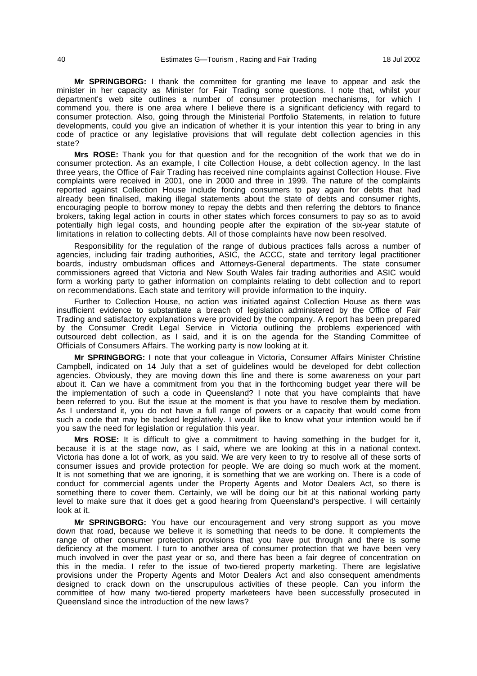**Mr SPRINGBORG:** I thank the committee for granting me leave to appear and ask the minister in her capacity as Minister for Fair Trading some questions. I note that, whilst your department's web site outlines a number of consumer protection mechanisms, for which I commend you, there is one area where I believe there is a significant deficiency with regard to consumer protection. Also, going through the Ministerial Portfolio Statements, in relation to future developments, could you give an indication of whether it is your intention this year to bring in any code of practice or any legislative provisions that will regulate debt collection agencies in this state?

**Mrs ROSE:** Thank you for that question and for the recognition of the work that we do in consumer protection. As an example, I cite Collection House, a debt collection agency. In the last three years, the Office of Fair Trading has received nine complaints against Collection House. Five complaints were received in 2001, one in 2000 and three in 1999. The nature of the complaints reported against Collection House include forcing consumers to pay again for debts that had already been finalised, making illegal statements about the state of debts and consumer rights, encouraging people to borrow money to repay the debts and then referring the debtors to finance brokers, taking legal action in courts in other states which forces consumers to pay so as to avoid potentially high legal costs, and hounding people after the expiration of the six-year statute of limitations in relation to collecting debts. All of those complaints have now been resolved.

Responsibility for the regulation of the range of dubious practices falls across a number of agencies, including fair trading authorities, ASIC, the ACCC, state and territory legal practitioner boards, industry ombudsman offices and Attorneys-General departments. The state consumer commissioners agreed that Victoria and New South Wales fair trading authorities and ASIC would form a working party to gather information on complaints relating to debt collection and to report on recommendations. Each state and territory will provide information to the inquiry.

Further to Collection House, no action was initiated against Collection House as there was insufficient evidence to substantiate a breach of legislation administered by the Office of Fair Trading and satisfactory explanations were provided by the company. A report has been prepared by the Consumer Credit Legal Service in Victoria outlining the problems experienced with outsourced debt collection, as I said, and it is on the agenda for the Standing Committee of Officials of Consumers Affairs. The working party is now looking at it.

**Mr SPRINGBORG:** I note that your colleague in Victoria, Consumer Affairs Minister Christine Campbell, indicated on 14 July that a set of guidelines would be developed for debt collection agencies. Obviously, they are moving down this line and there is some awareness on your part about it. Can we have a commitment from you that in the forthcoming budget year there will be the implementation of such a code in Queensland? I note that you have complaints that have been referred to you. But the issue at the moment is that you have to resolve them by mediation. As I understand it, you do not have a full range of powers or a capacity that would come from such a code that may be backed legislatively. I would like to know what your intention would be if you saw the need for legislation or regulation this year.

**Mrs ROSE:** It is difficult to give a commitment to having something in the budget for it, because it is at the stage now, as I said, where we are looking at this in a national context. Victoria has done a lot of work, as you said. We are very keen to try to resolve all of these sorts of consumer issues and provide protection for people. We are doing so much work at the moment. It is not something that we are ignoring, it is something that we are working on. There is a code of conduct for commercial agents under the Property Agents and Motor Dealers Act, so there is something there to cover them. Certainly, we will be doing our bit at this national working party level to make sure that it does get a good hearing from Queensland's perspective. I will certainly look at it.

**Mr SPRINGBORG:** You have our encouragement and very strong support as you move down that road, because we believe it is something that needs to be done. It complements the range of other consumer protection provisions that you have put through and there is some deficiency at the moment. I turn to another area of consumer protection that we have been very much involved in over the past year or so, and there has been a fair degree of concentration on this in the media. I refer to the issue of two-tiered property marketing. There are legislative provisions under the Property Agents and Motor Dealers Act and also consequent amendments designed to crack down on the unscrupulous activities of these people. Can you inform the committee of how many two-tiered property marketeers have been successfully prosecuted in Queensland since the introduction of the new laws?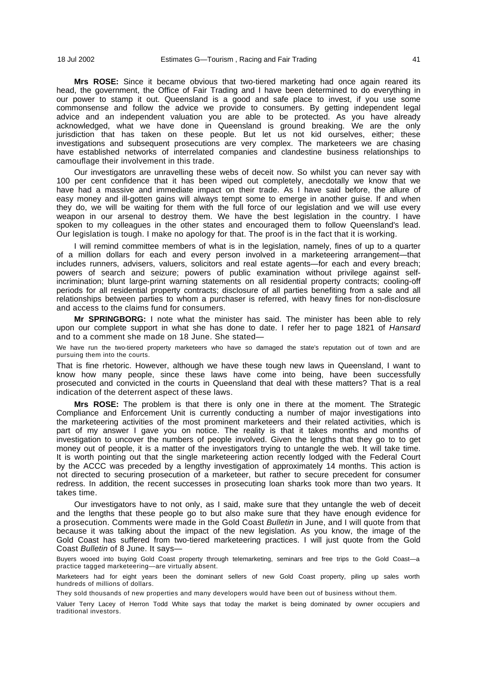**Mrs ROSE:** Since it became obvious that two-tiered marketing had once again reared its head, the government, the Office of Fair Trading and I have been determined to do everything in our power to stamp it out. Queensland is a good and safe place to invest, if you use some commonsense and follow the advice we provide to consumers. By getting independent legal advice and an independent valuation you are able to be protected. As you have already acknowledged, what we have done in Queensland is ground breaking. We are the only jurisdiction that has taken on these people. But let us not kid ourselves, either; these investigations and subsequent prosecutions are very complex. The marketeers we are chasing have established networks of interrelated companies and clandestine business relationships to camouflage their involvement in this trade.

Our investigators are unravelling these webs of deceit now. So whilst you can never say with 100 per cent confidence that it has been wiped out completely, anecdotally we know that we have had a massive and immediate impact on their trade. As I have said before, the allure of easy money and ill-gotten gains will always tempt some to emerge in another guise. If and when they do, we will be waiting for them with the full force of our legislation and we will use every weapon in our arsenal to destroy them. We have the best legislation in the country. I have spoken to my colleagues in the other states and encouraged them to follow Queensland's lead. Our legislation is tough. I make no apology for that. The proof is in the fact that it is working.

I will remind committee members of what is in the legislation, namely, fines of up to a quarter of a million dollars for each and every person involved in a marketeering arrangement—that includes runners, advisers, valuers, solicitors and real estate agents—for each and every breach; powers of search and seizure; powers of public examination without privilege against selfincrimination; blunt large-print warning statements on all residential property contracts; cooling-off periods for all residential property contracts; disclosure of all parties benefiting from a sale and all relationships between parties to whom a purchaser is referred, with heavy fines for non-disclosure and access to the claims fund for consumers.

**Mr SPRINGBORG:** I note what the minister has said. The minister has been able to rely upon our complete support in what she has done to date. I refer her to page 1821 of Hansard and to a comment she made on 18 June. She stated—

We have run the two-tiered property marketeers who have so damaged the state's reputation out of town and are pursuing them into the courts.

That is fine rhetoric. However, although we have these tough new laws in Queensland, I want to know how many people, since these laws have come into being, have been successfully prosecuted and convicted in the courts in Queensland that deal with these matters? That is a real indication of the deterrent aspect of these laws.

**Mrs ROSE:** The problem is that there is only one in there at the moment. The Strategic Compliance and Enforcement Unit is currently conducting a number of major investigations into the marketeering activities of the most prominent marketeers and their related activities, which is part of my answer I gave you on notice. The reality is that it takes months and months of investigation to uncover the numbers of people involved. Given the lengths that they go to to get money out of people, it is a matter of the investigators trying to untangle the web. It will take time. It is worth pointing out that the single marketeering action recently lodged with the Federal Court by the ACCC was preceded by a lengthy investigation of approximately 14 months. This action is not directed to securing prosecution of a marketeer, but rather to secure precedent for consumer redress. In addition, the recent successes in prosecuting loan sharks took more than two years. It takes time.

Our investigators have to not only, as I said, make sure that they untangle the web of deceit and the lengths that these people go to but also make sure that they have enough evidence for a prosecution. Comments were made in the Gold Coast Bulletin in June, and I will quote from that because it was talking about the impact of the new legislation. As you know, the image of the Gold Coast has suffered from two-tiered marketeering practices. I will just quote from the Gold Coast Bulletin of 8 June. It says—

Buyers wooed into buying Gold Coast property through telemarketing, seminars and free trips to the Gold Coast—a practice tagged marketeering—are virtually absent.

Marketeers had for eight years been the dominant sellers of new Gold Coast property, piling up sales worth hundreds of millions of dollars.

They sold thousands of new properties and many developers would have been out of business without them.

Valuer Terry Lacey of Herron Todd White says that today the market is being dominated by owner occupiers and traditional investors.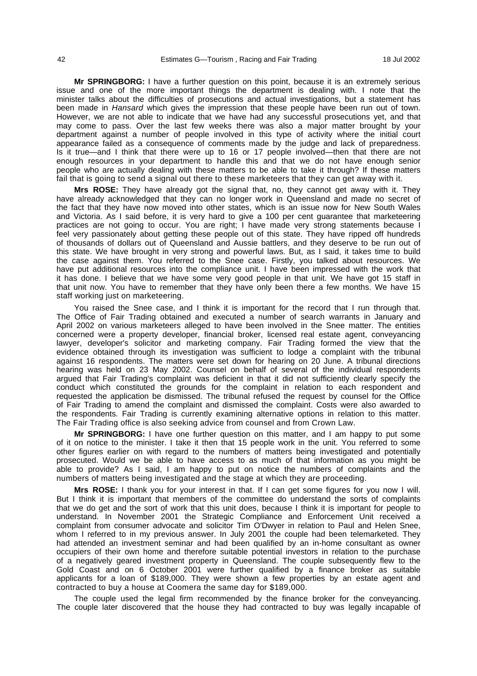**Mr SPRINGBORG:** I have a further question on this point, because it is an extremely serious issue and one of the more important things the department is dealing with. I note that the minister talks about the difficulties of prosecutions and actual investigations, but a statement has been made in *Hansard* which gives the impression that these people have been run out of town. However, we are not able to indicate that we have had any successful prosecutions yet, and that may come to pass. Over the last few weeks there was also a major matter brought by your department against a number of people involved in this type of activity where the initial court appearance failed as a consequence of comments made by the judge and lack of preparedness. Is it true—and I think that there were up to 16 or 17 people involved—then that there are not enough resources in your department to handle this and that we do not have enough senior people who are actually dealing with these matters to be able to take it through? If these matters fail that is going to send a signal out there to these marketeers that they can get away with it.

**Mrs ROSE:** They have already got the signal that, no, they cannot get away with it. They have already acknowledged that they can no longer work in Queensland and made no secret of the fact that they have now moved into other states, which is an issue now for New South Wales and Victoria. As I said before, it is very hard to give a 100 per cent guarantee that marketeering practices are not going to occur. You are right; I have made very strong statements because I feel very passionately about getting these people out of this state. They have ripped off hundreds of thousands of dollars out of Queensland and Aussie battlers, and they deserve to be run out of this state. We have brought in very strong and powerful laws. But, as I said, it takes time to build the case against them. You referred to the Snee case. Firstly, you talked about resources. We have put additional resources into the compliance unit. I have been impressed with the work that it has done. I believe that we have some very good people in that unit. We have got 15 staff in that unit now. You have to remember that they have only been there a few months. We have 15 staff working just on marketeering.

You raised the Snee case, and I think it is important for the record that I run through that. The Office of Fair Trading obtained and executed a number of search warrants in January and April 2002 on various marketeers alleged to have been involved in the Snee matter. The entities concerned were a property developer, financial broker, licensed real estate agent, conveyancing lawyer, developer's solicitor and marketing company. Fair Trading formed the view that the evidence obtained through its investigation was sufficient to lodge a complaint with the tribunal against 16 respondents. The matters were set down for hearing on 20 June. A tribunal directions hearing was held on 23 May 2002. Counsel on behalf of several of the individual respondents argued that Fair Trading's complaint was deficient in that it did not sufficiently clearly specify the conduct which constituted the grounds for the complaint in relation to each respondent and requested the application be dismissed. The tribunal refused the request by counsel for the Office of Fair Trading to amend the complaint and dismissed the complaint. Costs were also awarded to the respondents. Fair Trading is currently examining alternative options in relation to this matter. The Fair Trading office is also seeking advice from counsel and from Crown Law.

**Mr SPRINGBORG:** I have one further question on this matter, and I am happy to put some of it on notice to the minister. I take it then that 15 people work in the unit. You referred to some other figures earlier on with regard to the numbers of matters being investigated and potentially prosecuted. Would we be able to have access to as much of that information as you might be able to provide? As I said, I am happy to put on notice the numbers of complaints and the numbers of matters being investigated and the stage at which they are proceeding.

**Mrs ROSE:** I thank you for your interest in that. If I can get some figures for you now I will. But I think it is important that members of the committee do understand the sorts of complaints that we do get and the sort of work that this unit does, because I think it is important for people to understand. In November 2001 the Strategic Compliance and Enforcement Unit received a complaint from consumer advocate and solicitor Tim O'Dwyer in relation to Paul and Helen Snee, whom I referred to in my previous answer. In July 2001 the couple had been telemarketed. They had attended an investment seminar and had been qualified by an in-home consultant as owner occupiers of their own home and therefore suitable potential investors in relation to the purchase of a negatively geared investment property in Queensland. The couple subsequently flew to the Gold Coast and on 6 October 2001 were further qualified by a finance broker as suitable applicants for a loan of \$189,000. They were shown a few properties by an estate agent and contracted to buy a house at Coomera the same day for \$189,000.

The couple used the legal firm recommended by the finance broker for the conveyancing. The couple later discovered that the house they had contracted to buy was legally incapable of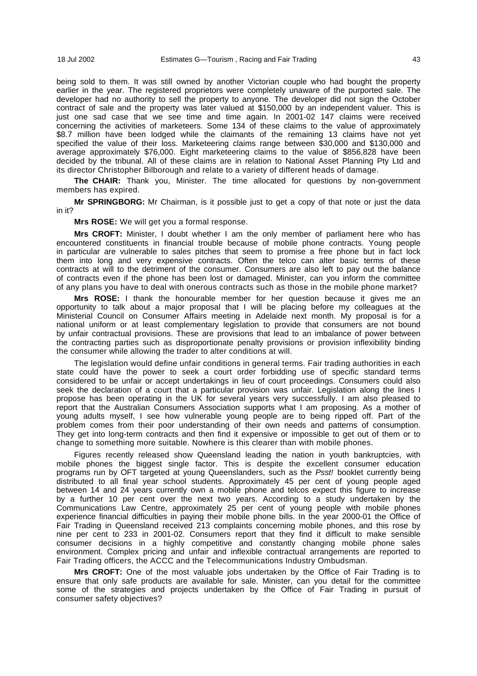being sold to them. It was still owned by another Victorian couple who had bought the property earlier in the year. The registered proprietors were completely unaware of the purported sale. The developer had no authority to sell the property to anyone. The developer did not sign the October contract of sale and the property was later valued at \$150,000 by an independent valuer. This is just one sad case that we see time and time again. In 2001-02 147 claims were received concerning the activities of marketeers. Some 134 of these claims to the value of approximately \$8.7 million have been lodged while the claimants of the remaining 13 claims have not yet specified the value of their loss. Marketeering claims range between \$30,000 and \$130,000 and average approximately \$76,000. Eight marketeering claims to the value of \$856,828 have been decided by the tribunal. All of these claims are in relation to National Asset Planning Pty Ltd and its director Christopher Bilborough and relate to a variety of different heads of damage.

**The CHAIR:** Thank you, Minister. The time allocated for questions by non-government members has expired.

**Mr SPRINGBORG:** Mr Chairman, is it possible just to get a copy of that note or just the data in it?

**Mrs ROSE:** We will get you a formal response.

**Mrs CROFT:** Minister, I doubt whether I am the only member of parliament here who has encountered constituents in financial trouble because of mobile phone contracts. Young people in particular are vulnerable to sales pitches that seem to promise a free phone but in fact lock them into long and very expensive contracts. Often the telco can alter basic terms of these contracts at will to the detriment of the consumer. Consumers are also left to pay out the balance of contracts even if the phone has been lost or damaged. Minister, can you inform the committee of any plans you have to deal with onerous contracts such as those in the mobile phone market?

**Mrs ROSE:** I thank the honourable member for her question because it gives me an opportunity to talk about a major proposal that I will be placing before my colleagues at the Ministerial Council on Consumer Affairs meeting in Adelaide next month. My proposal is for a national uniform or at least complementary legislation to provide that consumers are not bound by unfair contractual provisions. These are provisions that lead to an imbalance of power between the contracting parties such as disproportionate penalty provisions or provision inflexibility binding the consumer while allowing the trader to alter conditions at will.

The legislation would define unfair conditions in general terms. Fair trading authorities in each state could have the power to seek a court order forbidding use of specific standard terms considered to be unfair or accept undertakings in lieu of court proceedings. Consumers could also seek the declaration of a court that a particular provision was unfair. Legislation along the lines I propose has been operating in the UK for several years very successfully. I am also pleased to report that the Australian Consumers Association supports what I am proposing. As a mother of young adults myself, I see how vulnerable young people are to being ripped off. Part of the problem comes from their poor understanding of their own needs and patterns of consumption. They get into long-term contracts and then find it expensive or impossible to get out of them or to change to something more suitable. Nowhere is this clearer than with mobile phones.

Figures recently released show Queensland leading the nation in youth bankruptcies, with mobile phones the biggest single factor. This is despite the excellent consumer education programs run by OFT targeted at young Queenslanders, such as the Psst! booklet currently being distributed to all final year school students. Approximately 45 per cent of young people aged between 14 and 24 years currently own a mobile phone and telcos expect this figure to increase by a further 10 per cent over the next two years. According to a study undertaken by the Communications Law Centre, approximately 25 per cent of young people with mobile phones experience financial difficulties in paying their mobile phone bills. In the year 2000-01 the Office of Fair Trading in Queensland received 213 complaints concerning mobile phones, and this rose by nine per cent to 233 in 2001-02. Consumers report that they find it difficult to make sensible consumer decisions in a highly competitive and constantly changing mobile phone sales environment. Complex pricing and unfair and inflexible contractual arrangements are reported to Fair Trading officers, the ACCC and the Telecommunications Industry Ombudsman.

**Mrs CROFT:** One of the most valuable jobs undertaken by the Office of Fair Trading is to ensure that only safe products are available for sale. Minister, can you detail for the committee some of the strategies and projects undertaken by the Office of Fair Trading in pursuit of consumer safety objectives?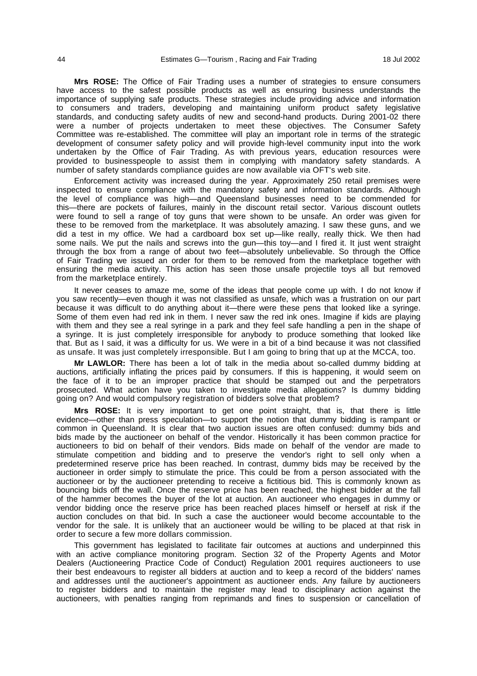**Mrs ROSE:** The Office of Fair Trading uses a number of strategies to ensure consumers have access to the safest possible products as well as ensuring business understands the importance of supplying safe products. These strategies include providing advice and information to consumers and traders, developing and maintaining uniform product safety legislative standards, and conducting safety audits of new and second-hand products. During 2001-02 there were a number of projects undertaken to meet these objectives. The Consumer Safety Committee was re-established. The committee will play an important role in terms of the strategic development of consumer safety policy and will provide high-level community input into the work undertaken by the Office of Fair Trading. As with previous years, education resources were provided to businesspeople to assist them in complying with mandatory safety standards. A number of safety standards compliance guides are now available via OFT's web site.

Enforcement activity was increased during the year. Approximately 250 retail premises were inspected to ensure compliance with the mandatory safety and information standards. Although the level of compliance was high—and Queensland businesses need to be commended for this—there are pockets of failures, mainly in the discount retail sector. Various discount outlets were found to sell a range of toy guns that were shown to be unsafe. An order was given for these to be removed from the marketplace. It was absolutely amazing. I saw these guns, and we did a test in my office. We had a cardboard box set up—like really, really thick. We then had some nails. We put the nails and screws into the gun—this toy—and I fired it. It just went straight through the box from a range of about two feet—absolutely unbelievable. So through the Office of Fair Trading we issued an order for them to be removed from the marketplace together with ensuring the media activity. This action has seen those unsafe projectile toys all but removed from the marketplace entirely.

It never ceases to amaze me, some of the ideas that people come up with. I do not know if you saw recently—even though it was not classified as unsafe, which was a frustration on our part because it was difficult to do anything about it—there were these pens that looked like a syringe. Some of them even had red ink in them. I never saw the red ink ones. Imagine if kids are playing with them and they see a real syringe in a park and they feel safe handling a pen in the shape of a syringe. It is just completely irresponsible for anybody to produce something that looked like that. But as I said, it was a difficulty for us. We were in a bit of a bind because it was not classified as unsafe. It was just completely irresponsible. But I am going to bring that up at the MCCA, too.

**Mr LAWLOR:** There has been a lot of talk in the media about so-called dummy bidding at auctions, artificially inflating the prices paid by consumers. If this is happening, it would seem on the face of it to be an improper practice that should be stamped out and the perpetrators prosecuted. What action have you taken to investigate media allegations? Is dummy bidding going on? And would compulsory registration of bidders solve that problem?

**Mrs ROSE:** It is very important to get one point straight, that is, that there is little evidence—other than press speculation—to support the notion that dummy bidding is rampant or common in Queensland. It is clear that two auction issues are often confused: dummy bids and bids made by the auctioneer on behalf of the vendor. Historically it has been common practice for auctioneers to bid on behalf of their vendors. Bids made on behalf of the vendor are made to stimulate competition and bidding and to preserve the vendor's right to sell only when a predetermined reserve price has been reached. In contrast, dummy bids may be received by the auctioneer in order simply to stimulate the price. This could be from a person associated with the auctioneer or by the auctioneer pretending to receive a fictitious bid. This is commonly known as bouncing bids off the wall. Once the reserve price has been reached, the highest bidder at the fall of the hammer becomes the buyer of the lot at auction. An auctioneer who engages in dummy or vendor bidding once the reserve price has been reached places himself or herself at risk if the auction concludes on that bid. In such a case the auctioneer would become accountable to the vendor for the sale. It is unlikely that an auctioneer would be willing to be placed at that risk in order to secure a few more dollars commission.

This government has legislated to facilitate fair outcomes at auctions and underpinned this with an active compliance monitoring program. Section 32 of the Property Agents and Motor Dealers (Auctioneering Practice Code of Conduct) Regulation 2001 requires auctioneers to use their best endeavours to register all bidders at auction and to keep a record of the bidders' names and addresses until the auctioneer's appointment as auctioneer ends. Any failure by auctioneers to register bidders and to maintain the register may lead to disciplinary action against the auctioneers, with penalties ranging from reprimands and fines to suspension or cancellation of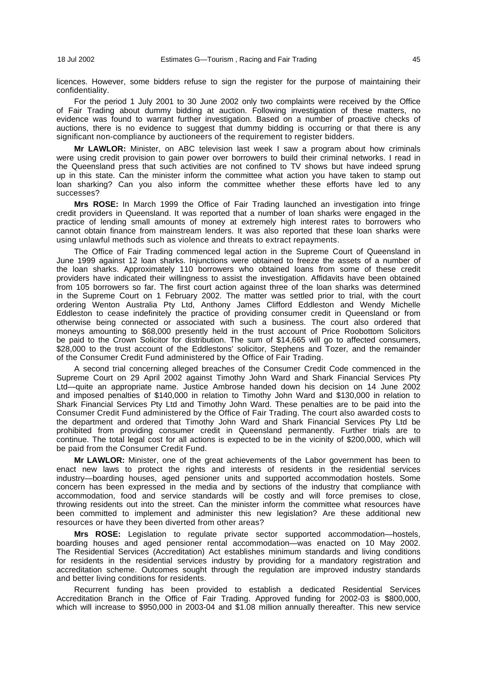licences. However, some bidders refuse to sign the register for the purpose of maintaining their confidentiality.

For the period 1 July 2001 to 30 June 2002 only two complaints were received by the Office of Fair Trading about dummy bidding at auction. Following investigation of these matters, no evidence was found to warrant further investigation. Based on a number of proactive checks of auctions, there is no evidence to suggest that dummy bidding is occurring or that there is any significant non-compliance by auctioneers of the requirement to register bidders.

**Mr LAWLOR:** Minister, on ABC television last week I saw a program about how criminals were using credit provision to gain power over borrowers to build their criminal networks. I read in the Queensland press that such activities are not confined to TV shows but have indeed sprung up in this state. Can the minister inform the committee what action you have taken to stamp out loan sharking? Can you also inform the committee whether these efforts have led to any successes?

**Mrs ROSE:** In March 1999 the Office of Fair Trading launched an investigation into fringe credit providers in Queensland. It was reported that a number of loan sharks were engaged in the practice of lending small amounts of money at extremely high interest rates to borrowers who cannot obtain finance from mainstream lenders. It was also reported that these loan sharks were using unlawful methods such as violence and threats to extract repayments.

The Office of Fair Trading commenced legal action in the Supreme Court of Queensland in June 1999 against 12 loan sharks. Injunctions were obtained to freeze the assets of a number of the loan sharks. Approximately 110 borrowers who obtained loans from some of these credit providers have indicated their willingness to assist the investigation. Affidavits have been obtained from 105 borrowers so far. The first court action against three of the loan sharks was determined in the Supreme Court on 1 February 2002. The matter was settled prior to trial, with the court ordering Wenton Australia Pty Ltd, Anthony James Clifford Eddleston and Wendy Michelle Eddleston to cease indefinitely the practice of providing consumer credit in Queensland or from otherwise being connected or associated with such a business. The court also ordered that moneys amounting to \$68,000 presently held in the trust account of Price Roobottom Solicitors be paid to the Crown Solicitor for distribution. The sum of \$14,665 will go to affected consumers, \$28,000 to the trust account of the Eddlestons' solicitor, Stephens and Tozer, and the remainder of the Consumer Credit Fund administered by the Office of Fair Trading.

A second trial concerning alleged breaches of the Consumer Credit Code commenced in the Supreme Court on 29 April 2002 against Timothy John Ward and Shark Financial Services Pty Ltd—quite an appropriate name. Justice Ambrose handed down his decision on 14 June 2002 and imposed penalties of \$140,000 in relation to Timothy John Ward and \$130,000 in relation to Shark Financial Services Pty Ltd and Timothy John Ward. These penalties are to be paid into the Consumer Credit Fund administered by the Office of Fair Trading. The court also awarded costs to the department and ordered that Timothy John Ward and Shark Financial Services Pty Ltd be prohibited from providing consumer credit in Queensland permanently. Further trials are to continue. The total legal cost for all actions is expected to be in the vicinity of \$200,000, which will be paid from the Consumer Credit Fund.

**Mr LAWLOR:** Minister, one of the great achievements of the Labor government has been to enact new laws to protect the rights and interests of residents in the residential services industry—boarding houses, aged pensioner units and supported accommodation hostels. Some concern has been expressed in the media and by sections of the industry that compliance with accommodation, food and service standards will be costly and will force premises to close, throwing residents out into the street. Can the minister inform the committee what resources have been committed to implement and administer this new legislation? Are these additional new resources or have they been diverted from other areas?

**Mrs ROSE:** Legislation to regulate private sector supported accommodation—hostels, boarding houses and aged pensioner rental accommodation—was enacted on 10 May 2002. The Residential Services (Accreditation) Act establishes minimum standards and living conditions for residents in the residential services industry by providing for a mandatory registration and accreditation scheme. Outcomes sought through the regulation are improved industry standards and better living conditions for residents.

Recurrent funding has been provided to establish a dedicated Residential Services Accreditation Branch in the Office of Fair Trading. Approved funding for 2002-03 is \$800,000, which will increase to \$950,000 in 2003-04 and \$1.08 million annually thereafter. This new service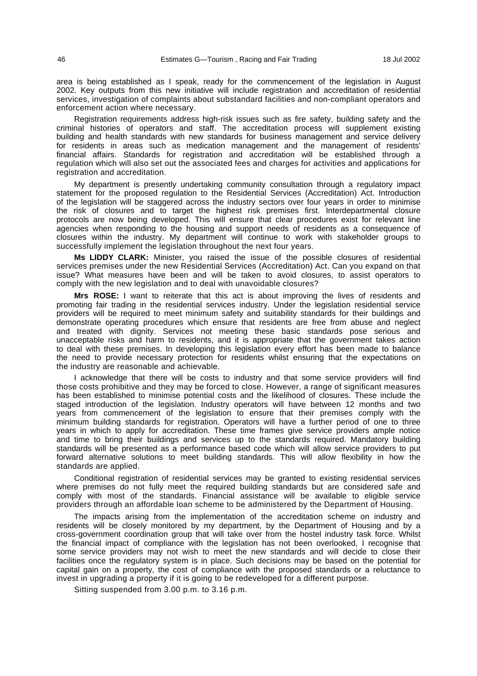area is being established as I speak, ready for the commencement of the legislation in August 2002. Key outputs from this new initiative will include registration and accreditation of residential services, investigation of complaints about substandard facilities and non-compliant operators and enforcement action where necessary.

Registration requirements address high-risk issues such as fire safety, building safety and the criminal histories of operators and staff. The accreditation process will supplement existing building and health standards with new standards for business management and service delivery for residents in areas such as medication management and the management of residents' financial affairs. Standards for registration and accreditation will be established through a regulation which will also set out the associated fees and charges for activities and applications for registration and accreditation.

My department is presently undertaking community consultation through a regulatory impact statement for the proposed regulation to the Residential Services (Accreditation) Act. Introduction of the legislation will be staggered across the industry sectors over four years in order to minimise the risk of closures and to target the highest risk premises first. Interdepartmental closure protocols are now being developed. This will ensure that clear procedures exist for relevant line agencies when responding to the housing and support needs of residents as a consequence of closures within the industry. My department will continue to work with stakeholder groups to successfully implement the legislation throughout the next four years.

**Ms LIDDY CLARK:** Minister, you raised the issue of the possible closures of residential services premises under the new Residential Services (Accreditation) Act. Can you expand on that issue? What measures have been and will be taken to avoid closures, to assist operators to comply with the new legislation and to deal with unavoidable closures?

**Mrs ROSE:** I want to reiterate that this act is about improving the lives of residents and promoting fair trading in the residential services industry. Under the legislation residential service providers will be required to meet minimum safety and suitability standards for their buildings and demonstrate operating procedures which ensure that residents are free from abuse and neglect and treated with dignity. Services not meeting these basic standards pose serious and unacceptable risks and harm to residents, and it is appropriate that the government takes action to deal with these premises. In developing this legislation every effort has been made to balance the need to provide necessary protection for residents whilst ensuring that the expectations on the industry are reasonable and achievable.

I acknowledge that there will be costs to industry and that some service providers will find those costs prohibitive and they may be forced to close. However, a range of significant measures has been established to minimise potential costs and the likelihood of closures. These include the staged introduction of the legislation. Industry operators will have between 12 months and two years from commencement of the legislation to ensure that their premises comply with the minimum building standards for registration. Operators will have a further period of one to three years in which to apply for accreditation. These time frames give service providers ample notice and time to bring their buildings and services up to the standards required. Mandatory building standards will be presented as a performance based code which will allow service providers to put forward alternative solutions to meet building standards. This will allow flexibility in how the standards are applied.

Conditional registration of residential services may be granted to existing residential services where premises do not fully meet the required building standards but are considered safe and comply with most of the standards. Financial assistance will be available to eligible service providers through an affordable loan scheme to be administered by the Department of Housing.

The impacts arising from the implementation of the accreditation scheme on industry and residents will be closely monitored by my department, by the Department of Housing and by a cross-government coordination group that will take over from the hostel industry task force. Whilst the financial impact of compliance with the legislation has not been overlooked, I recognise that some service providers may not wish to meet the new standards and will decide to close their facilities once the regulatory system is in place. Such decisions may be based on the potential for capital gain on a property, the cost of compliance with the proposed standards or a reluctance to invest in upgrading a property if it is going to be redeveloped for a different purpose.

Sitting suspended from 3.00 p.m. to 3.16 p.m.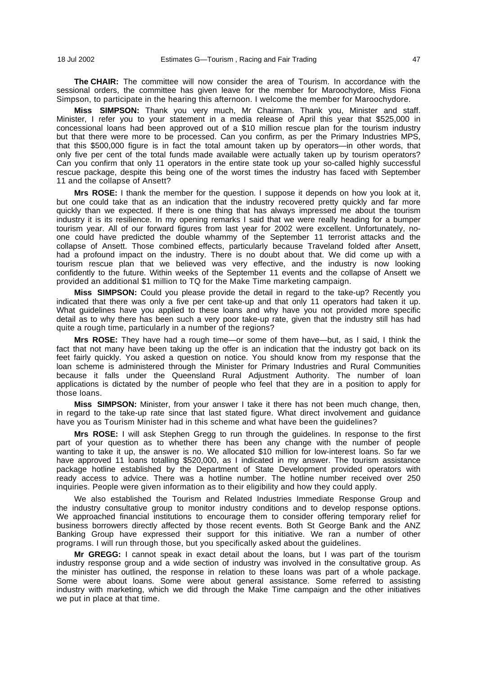**The CHAIR:** The committee will now consider the area of Tourism. In accordance with the sessional orders, the committee has given leave for the member for Maroochydore, Miss Fiona Simpson, to participate in the hearing this afternoon. I welcome the member for Maroochydore.

**Miss SIMPSON:** Thank you very much, Mr Chairman. Thank you, Minister and staff. Minister, I refer you to your statement in a media release of April this year that \$525,000 in concessional loans had been approved out of a \$10 million rescue plan for the tourism industry but that there were more to be processed. Can you confirm, as per the Primary Industries MPS, that this \$500,000 figure is in fact the total amount taken up by operators—in other words, that only five per cent of the total funds made available were actually taken up by tourism operators? Can you confirm that only 11 operators in the entire state took up your so-called highly successful rescue package, despite this being one of the worst times the industry has faced with September 11 and the collapse of Ansett?

**Mrs ROSE:** I thank the member for the question. I suppose it depends on how you look at it, but one could take that as an indication that the industry recovered pretty quickly and far more quickly than we expected. If there is one thing that has always impressed me about the tourism industry it is its resilience. In my opening remarks I said that we were really heading for a bumper tourism year. All of our forward figures from last year for 2002 were excellent. Unfortunately, noone could have predicted the double whammy of the September 11 terrorist attacks and the collapse of Ansett. Those combined effects, particularly because Traveland folded after Ansett, had a profound impact on the industry. There is no doubt about that. We did come up with a tourism rescue plan that we believed was very effective, and the industry is now looking confidently to the future. Within weeks of the September 11 events and the collapse of Ansett we provided an additional \$1 million to TQ for the Make Time marketing campaign.

**Miss SIMPSON:** Could you please provide the detail in regard to the take-up? Recently you indicated that there was only a five per cent take-up and that only 11 operators had taken it up. What guidelines have you applied to these loans and why have you not provided more specific detail as to why there has been such a very poor take-up rate, given that the industry still has had quite a rough time, particularly in a number of the regions?

**Mrs ROSE:** They have had a rough time—or some of them have—but, as I said, I think the fact that not many have been taking up the offer is an indication that the industry got back on its feet fairly quickly. You asked a question on notice. You should know from my response that the loan scheme is administered through the Minister for Primary Industries and Rural Communities because it falls under the Queensland Rural Adjustment Authority. The number of loan applications is dictated by the number of people who feel that they are in a position to apply for those loans.

**Miss SIMPSON:** Minister, from your answer I take it there has not been much change, then, in regard to the take-up rate since that last stated figure. What direct involvement and guidance have you as Tourism Minister had in this scheme and what have been the guidelines?

**Mrs ROSE:** I will ask Stephen Gregg to run through the guidelines. In response to the first part of your question as to whether there has been any change with the number of people wanting to take it up, the answer is no. We allocated \$10 million for low-interest loans. So far we have approved 11 loans totalling \$520,000, as I indicated in my answer. The tourism assistance package hotline established by the Department of State Development provided operators with ready access to advice. There was a hotline number. The hotline number received over 250 inquiries. People were given information as to their eligibility and how they could apply.

We also established the Tourism and Related Industries Immediate Response Group and the industry consultative group to monitor industry conditions and to develop response options. We approached financial institutions to encourage them to consider offering temporary relief for business borrowers directly affected by those recent events. Both St George Bank and the ANZ Banking Group have expressed their support for this initiative. We ran a number of other programs. I will run through those, but you specifically asked about the guidelines.

**Mr GREGG:** I cannot speak in exact detail about the loans, but I was part of the tourism industry response group and a wide section of industry was involved in the consultative group. As the minister has outlined, the response in relation to these loans was part of a whole package. Some were about loans. Some were about general assistance. Some referred to assisting industry with marketing, which we did through the Make Time campaign and the other initiatives we put in place at that time.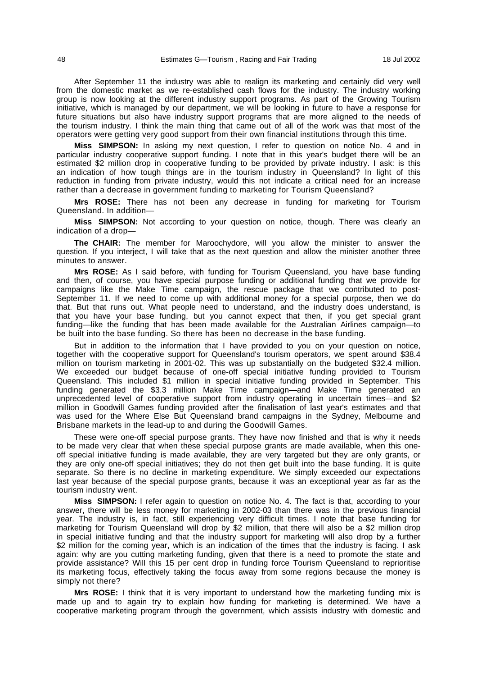After September 11 the industry was able to realign its marketing and certainly did very well from the domestic market as we re-established cash flows for the industry. The industry working group is now looking at the different industry support programs. As part of the Growing Tourism initiative, which is managed by our department, we will be looking in future to have a response for future situations but also have industry support programs that are more aligned to the needs of the tourism industry. I think the main thing that came out of all of the work was that most of the operators were getting very good support from their own financial institutions through this time.

**Miss SIMPSON:** In asking my next question, I refer to question on notice No. 4 and in particular industry cooperative support funding. I note that in this year's budget there will be an estimated \$2 million drop in cooperative funding to be provided by private industry. I ask: is this an indication of how tough things are in the tourism industry in Queensland? In light of this reduction in funding from private industry, would this not indicate a critical need for an increase rather than a decrease in government funding to marketing for Tourism Queensland?

**Mrs ROSE:** There has not been any decrease in funding for marketing for Tourism Queensland. In addition—

**Miss SIMPSON:** Not according to your question on notice, though. There was clearly an indication of a drop—

**The CHAIR:** The member for Maroochydore, will you allow the minister to answer the question. If you interject, I will take that as the next question and allow the minister another three minutes to answer.

**Mrs ROSE:** As I said before, with funding for Tourism Queensland, you have base funding and then, of course, you have special purpose funding or additional funding that we provide for campaigns like the Make Time campaign, the rescue package that we contributed to post-September 11. If we need to come up with additional money for a special purpose, then we do that. But that runs out. What people need to understand, and the industry does understand, is that you have your base funding, but you cannot expect that then, if you get special grant funding—like the funding that has been made available for the Australian Airlines campaign—to be built into the base funding. So there has been no decrease in the base funding.

But in addition to the information that I have provided to you on your question on notice, together with the cooperative support for Queensland's tourism operators, we spent around \$38.4 million on tourism marketing in 2001-02. This was up substantially on the budgeted \$32.4 million. We exceeded our budget because of one-off special initiative funding provided to Tourism Queensland. This included \$1 million in special initiative funding provided in September. This funding generated the \$3.3 million Make Time campaign—and Make Time generated an unprecedented level of cooperative support from industry operating in uncertain times—and \$2 million in Goodwill Games funding provided after the finalisation of last year's estimates and that was used for the Where Else But Queensland brand campaigns in the Sydney, Melbourne and Brisbane markets in the lead-up to and during the Goodwill Games.

These were one-off special purpose grants. They have now finished and that is why it needs to be made very clear that when these special purpose grants are made available, when this oneoff special initiative funding is made available, they are very targeted but they are only grants, or they are only one-off special initiatives; they do not then get built into the base funding. It is quite separate. So there is no decline in marketing expenditure. We simply exceeded our expectations last year because of the special purpose grants, because it was an exceptional year as far as the tourism industry went.

**Miss SIMPSON:** I refer again to question on notice No. 4. The fact is that, according to your answer, there will be less money for marketing in 2002-03 than there was in the previous financial year. The industry is, in fact, still experiencing very difficult times. I note that base funding for marketing for Tourism Queensland will drop by \$2 million, that there will also be a \$2 million drop in special initiative funding and that the industry support for marketing will also drop by a further \$2 million for the coming year, which is an indication of the times that the industry is facing. I ask again: why are you cutting marketing funding, given that there is a need to promote the state and provide assistance? Will this 15 per cent drop in funding force Tourism Queensland to reprioritise its marketing focus, effectively taking the focus away from some regions because the money is simply not there?

**Mrs ROSE:** I think that it is very important to understand how the marketing funding mix is made up and to again try to explain how funding for marketing is determined. We have a cooperative marketing program through the government, which assists industry with domestic and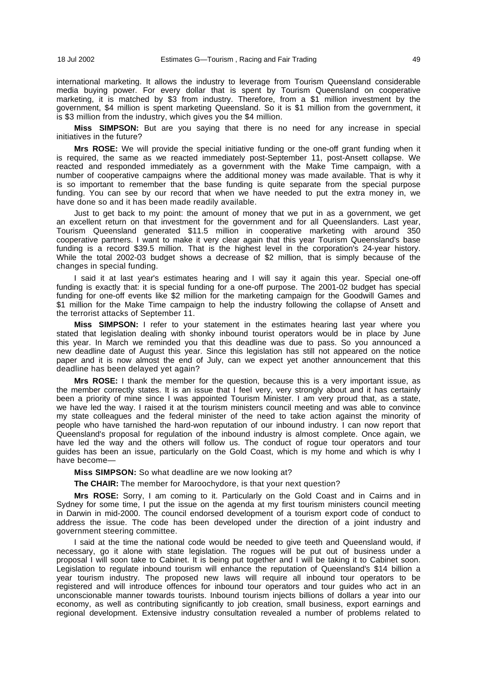international marketing. It allows the industry to leverage from Tourism Queensland considerable media buying power. For every dollar that is spent by Tourism Queensland on cooperative marketing, it is matched by \$3 from industry. Therefore, from a \$1 million investment by the government, \$4 million is spent marketing Queensland. So it is \$1 million from the government, it is \$3 million from the industry, which gives you the \$4 million.

**Miss SIMPSON:** But are you saying that there is no need for any increase in special initiatives in the future?

**Mrs ROSE:** We will provide the special initiative funding or the one-off grant funding when it is required, the same as we reacted immediately post-September 11, post-Ansett collapse. We reacted and responded immediately as a government with the Make Time campaign, with a number of cooperative campaigns where the additional money was made available. That is why it is so important to remember that the base funding is quite separate from the special purpose funding. You can see by our record that when we have needed to put the extra money in, we have done so and it has been made readily available.

Just to get back to my point: the amount of money that we put in as a government, we get an excellent return on that investment for the government and for all Queenslanders. Last year, Tourism Queensland generated \$11.5 million in cooperative marketing with around 350 cooperative partners. I want to make it very clear again that this year Tourism Queensland's base funding is a record \$39.5 million. That is the highest level in the corporation's 24-year history. While the total 2002-03 budget shows a decrease of \$2 million, that is simply because of the changes in special funding.

I said it at last year's estimates hearing and I will say it again this year. Special one-off funding is exactly that: it is special funding for a one-off purpose. The 2001-02 budget has special funding for one-off events like \$2 million for the marketing campaign for the Goodwill Games and \$1 million for the Make Time campaign to help the industry following the collapse of Ansett and the terrorist attacks of September 11.

**Miss SIMPSON:** I refer to your statement in the estimates hearing last year where you stated that legislation dealing with shonky inbound tourist operators would be in place by June this year. In March we reminded you that this deadline was due to pass. So you announced a new deadline date of August this year. Since this legislation has still not appeared on the notice paper and it is now almost the end of July, can we expect yet another announcement that this deadline has been delayed yet again?

**Mrs ROSE:** I thank the member for the question, because this is a very important issue, as the member correctly states. It is an issue that I feel very, very strongly about and it has certainly been a priority of mine since I was appointed Tourism Minister. I am very proud that, as a state, we have led the way. I raised it at the tourism ministers council meeting and was able to convince my state colleagues and the federal minister of the need to take action against the minority of people who have tarnished the hard-won reputation of our inbound industry. I can now report that Queensland's proposal for regulation of the inbound industry is almost complete. Once again, we have led the way and the others will follow us. The conduct of rogue tour operators and tour guides has been an issue, particularly on the Gold Coast, which is my home and which is why I have become—

**Miss SIMPSON:** So what deadline are we now looking at?

**The CHAIR:** The member for Maroochydore, is that your next question?

**Mrs ROSE:** Sorry, I am coming to it. Particularly on the Gold Coast and in Cairns and in Sydney for some time, I put the issue on the agenda at my first tourism ministers council meeting in Darwin in mid-2000. The council endorsed development of a tourism export code of conduct to address the issue. The code has been developed under the direction of a joint industry and government steering committee.

I said at the time the national code would be needed to give teeth and Queensland would, if necessary, go it alone with state legislation. The rogues will be put out of business under a proposal I will soon take to Cabinet. It is being put together and I will be taking it to Cabinet soon. Legislation to regulate inbound tourism will enhance the reputation of Queensland's \$14 billion a year tourism industry. The proposed new laws will require all inbound tour operators to be registered and will introduce offences for inbound tour operators and tour guides who act in an unconscionable manner towards tourists. Inbound tourism injects billions of dollars a year into our economy, as well as contributing significantly to job creation, small business, export earnings and regional development. Extensive industry consultation revealed a number of problems related to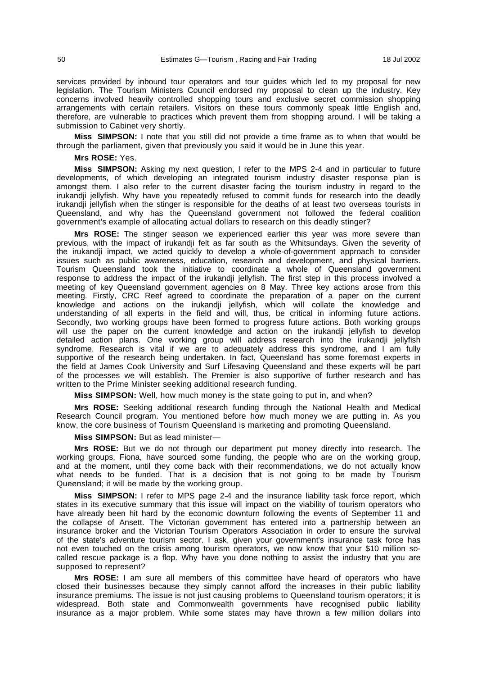services provided by inbound tour operators and tour guides which led to my proposal for new legislation. The Tourism Ministers Council endorsed my proposal to clean up the industry. Key concerns involved heavily controlled shopping tours and exclusive secret commission shopping arrangements with certain retailers. Visitors on these tours commonly speak little English and, therefore, are vulnerable to practices which prevent them from shopping around. I will be taking a submission to Cabinet very shortly.

**Miss SIMPSON:** I note that you still did not provide a time frame as to when that would be through the parliament, given that previously you said it would be in June this year.

**Mrs ROSE:** Yes.

**Miss SIMPSON:** Asking my next question, I refer to the MPS 2-4 and in particular to future developments, of which developing an integrated tourism industry disaster response plan is amongst them. I also refer to the current disaster facing the tourism industry in regard to the irukandji jellyfish. Why have you repeatedly refused to commit funds for research into the deadly irukandji jellyfish when the stinger is responsible for the deaths of at least two overseas tourists in Queensland, and why has the Queensland government not followed the federal coalition government's example of allocating actual dollars to research on this deadly stinger?

**Mrs ROSE:** The stinger season we experienced earlier this year was more severe than previous, with the impact of irukandji felt as far south as the Whitsundays. Given the severity of the irukandji impact, we acted quickly to develop a whole-of-government approach to consider issues such as public awareness, education, research and development, and physical barriers. Tourism Queensland took the initiative to coordinate a whole of Queensland government response to address the impact of the irukandji jellyfish. The first step in this process involved a meeting of key Queensland government agencies on 8 May. Three key actions arose from this meeting. Firstly, CRC Reef agreed to coordinate the preparation of a paper on the current knowledge and actions on the irukandji jellyfish, which will collate the knowledge and understanding of all experts in the field and will, thus, be critical in informing future actions. Secondly, two working groups have been formed to progress future actions. Both working groups will use the paper on the current knowledge and action on the irukandji jellyfish to develop detailed action plans. One working group will address research into the irukandji jellyfish syndrome. Research is vital if we are to adequately address this syndrome, and I am fully supportive of the research being undertaken. In fact, Queensland has some foremost experts in the field at James Cook University and Surf Lifesaving Queensland and these experts will be part of the processes we will establish. The Premier is also supportive of further research and has written to the Prime Minister seeking additional research funding.

**Miss SIMPSON:** Well, how much money is the state going to put in, and when?

**Mrs ROSE:** Seeking additional research funding through the National Health and Medical Research Council program. You mentioned before how much money we are putting in. As you know, the core business of Tourism Queensland is marketing and promoting Queensland.

**Miss SIMPSON:** But as lead minister—

**Mrs ROSE:** But we do not through our department put money directly into research. The working groups, Fiona, have sourced some funding, the people who are on the working group, and at the moment, until they come back with their recommendations, we do not actually know what needs to be funded. That is a decision that is not going to be made by Tourism Queensland; it will be made by the working group.

**Miss SIMPSON:** I refer to MPS page 2-4 and the insurance liability task force report, which states in its executive summary that this issue will impact on the viability of tourism operators who have already been hit hard by the economic downturn following the events of September 11 and the collapse of Ansett. The Victorian government has entered into a partnership between an insurance broker and the Victorian Tourism Operators Association in order to ensure the survival of the state's adventure tourism sector. I ask, given your government's insurance task force has not even touched on the crisis among tourism operators, we now know that your \$10 million socalled rescue package is a flop. Why have you done nothing to assist the industry that you are supposed to represent?

**Mrs ROSE:** I am sure all members of this committee have heard of operators who have closed their businesses because they simply cannot afford the increases in their public liability insurance premiums. The issue is not just causing problems to Queensland tourism operators; it is widespread. Both state and Commonwealth governments have recognised public liability insurance as a major problem. While some states may have thrown a few million dollars into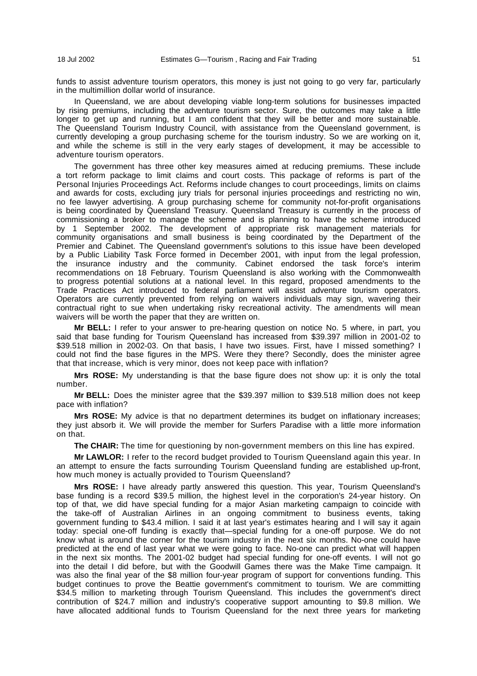funds to assist adventure tourism operators, this money is just not going to go very far, particularly in the multimillion dollar world of insurance.

In Queensland, we are about developing viable long-term solutions for businesses impacted by rising premiums, including the adventure tourism sector. Sure, the outcomes may take a little longer to get up and running, but I am confident that they will be better and more sustainable. The Queensland Tourism Industry Council, with assistance from the Queensland government, is currently developing a group purchasing scheme for the tourism industry. So we are working on it, and while the scheme is still in the very early stages of development, it may be accessible to adventure tourism operators.

The government has three other key measures aimed at reducing premiums. These include a tort reform package to limit claims and court costs. This package of reforms is part of the Personal Injuries Proceedings Act. Reforms include changes to court proceedings, limits on claims and awards for costs, excluding jury trials for personal injuries proceedings and restricting no win, no fee lawyer advertising. A group purchasing scheme for community not-for-profit organisations is being coordinated by Queensland Treasury. Queensland Treasury is currently in the process of commissioning a broker to manage the scheme and is planning to have the scheme introduced by 1 September 2002. The development of appropriate risk management materials for community organisations and small business is being coordinated by the Department of the Premier and Cabinet. The Queensland government's solutions to this issue have been developed by a Public Liability Task Force formed in December 2001, with input from the legal profession, the insurance industry and the community. Cabinet endorsed the task force's interim recommendations on 18 February. Tourism Queensland is also working with the Commonwealth to progress potential solutions at a national level. In this regard, proposed amendments to the Trade Practices Act introduced to federal parliament will assist adventure tourism operators. Operators are currently prevented from relying on waivers individuals may sign, wavering their contractual right to sue when undertaking risky recreational activity. The amendments will mean waivers will be worth the paper that they are written on.

**Mr BELL:** I refer to your answer to pre-hearing question on notice No. 5 where, in part, you said that base funding for Tourism Queensland has increased from \$39.397 million in 2001-02 to \$39.518 million in 2002-03. On that basis, I have two issues. First, have I missed something? I could not find the base figures in the MPS. Were they there? Secondly, does the minister agree that that increase, which is very minor, does not keep pace with inflation?

**Mrs ROSE:** My understanding is that the base figure does not show up: it is only the total number.

**Mr BELL:** Does the minister agree that the \$39.397 million to \$39.518 million does not keep pace with inflation?

**Mrs ROSE:** My advice is that no department determines its budget on inflationary increases; they just absorb it. We will provide the member for Surfers Paradise with a little more information on that.

**The CHAIR:** The time for questioning by non-government members on this line has expired.

**Mr LAWLOR:** I refer to the record budget provided to Tourism Queensland again this year. In an attempt to ensure the facts surrounding Tourism Queensland funding are established up-front, how much money is actually provided to Tourism Queensland?

**Mrs ROSE:** I have already partly answered this question. This year, Tourism Queensland's base funding is a record \$39.5 million, the highest level in the corporation's 24-year history. On top of that, we did have special funding for a major Asian marketing campaign to coincide with the take-off of Australian Airlines in an ongoing commitment to business events, taking government funding to \$43.4 million. I said it at last year's estimates hearing and I will say it again today: special one-off funding is exactly that—special funding for a one-off purpose. We do not know what is around the corner for the tourism industry in the next six months. No-one could have predicted at the end of last year what we were going to face. No-one can predict what will happen in the next six months. The 2001-02 budget had special funding for one-off events. I will not go into the detail I did before, but with the Goodwill Games there was the Make Time campaign. It was also the final year of the \$8 million four-year program of support for conventions funding. This budget continues to prove the Beattie government's commitment to tourism. We are committing \$34.5 million to marketing through Tourism Queensland. This includes the government's direct contribution of \$24.7 million and industry's cooperative support amounting to \$9.8 million. We have allocated additional funds to Tourism Queensland for the next three years for marketing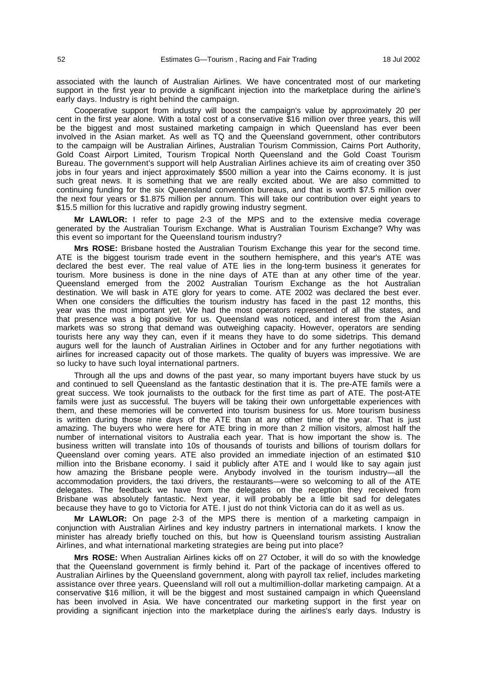associated with the launch of Australian Airlines. We have concentrated most of our marketing support in the first year to provide a significant injection into the marketplace during the airline's early days. Industry is right behind the campaign.

Cooperative support from industry will boost the campaign's value by approximately 20 per cent in the first year alone. With a total cost of a conservative \$16 million over three years, this will be the biggest and most sustained marketing campaign in which Queensland has ever been involved in the Asian market. As well as TQ and the Queensland government, other contributors to the campaign will be Australian Airlines, Australian Tourism Commission, Cairns Port Authority, Gold Coast Airport Limited, Tourism Tropical North Queensland and the Gold Coast Tourism Bureau. The government's support will help Australian Airlines achieve its aim of creating over 350 jobs in four years and inject approximately \$500 million a year into the Cairns economy. It is just such great news. It is something that we are really excited about. We are also committed to continuing funding for the six Queensland convention bureaus, and that is worth \$7.5 million over the next four years or \$1.875 million per annum. This will take our contribution over eight years to \$15.5 million for this lucrative and rapidly growing industry segment.

**Mr LAWLOR:** I refer to page 2-3 of the MPS and to the extensive media coverage generated by the Australian Tourism Exchange. What is Australian Tourism Exchange? Why was this event so important for the Queensland tourism industry?

**Mrs ROSE:** Brisbane hosted the Australian Tourism Exchange this year for the second time. ATE is the biggest tourism trade event in the southern hemisphere, and this year's ATE was declared the best ever. The real value of ATE lies in the long-term business it generates for tourism. More business is done in the nine days of ATE than at any other time of the year. Queensland emerged from the 2002 Australian Tourism Exchange as the hot Australian destination. We will bask in ATE glory for years to come. ATE 2002 was declared the best ever. When one considers the difficulties the tourism industry has faced in the past 12 months, this year was the most important yet. We had the most operators represented of all the states, and that presence was a big positive for us. Queensland was noticed, and interest from the Asian markets was so strong that demand was outweighing capacity. However, operators are sending tourists here any way they can, even if it means they have to do some sidetrips. This demand augurs well for the launch of Australian Airlines in October and for any further negotiations with airlines for increased capacity out of those markets. The quality of buyers was impressive. We are so lucky to have such loyal international partners.

Through all the ups and downs of the past year, so many important buyers have stuck by us and continued to sell Queensland as the fantastic destination that it is. The pre-ATE famils were a great success. We took journalists to the outback for the first time as part of ATE. The post-ATE famils were just as successful. The buyers will be taking their own unforgettable experiences with them, and these memories will be converted into tourism business for us. More tourism business is written during those nine days of the ATE than at any other time of the year. That is just amazing. The buyers who were here for ATE bring in more than 2 million visitors, almost half the number of international visitors to Australia each year. That is how important the show is. The business written will translate into 10s of thousands of tourists and billions of tourism dollars for Queensland over coming years. ATE also provided an immediate injection of an estimated \$10 million into the Brisbane economy. I said it publicly after ATE and I would like to say again just how amazing the Brisbane people were. Anybody involved in the tourism industry—all the accommodation providers, the taxi drivers, the restaurants—were so welcoming to all of the ATE delegates. The feedback we have from the delegates on the reception they received from Brisbane was absolutely fantastic. Next year, it will probably be a little bit sad for delegates because they have to go to Victoria for ATE. I just do not think Victoria can do it as well as us.

**Mr LAWLOR:** On page 2-3 of the MPS there is mention of a marketing campaign in conjunction with Australian Airlines and key industry partners in international markets. I know the minister has already briefly touched on this, but how is Queensland tourism assisting Australian Airlines, and what international marketing strategies are being put into place?

**Mrs ROSE:** When Australian Airlines kicks off on 27 October, it will do so with the knowledge that the Queensland government is firmly behind it. Part of the package of incentives offered to Australian Airlines by the Queensland government, along with payroll tax relief, includes marketing assistance over three years. Queensland will roll out a multimillion-dollar marketing campaign. At a conservative \$16 million, it will be the biggest and most sustained campaign in which Queensland has been involved in Asia. We have concentrated our marketing support in the first year on providing a significant injection into the marketplace during the airlines's early days. Industry is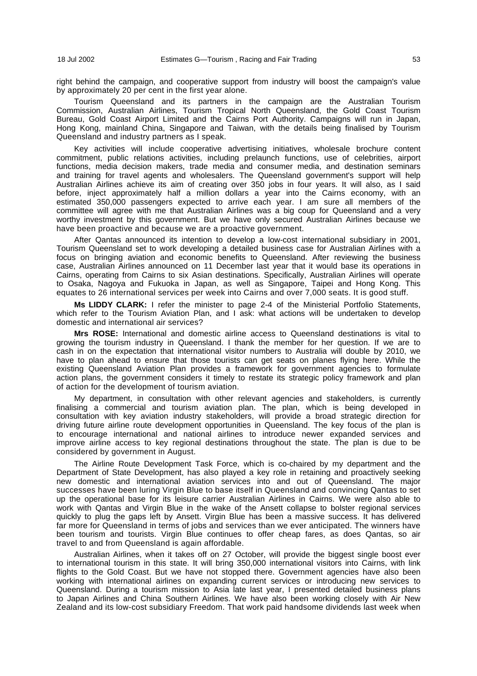right behind the campaign, and cooperative support from industry will boost the campaign's value by approximately 20 per cent in the first year alone.

Tourism Queensland and its partners in the campaign are the Australian Tourism Commission, Australian Airlines, Tourism Tropical North Queensland, the Gold Coast Tourism Bureau, Gold Coast Airport Limited and the Cairns Port Authority. Campaigns will run in Japan, Hong Kong, mainland China, Singapore and Taiwan, with the details being finalised by Tourism Queensland and industry partners as I speak.

Key activities will include cooperative advertising initiatives, wholesale brochure content commitment, public relations activities, including prelaunch functions, use of celebrities, airport functions, media decision makers, trade media and consumer media, and destination seminars and training for travel agents and wholesalers. The Queensland government's support will help Australian Airlines achieve its aim of creating over 350 jobs in four years. It will also, as I said before, inject approximately half a million dollars a year into the Cairns economy, with an estimated 350,000 passengers expected to arrive each year. I am sure all members of the committee will agree with me that Australian Airlines was a big coup for Queensland and a very worthy investment by this government. But we have only secured Australian Airlines because we have been proactive and because we are a proactive government.

After Qantas announced its intention to develop a low-cost international subsidiary in 2001, Tourism Queensland set to work developing a detailed business case for Australian Airlines with a focus on bringing aviation and economic benefits to Queensland. After reviewing the business case, Australian Airlines announced on 11 December last year that it would base its operations in Cairns, operating from Cairns to six Asian destinations. Specifically, Australian Airlines will operate to Osaka, Nagoya and Fukuoka in Japan, as well as Singapore, Taipei and Hong Kong. This equates to 26 international services per week into Cairns and over 7,000 seats. It is good stuff.

**Ms LIDDY CLARK:** I refer the minister to page 2-4 of the Ministerial Portfolio Statements, which refer to the Tourism Aviation Plan, and I ask: what actions will be undertaken to develop domestic and international air services?

**Mrs ROSE:** International and domestic airline access to Queensland destinations is vital to growing the tourism industry in Queensland. I thank the member for her question. If we are to cash in on the expectation that international visitor numbers to Australia will double by 2010, we have to plan ahead to ensure that those tourists can get seats on planes flying here. While the existing Queensland Aviation Plan provides a framework for government agencies to formulate action plans, the government considers it timely to restate its strategic policy framework and plan of action for the development of tourism aviation.

My department, in consultation with other relevant agencies and stakeholders, is currently finalising a commercial and tourism aviation plan. The plan, which is being developed in consultation with key aviation industry stakeholders, will provide a broad strategic direction for driving future airline route development opportunities in Queensland. The key focus of the plan is to encourage international and national airlines to introduce newer expanded services and improve airline access to key regional destinations throughout the state. The plan is due to be considered by government in August.

The Airline Route Development Task Force, which is co-chaired by my department and the Department of State Development, has also played a key role in retaining and proactively seeking new domestic and international aviation services into and out of Queensland. The major successes have been luring Virgin Blue to base itself in Queensland and convincing Qantas to set up the operational base for its leisure carrier Australian Airlines in Cairns. We were also able to work with Qantas and Virgin Blue in the wake of the Ansett collapse to bolster regional services quickly to plug the gaps left by Ansett. Virgin Blue has been a massive success. It has delivered far more for Queensland in terms of jobs and services than we ever anticipated. The winners have been tourism and tourists. Virgin Blue continues to offer cheap fares, as does Qantas, so air travel to and from Queensland is again affordable.

Australian Airlines, when it takes off on 27 October, will provide the biggest single boost ever to international tourism in this state. It will bring 350,000 international visitors into Cairns, with link flights to the Gold Coast. But we have not stopped there. Government agencies have also been working with international airlines on expanding current services or introducing new services to Queensland. During a tourism mission to Asia late last year, I presented detailed business plans to Japan Airlines and China Southern Airlines. We have also been working closely with Air New Zealand and its low-cost subsidiary Freedom. That work paid handsome dividends last week when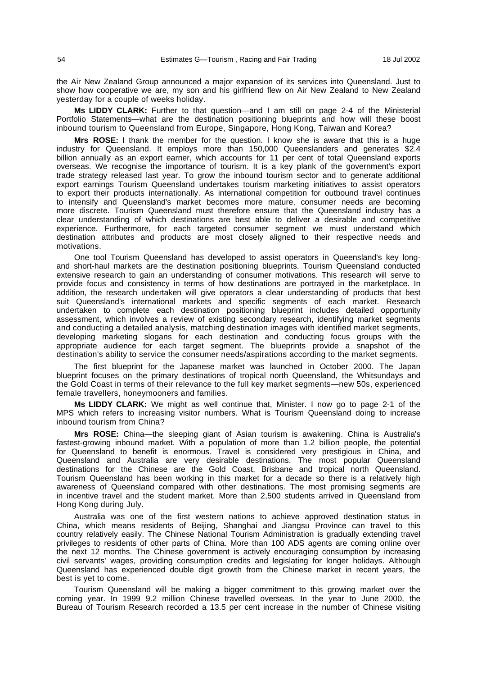the Air New Zealand Group announced a major expansion of its services into Queensland. Just to show how cooperative we are, my son and his girlfriend flew on Air New Zealand to New Zealand yesterday for a couple of weeks holiday.

**Ms LIDDY CLARK:** Further to that question—and I am still on page 2-4 of the Ministerial Portfolio Statements—what are the destination positioning blueprints and how will these boost inbound tourism to Queensland from Europe, Singapore, Hong Kong, Taiwan and Korea?

**Mrs ROSE:** I thank the member for the question. I know she is aware that this is a huge industry for Queensland. It employs more than 150,000 Queenslanders and generates \$2.4 billion annually as an export earner, which accounts for 11 per cent of total Queensland exports overseas. We recognise the importance of tourism. It is a key plank of the government's export trade strategy released last year. To grow the inbound tourism sector and to generate additional export earnings Tourism Queensland undertakes tourism marketing initiatives to assist operators to export their products internationally. As international competition for outbound travel continues to intensify and Queensland's market becomes more mature, consumer needs are becoming more discrete. Tourism Queensland must therefore ensure that the Queensland industry has a clear understanding of which destinations are best able to deliver a desirable and competitive experience. Furthermore, for each targeted consumer segment we must understand which destination attributes and products are most closely aligned to their respective needs and motivations.

One tool Tourism Queensland has developed to assist operators in Queensland's key longand short-haul markets are the destination positioning blueprints. Tourism Queensland conducted extensive research to gain an understanding of consumer motivations. This research will serve to provide focus and consistency in terms of how destinations are portrayed in the marketplace. In addition, the research undertaken will give operators a clear understanding of products that best suit Queensland's international markets and specific segments of each market. Research undertaken to complete each destination positioning blueprint includes detailed opportunity assessment, which involves a review of existing secondary research, identifying market segments and conducting a detailed analysis, matching destination images with identified market segments, developing marketing slogans for each destination and conducting focus groups with the appropriate audience for each target segment. The blueprints provide a snapshot of the destination's ability to service the consumer needs/aspirations according to the market segments.

The first blueprint for the Japanese market was launched in October 2000. The Japan blueprint focuses on the primary destinations of tropical north Queensland, the Whitsundays and the Gold Coast in terms of their relevance to the full key market segments—new 50s, experienced female travellers, honeymooners and families.

**Ms LIDDY CLARK:** We might as well continue that, Minister. I now go to page 2-1 of the MPS which refers to increasing visitor numbers. What is Tourism Queensland doing to increase inbound tourism from China?

**Mrs ROSE:** China—the sleeping giant of Asian tourism is awakening. China is Australia's fastest-growing inbound market. With a population of more than 1.2 billion people, the potential for Queensland to benefit is enormous. Travel is considered very prestigious in China, and Queensland and Australia are very desirable destinations. The most popular Queensland destinations for the Chinese are the Gold Coast, Brisbane and tropical north Queensland. Tourism Queensland has been working in this market for a decade so there is a relatively high awareness of Queensland compared with other destinations. The most promising segments are in incentive travel and the student market. More than 2,500 students arrived in Queensland from Hong Kong during July.

Australia was one of the first western nations to achieve approved destination status in China, which means residents of Beijing, Shanghai and Jiangsu Province can travel to this country relatively easily. The Chinese National Tourism Administration is gradually extending travel privileges to residents of other parts of China. More than 100 ADS agents are coming online over the next 12 months. The Chinese government is actively encouraging consumption by increasing civil servants' wages, providing consumption credits and legislating for longer holidays. Although Queensland has experienced double digit growth from the Chinese market in recent years, the best is yet to come.

Tourism Queensland will be making a bigger commitment to this growing market over the coming year. In 1999 9.2 million Chinese travelled overseas. In the year to June 2000, the Bureau of Tourism Research recorded a 13.5 per cent increase in the number of Chinese visiting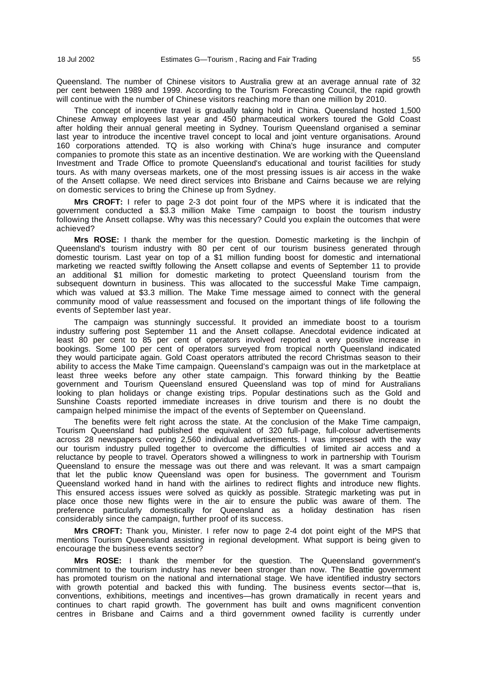Queensland. The number of Chinese visitors to Australia grew at an average annual rate of 32 per cent between 1989 and 1999. According to the Tourism Forecasting Council, the rapid growth will continue with the number of Chinese visitors reaching more than one million by 2010.

The concept of incentive travel is gradually taking hold in China. Queensland hosted 1,500 Chinese Amway employees last year and 450 pharmaceutical workers toured the Gold Coast after holding their annual general meeting in Sydney. Tourism Queensland organised a seminar last year to introduce the incentive travel concept to local and joint venture organisations. Around 160 corporations attended. TQ is also working with China's huge insurance and computer companies to promote this state as an incentive destination. We are working with the Queensland Investment and Trade Office to promote Queensland's educational and tourist facilities for study tours. As with many overseas markets, one of the most pressing issues is air access in the wake of the Ansett collapse. We need direct services into Brisbane and Cairns because we are relying on domestic services to bring the Chinese up from Sydney.

**Mrs CROFT:** I refer to page 2-3 dot point four of the MPS where it is indicated that the government conducted a \$3.3 million Make Time campaign to boost the tourism industry following the Ansett collapse. Why was this necessary? Could you explain the outcomes that were achieved?

**Mrs ROSE:** I thank the member for the question. Domestic marketing is the linchpin of Queensland's tourism industry with 80 per cent of our tourism business generated through domestic tourism. Last year on top of a \$1 million funding boost for domestic and international marketing we reacted swiftly following the Ansett collapse and events of September 11 to provide an additional \$1 million for domestic marketing to protect Queensland tourism from the subsequent downturn in business. This was allocated to the successful Make Time campaign, which was valued at \$3.3 million. The Make Time message aimed to connect with the general community mood of value reassessment and focused on the important things of life following the events of September last year.

The campaign was stunningly successful. It provided an immediate boost to a tourism industry suffering post September 11 and the Ansett collapse. Anecdotal evidence indicated at least 80 per cent to 85 per cent of operators involved reported a very positive increase in bookings. Some 100 per cent of operators surveyed from tropical north Queensland indicated they would participate again. Gold Coast operators attributed the record Christmas season to their ability to access the Make Time campaign. Queensland's campaign was out in the marketplace at least three weeks before any other state campaign. This forward thinking by the Beattie government and Tourism Queensland ensured Queensland was top of mind for Australians looking to plan holidays or change existing trips. Popular destinations such as the Gold and Sunshine Coasts reported immediate increases in drive tourism and there is no doubt the campaign helped minimise the impact of the events of September on Queensland.

The benefits were felt right across the state. At the conclusion of the Make Time campaign, Tourism Queensland had published the equivalent of 320 full-page, full-colour advertisements across 28 newspapers covering 2,560 individual advertisements. I was impressed with the way our tourism industry pulled together to overcome the difficulties of limited air access and a reluctance by people to travel. Operators showed a willingness to work in partnership with Tourism Queensland to ensure the message was out there and was relevant. It was a smart campaign that let the public know Queensland was open for business. The government and Tourism Queensland worked hand in hand with the airlines to redirect flights and introduce new flights. This ensured access issues were solved as quickly as possible. Strategic marketing was put in place once those new flights were in the air to ensure the public was aware of them. The preference particularly domestically for Queensland as a holiday destination has risen considerably since the campaign, further proof of its success.

**Mrs CROFT:** Thank you, Minister. I refer now to page 2-4 dot point eight of the MPS that mentions Tourism Queensland assisting in regional development. What support is being given to encourage the business events sector?

**Mrs ROSE:** I thank the member for the question. The Queensland government's commitment to the tourism industry has never been stronger than now. The Beattie government has promoted tourism on the national and international stage. We have identified industry sectors with growth potential and backed this with funding. The business events sector—that is, conventions, exhibitions, meetings and incentives—has grown dramatically in recent years and continues to chart rapid growth. The government has built and owns magnificent convention centres in Brisbane and Cairns and a third government owned facility is currently under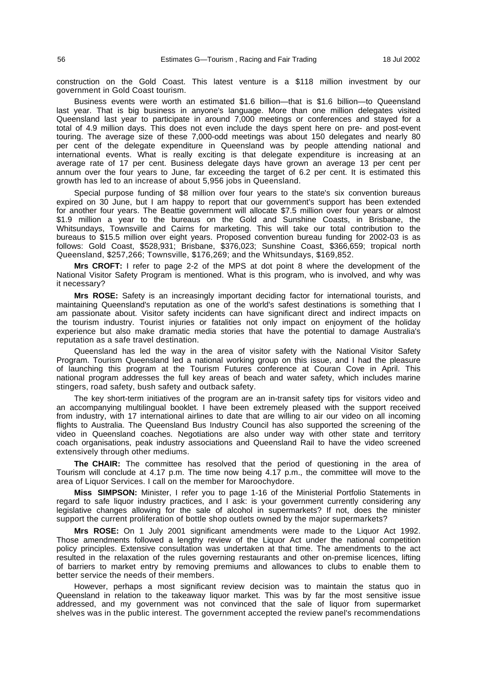construction on the Gold Coast. This latest venture is a \$118 million investment by our government in Gold Coast tourism.

Business events were worth an estimated \$1.6 billion—that is \$1.6 billion—to Queensland last year. That is big business in anyone's language. More than one million delegates visited Queensland last year to participate in around 7,000 meetings or conferences and stayed for a total of 4.9 million days. This does not even include the days spent here on pre- and post-event touring. The average size of these 7,000-odd meetings was about 150 delegates and nearly 80 per cent of the delegate expenditure in Queensland was by people attending national and international events. What is really exciting is that delegate expenditure is increasing at an average rate of 17 per cent. Business delegate days have grown an average 13 per cent per annum over the four years to June, far exceeding the target of 6.2 per cent. It is estimated this growth has led to an increase of about 5,956 jobs in Queensland.

Special purpose funding of \$8 million over four years to the state's six convention bureaus expired on 30 June, but I am happy to report that our government's support has been extended for another four years. The Beattie government will allocate \$7.5 million over four years or almost \$1.9 million a year to the bureaus on the Gold and Sunshine Coasts, in Brisbane, the Whitsundays, Townsville and Cairns for marketing. This will take our total contribution to the bureaus to \$15.5 million over eight years. Proposed convention bureau funding for 2002-03 is as follows: Gold Coast, \$528,931; Brisbane, \$376,023; Sunshine Coast, \$366,659; tropical north Queensland, \$257,266; Townsville, \$176,269; and the Whitsundays, \$169,852.

**Mrs CROFT:** I refer to page 2-2 of the MPS at dot point 8 where the development of the National Visitor Safety Program is mentioned. What is this program, who is involved, and why was it necessary?

**Mrs ROSE:** Safety is an increasingly important deciding factor for international tourists, and maintaining Queensland's reputation as one of the world's safest destinations is something that I am passionate about. Visitor safety incidents can have significant direct and indirect impacts on the tourism industry. Tourist injuries or fatalities not only impact on enjoyment of the holiday experience but also make dramatic media stories that have the potential to damage Australia's reputation as a safe travel destination.

Queensland has led the way in the area of visitor safety with the National Visitor Safety Program. Tourism Queensland led a national working group on this issue, and I had the pleasure of launching this program at the Tourism Futures conference at Couran Cove in April. This national program addresses the full key areas of beach and water safety, which includes marine stingers, road safety, bush safety and outback safety.

The key short-term initiatives of the program are an in-transit safety tips for visitors video and an accompanying multilingual booklet. I have been extremely pleased with the support received from industry, with 17 international airlines to date that are willing to air our video on all incoming flights to Australia. The Queensland Bus Industry Council has also supported the screening of the video in Queensland coaches. Negotiations are also under way with other state and territory coach organisations, peak industry associations and Queensland Rail to have the video screened extensively through other mediums.

**The CHAIR:** The committee has resolved that the period of questioning in the area of Tourism will conclude at 4.17 p.m. The time now being 4.17 p.m., the committee will move to the area of Liquor Services. I call on the member for Maroochydore.

**Miss SIMPSON:** Minister, I refer you to page 1-16 of the Ministerial Portfolio Statements in regard to safe liquor industry practices, and I ask: is your government currently considering any legislative changes allowing for the sale of alcohol in supermarkets? If not, does the minister support the current proliferation of bottle shop outlets owned by the major supermarkets?

**Mrs ROSE:** On 1 July 2001 significant amendments were made to the Liquor Act 1992. Those amendments followed a lengthy review of the Liquor Act under the national competition policy principles. Extensive consultation was undertaken at that time. The amendments to the act resulted in the relaxation of the rules governing restaurants and other on-premise licences, lifting of barriers to market entry by removing premiums and allowances to clubs to enable them to better service the needs of their members.

However, perhaps a most significant review decision was to maintain the status quo in Queensland in relation to the takeaway liquor market. This was by far the most sensitive issue addressed, and my government was not convinced that the sale of liquor from supermarket shelves was in the public interest. The government accepted the review panel's recommendations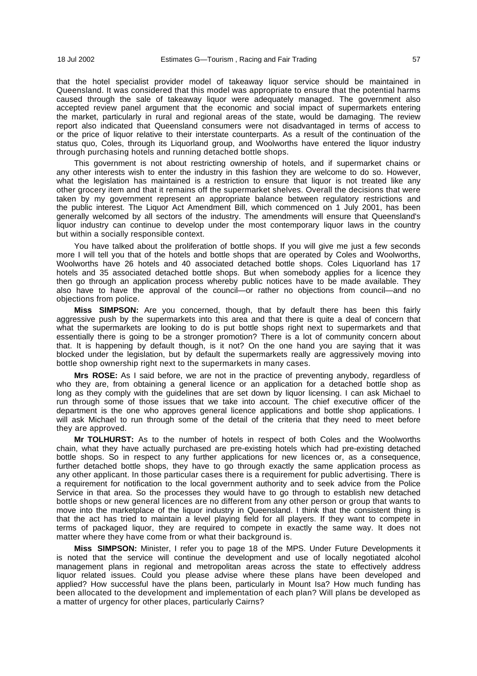that the hotel specialist provider model of takeaway liquor service should be maintained in Queensland. It was considered that this model was appropriate to ensure that the potential harms caused through the sale of takeaway liquor were adequately managed. The government also accepted review panel argument that the economic and social impact of supermarkets entering the market, particularly in rural and regional areas of the state, would be damaging. The review report also indicated that Queensland consumers were not disadvantaged in terms of access to or the price of liquor relative to their interstate counterparts. As a result of the continuation of the status quo, Coles, through its Liquorland group, and Woolworths have entered the liquor industry through purchasing hotels and running detached bottle shops.

This government is not about restricting ownership of hotels, and if supermarket chains or any other interests wish to enter the industry in this fashion they are welcome to do so. However, what the legislation has maintained is a restriction to ensure that liquor is not treated like any other grocery item and that it remains off the supermarket shelves. Overall the decisions that were taken by my government represent an appropriate balance between regulatory restrictions and the public interest. The Liquor Act Amendment Bill, which commenced on 1 July 2001, has been generally welcomed by all sectors of the industry. The amendments will ensure that Queensland's liquor industry can continue to develop under the most contemporary liquor laws in the country but within a socially responsible context.

You have talked about the proliferation of bottle shops. If you will give me just a few seconds more I will tell you that of the hotels and bottle shops that are operated by Coles and Woolworths, Woolworths have 26 hotels and 40 associated detached bottle shops. Coles Liquorland has 17 hotels and 35 associated detached bottle shops. But when somebody applies for a licence they then go through an application process whereby public notices have to be made available. They also have to have the approval of the council—or rather no objections from council—and no objections from police.

**Miss SIMPSON:** Are you concerned, though, that by default there has been this fairly aggressive push by the supermarkets into this area and that there is quite a deal of concern that what the supermarkets are looking to do is put bottle shops right next to supermarkets and that essentially there is going to be a stronger promotion? There is a lot of community concern about that. It is happening by default though, is it not? On the one hand you are saying that it was blocked under the legislation, but by default the supermarkets really are aggressively moving into bottle shop ownership right next to the supermarkets in many cases.

**Mrs ROSE:** As I said before, we are not in the practice of preventing anybody, regardless of who they are, from obtaining a general licence or an application for a detached bottle shop as long as they comply with the guidelines that are set down by liquor licensing. I can ask Michael to run through some of those issues that we take into account. The chief executive officer of the department is the one who approves general licence applications and bottle shop applications. I will ask Michael to run through some of the detail of the criteria that they need to meet before they are approved.

**Mr TOLHURST:** As to the number of hotels in respect of both Coles and the Woolworths chain, what they have actually purchased are pre-existing hotels which had pre-existing detached bottle shops. So in respect to any further applications for new licences or, as a consequence, further detached bottle shops, they have to go through exactly the same application process as any other applicant. In those particular cases there is a requirement for public advertising. There is a requirement for notification to the local government authority and to seek advice from the Police Service in that area. So the processes they would have to go through to establish new detached bottle shops or new general licences are no different from any other person or group that wants to move into the marketplace of the liquor industry in Queensland. I think that the consistent thing is that the act has tried to maintain a level playing field for all players. If they want to compete in terms of packaged liquor, they are required to compete in exactly the same way. It does not matter where they have come from or what their background is.

**Miss SIMPSON:** Minister, I refer you to page 18 of the MPS. Under Future Developments it is noted that the service will continue the development and use of locally negotiated alcohol management plans in regional and metropolitan areas across the state to effectively address liquor related issues. Could you please advise where these plans have been developed and applied? How successful have the plans been, particularly in Mount Isa? How much funding has been allocated to the development and implementation of each plan? Will plans be developed as a matter of urgency for other places, particularly Cairns?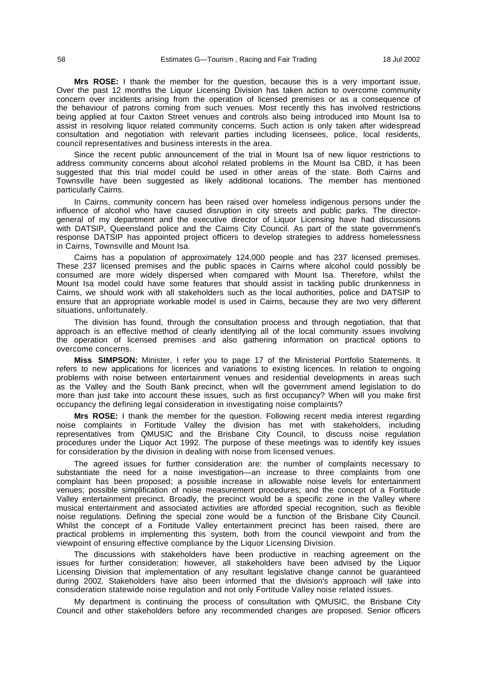**Mrs ROSE:** I thank the member for the question, because this is a very important issue. Over the past 12 months the Liquor Licensing Division has taken action to overcome community concern over incidents arising from the operation of licensed premises or as a consequence of the behaviour of patrons coming from such venues. Most recently this has involved restrictions being applied at four Caxton Street venues and controls also being introduced into Mount Isa to assist in resolving liquor related community concerns. Such action is only taken after widespread consultation and negotiation with relevant parties including licensees, police, local residents, council representatives and business interests in the area.

Since the recent public announcement of the trial in Mount Isa of new liquor restrictions to address community concerns about alcohol related problems in the Mount Isa CBD, it has been suggested that this trial model could be used in other areas of the state. Both Cairns and Townsville have been suggested as likely additional locations. The member has mentioned particularly Cairns.

In Cairns, community concern has been raised over homeless indigenous persons under the influence of alcohol who have caused disruption in city streets and public parks. The directorgeneral of my department and the executive director of Liquor Licensing have had discussions with DATSIP, Queensland police and the Cairns City Council. As part of the state government's response DATSIP has appointed project officers to develop strategies to address homelessness in Cairns, Townsville and Mount Isa.

Cairns has a population of approximately 124,000 people and has 237 licensed premises. These 237 licensed premises and the public spaces in Cairns where alcohol could possibly be consumed are more widely dispersed when compared with Mount Isa. Therefore, whilst the Mount Isa model could have some features that should assist in tackling public drunkenness in Cairns, we should work with all stakeholders such as the local authorities, police and DATSIP to ensure that an appropriate workable model is used in Cairns, because they are two very different situations, unfortunately.

The division has found, through the consultation process and through negotiation, that that approach is an effective method of clearly identifying all of the local community issues involving the operation of licensed premises and also gathering information on practical options to overcome concerns.

**Miss SIMPSON:** Minister, I refer you to page 17 of the Ministerial Portfolio Statements. It refers to new applications for licences and variations to existing licences. In relation to ongoing problems with noise between entertainment venues and residential developments in areas such as the Valley and the South Bank precinct, when will the government amend legislation to do more than just take into account these issues, such as first occupancy? When will you make first occupancy the defining legal consideration in investigating noise complaints?

**Mrs ROSE:** I thank the member for the question. Following recent media interest regarding noise complaints in Fortitude Valley the division has met with stakeholders, including representatives from QMUSIC and the Brisbane City Council, to discuss noise regulation procedures under the Liquor Act 1992. The purpose of these meetings was to identify key issues for consideration by the division in dealing with noise from licensed venues.

The agreed issues for further consideration are: the number of complaints necessary to substantiate the need for a noise investigation—an increase to three complaints from one complaint has been proposed; a possible increase in allowable noise levels for entertainment venues; possible simplification of noise measurement procedures; and the concept of a Fortitude Valley entertainment precinct. Broadly, the precinct would be a specific zone in the Valley where musical entertainment and associated activities are afforded special recognition, such as flexible noise regulations. Defining the special zone would be a function of the Brisbane City Council. Whilst the concept of a Fortitude Valley entertainment precinct has been raised, there are practical problems in implementing this system, both from the council viewpoint and from the viewpoint of ensuring effective compliance by the Liquor Licensing Division.

The discussions with stakeholders have been productive in reaching agreement on the issues for further consideration; however, all stakeholders have been advised by the Liquor Licensing Division that implementation of any resultant legislative change cannot be guaranteed during 2002. Stakeholders have also been informed that the division's approach will take into consideration statewide noise regulation and not only Fortitude Valley noise related issues.

My department is continuing the process of consultation with QMUSIC, the Brisbane City Council and other stakeholders before any recommended changes are proposed. Senior officers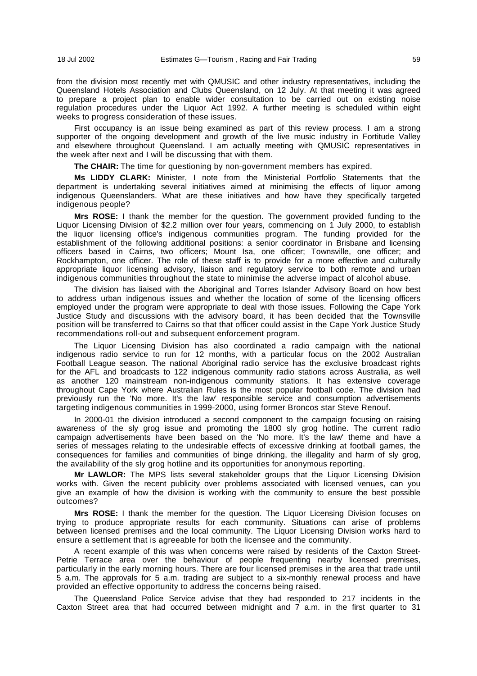from the division most recently met with QMUSIC and other industry representatives, including the Queensland Hotels Association and Clubs Queensland, on 12 July. At that meeting it was agreed to prepare a project plan to enable wider consultation to be carried out on existing noise regulation procedures under the Liquor Act 1992. A further meeting is scheduled within eight weeks to progress consideration of these issues.

First occupancy is an issue being examined as part of this review process. I am a strong supporter of the ongoing development and growth of the live music industry in Fortitude Valley and elsewhere throughout Queensland. I am actually meeting with QMUSIC representatives in the week after next and I will be discussing that with them.

**The CHAIR:** The time for questioning by non-government members has expired.

**Ms LIDDY CLARK:** Minister, I note from the Ministerial Portfolio Statements that the department is undertaking several initiatives aimed at minimising the effects of liquor among indigenous Queenslanders. What are these initiatives and how have they specifically targeted indigenous people?

**Mrs ROSE:** I thank the member for the question. The government provided funding to the Liquor Licensing Division of \$2.2 million over four years, commencing on 1 July 2000, to establish the liquor licensing office's indigenous communities program. The funding provided for the establishment of the following additional positions: a senior coordinator in Brisbane and licensing officers based in Cairns, two officers; Mount Isa, one officer; Townsville, one officer; and Rockhampton, one officer. The role of these staff is to provide for a more effective and culturally appropriate liquor licensing advisory, liaison and regulatory service to both remote and urban indigenous communities throughout the state to minimise the adverse impact of alcohol abuse.

The division has liaised with the Aboriginal and Torres Islander Advisory Board on how best to address urban indigenous issues and whether the location of some of the licensing officers employed under the program were appropriate to deal with those issues. Following the Cape York Justice Study and discussions with the advisory board, it has been decided that the Townsville position will be transferred to Cairns so that that officer could assist in the Cape York Justice Study recommendations roll-out and subsequent enforcement program.

The Liquor Licensing Division has also coordinated a radio campaign with the national indigenous radio service to run for 12 months, with a particular focus on the 2002 Australian Football League season. The national Aboriginal radio service has the exclusive broadcast rights for the AFL and broadcasts to 122 indigenous community radio stations across Australia, as well as another 120 mainstream non-indigenous community stations. It has extensive coverage throughout Cape York where Australian Rules is the most popular football code. The division had previously run the 'No more. It's the law' responsible service and consumption advertisements targeting indigenous communities in 1999-2000, using former Broncos star Steve Renouf.

In 2000-01 the division introduced a second component to the campaign focusing on raising awareness of the sly grog issue and promoting the 1800 sly grog hotline. The current radio campaign advertisements have been based on the 'No more. It's the law' theme and have a series of messages relating to the undesirable effects of excessive drinking at football games, the consequences for families and communities of binge drinking, the illegality and harm of sly grog, the availability of the sly grog hotline and its opportunities for anonymous reporting.

**Mr LAWLOR:** The MPS lists several stakeholder groups that the Liquor Licensing Division works with. Given the recent publicity over problems associated with licensed venues, can you give an example of how the division is working with the community to ensure the best possible outcomes?

**Mrs ROSE:** I thank the member for the question. The Liquor Licensing Division focuses on trying to produce appropriate results for each community. Situations can arise of problems between licensed premises and the local community. The Liquor Licensing Division works hard to ensure a settlement that is agreeable for both the licensee and the community.

A recent example of this was when concerns were raised by residents of the Caxton Street-Petrie Terrace area over the behaviour of people frequenting nearby licensed premises, particularly in the early morning hours. There are four licensed premises in the area that trade until 5 a.m. The approvals for 5 a.m. trading are subject to a six-monthly renewal process and have provided an effective opportunity to address the concerns being raised.

The Queensland Police Service advise that they had responded to 217 incidents in the Caxton Street area that had occurred between midnight and  $\overline{7}$  a.m. in the first quarter to 31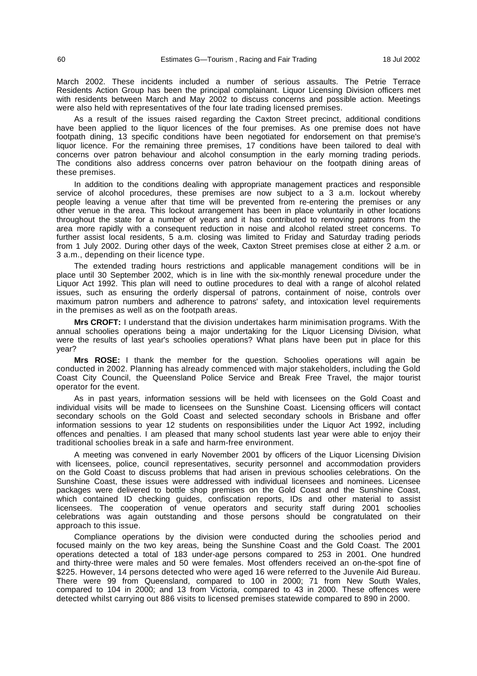March 2002. These incidents included a number of serious assaults. The Petrie Terrace Residents Action Group has been the principal complainant. Liquor Licensing Division officers met with residents between March and May 2002 to discuss concerns and possible action. Meetings were also held with representatives of the four late trading licensed premises.

As a result of the issues raised regarding the Caxton Street precinct, additional conditions have been applied to the liquor licences of the four premises. As one premise does not have footpath dining, 13 specific conditions have been negotiated for endorsement on that premise's liquor licence. For the remaining three premises, 17 conditions have been tailored to deal with concerns over patron behaviour and alcohol consumption in the early morning trading periods. The conditions also address concerns over patron behaviour on the footpath dining areas of these premises.

In addition to the conditions dealing with appropriate management practices and responsible service of alcohol procedures, these premises are now subject to a 3 a.m. lockout whereby people leaving a venue after that time will be prevented from re-entering the premises or any other venue in the area. This lockout arrangement has been in place voluntarily in other locations throughout the state for a number of years and it has contributed to removing patrons from the area more rapidly with a consequent reduction in noise and alcohol related street concerns. To further assist local residents, 5 a.m. closing was limited to Friday and Saturday trading periods from 1 July 2002. During other days of the week, Caxton Street premises close at either 2 a.m. or 3 a.m., depending on their licence type.

The extended trading hours restrictions and applicable management conditions will be in place until 30 September 2002, which is in line with the six-monthly renewal procedure under the Liquor Act 1992. This plan will need to outline procedures to deal with a range of alcohol related issues, such as ensuring the orderly dispersal of patrons, containment of noise, controls over maximum patron numbers and adherence to patrons' safety, and intoxication level requirements in the premises as well as on the footpath areas.

**Mrs CROFT:** I understand that the division undertakes harm minimisation programs. With the annual schoolies operations being a major undertaking for the Liquor Licensing Division, what were the results of last year's schoolies operations? What plans have been put in place for this year?

**Mrs ROSE:** I thank the member for the question. Schoolies operations will again be conducted in 2002. Planning has already commenced with major stakeholders, including the Gold Coast City Council, the Queensland Police Service and Break Free Travel, the major tourist operator for the event.

As in past years, information sessions will be held with licensees on the Gold Coast and individual visits will be made to licensees on the Sunshine Coast. Licensing officers will contact secondary schools on the Gold Coast and selected secondary schools in Brisbane and offer information sessions to year 12 students on responsibilities under the Liquor Act 1992, including offences and penalties. I am pleased that many school students last year were able to enjoy their traditional schoolies break in a safe and harm-free environment.

A meeting was convened in early November 2001 by officers of the Liquor Licensing Division with licensees, police, council representatives, security personnel and accommodation providers on the Gold Coast to discuss problems that had arisen in previous schoolies celebrations. On the Sunshine Coast, these issues were addressed with individual licensees and nominees. Licensee packages were delivered to bottle shop premises on the Gold Coast and the Sunshine Coast, which contained ID checking guides, confiscation reports, IDs and other material to assist licensees. The cooperation of venue operators and security staff during 2001 schoolies celebrations was again outstanding and those persons should be congratulated on their approach to this issue.

Compliance operations by the division were conducted during the schoolies period and focused mainly on the two key areas, being the Sunshine Coast and the Gold Coast. The 2001 operations detected a total of 183 under-age persons compared to 253 in 2001. One hundred and thirty-three were males and 50 were females. Most offenders received an on-the-spot fine of \$225. However, 14 persons detected who were aged 16 were referred to the Juvenile Aid Bureau. There were 99 from Queensland, compared to 100 in 2000; 71 from New South Wales, compared to 104 in 2000; and 13 from Victoria, compared to 43 in 2000. These offences were detected whilst carrying out 886 visits to licensed premises statewide compared to 890 in 2000.